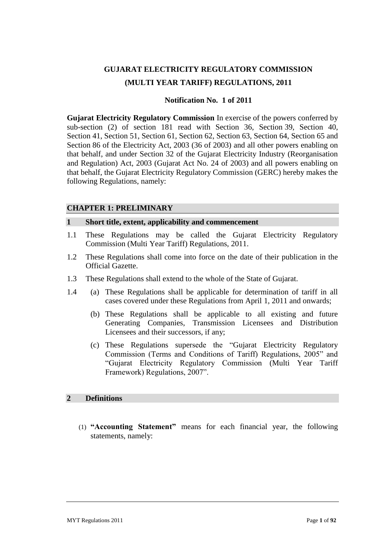# **GUJARAT ELECTRICITY REGULATORY COMMISSION (MULTI YEAR TARIFF) REGULATIONS, 2011**

# **Notification No. 1 of 2011**

**Gujarat Electricity Regulatory Commission** In exercise of the powers conferred by sub-section (2) of section 181 read with Section 36, Section 39, Section 40, Section 41, Section 51, Section 61, Section 62, Section 63, Section 64, Section 65 and Section 86 of the Electricity Act, 2003 (36 of 2003) and all other powers enabling on that behalf, and under Section 32 of the Gujarat Electricity Industry (Reorganisation and Regulation) Act, 2003 (Gujarat Act No. 24 of 2003) and all powers enabling on that behalf, the Gujarat Electricity Regulatory Commission (GERC) hereby makes the following Regulations, namely:

# **CHAPTER 1: PRELIMINARY**

# **1 Short title, extent, applicability and commencement**

- 1.1 These Regulations may be called the Gujarat Electricity Regulatory Commission (Multi Year Tariff) Regulations, 2011.
- 1.2 These Regulations shall come into force on the date of their publication in the Official Gazette.
- 1.3 These Regulations shall extend to the whole of the State of Gujarat.
- 1.4 (a) These Regulations shall be applicable for determination of tariff in all cases covered under these Regulations from April 1, 2011 and onwards;
	- (b) These Regulations shall be applicable to all existing and future Generating Companies, Transmission Licensees and Distribution Licensees and their successors, if any;
	- (c) These Regulations supersede the "Gujarat Electricity Regulatory Commission (Terms and Conditions of Tariff) Regulations, 2005" and "Gujarat Electricity Regulatory Commission (Multi Year Tariff Framework) Regulations, 2007".

# **2 Definitions**

(1) **"Accounting Statement"** means for each financial year, the following statements, namely: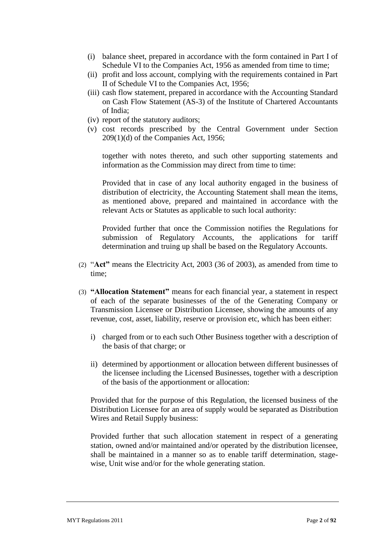- (i) balance sheet, prepared in accordance with the form contained in Part I of Schedule VI to the Companies Act, 1956 as amended from time to time;
- (ii) profit and loss account, complying with the requirements contained in Part II of Schedule VI to the Companies Act, 1956;
- (iii) cash flow statement, prepared in accordance with the Accounting Standard on Cash Flow Statement (AS-3) of the Institute of Chartered Accountants of India;
- (iv) report of the statutory auditors;
- (v) cost records prescribed by the Central Government under Section 209(1)(d) of the Companies Act, 1956;

together with notes thereto, and such other supporting statements and information as the Commission may direct from time to time:

Provided that in case of any local authority engaged in the business of distribution of electricity, the Accounting Statement shall mean the items, as mentioned above, prepared and maintained in accordance with the relevant Acts or Statutes as applicable to such local authority:

Provided further that once the Commission notifies the Regulations for submission of Regulatory Accounts, the applications for tariff determination and truing up shall be based on the Regulatory Accounts.

- (2) "**Act"** means the Electricity Act, 2003 (36 of 2003), as amended from time to time;
- (3) **"Allocation Statement"** means for each financial year, a statement in respect of each of the separate businesses of the of the Generating Company or Transmission Licensee or Distribution Licensee, showing the amounts of any revenue, cost, asset, liability, reserve or provision etc, which has been either:
	- i) charged from or to each such Other Business together with a description of the basis of that charge; or
	- ii) determined by apportionment or allocation between different businesses of the licensee including the Licensed Businesses, together with a description of the basis of the apportionment or allocation:

Provided that for the purpose of this Regulation, the licensed business of the Distribution Licensee for an area of supply would be separated as Distribution Wires and Retail Supply business:

Provided further that such allocation statement in respect of a generating station, owned and/or maintained and/or operated by the distribution licensee, shall be maintained in a manner so as to enable tariff determination, stagewise, Unit wise and/or for the whole generating station.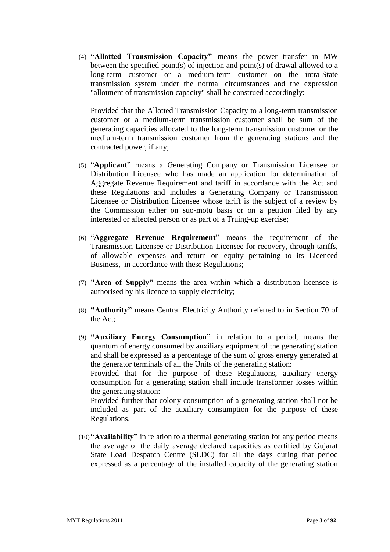(4) **"Allotted Transmission Capacity"** means the power transfer in MW between the specified point(s) of injection and point(s) of drawal allowed to a long-term customer or a medium-term customer on the intra-State transmission system under the normal circumstances and the expression "allotment of transmission capacity" shall be construed accordingly:

Provided that the Allotted Transmission Capacity to a long-term transmission customer or a medium-term transmission customer shall be sum of the generating capacities allocated to the long-term transmission customer or the medium-term transmission customer from the generating stations and the contracted power, if any;

- (5) "**Applicant**" means a Generating Company or Transmission Licensee or Distribution Licensee who has made an application for determination of Aggregate Revenue Requirement and tariff in accordance with the Act and these Regulations and includes a Generating Company or Transmission Licensee or Distribution Licensee whose tariff is the subject of a review by the Commission either on suo-motu basis or on a petition filed by any interested or affected person or as part of a Truing-up exercise;
- (6) "**Aggregate Revenue Requirement**" means the requirement of the Transmission Licensee or Distribution Licensee for recovery, through tariffs, of allowable expenses and return on equity pertaining to its Licenced Business, in accordance with these Regulations;
- (7) **"Area of Supply"** means the area within which a distribution licensee is authorised by his licence to supply electricity;
- (8) **"Authority"** means Central Electricity Authority referred to in Section 70 of the Act;
- (9) **"Auxiliary Energy Consumption"** in relation to a period, means the quantum of energy consumed by auxiliary equipment of the generating station and shall be expressed as a percentage of the sum of gross energy generated at the generator terminals of all the Units of the generating station:

Provided that for the purpose of these Regulations, auxiliary energy consumption for a generating station shall include transformer losses within the generating station:

Provided further that colony consumption of a generating station shall not be included as part of the auxiliary consumption for the purpose of these Regulations.

(10)**"Availability"** in relation to a thermal generating station for any period means the average of the daily average declared capacities as certified by Gujarat State Load Despatch Centre (SLDC) for all the days during that period expressed as a percentage of the installed capacity of the generating station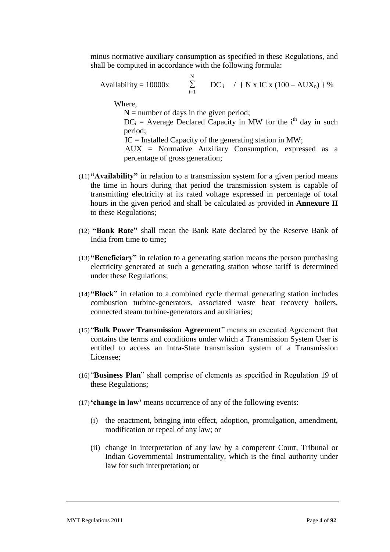minus normative auxiliary consumption as specified in these Regulations, and shall be computed in accordance with the following formula:

Availability = 10000x

\n
$$
\sum_{i=1}^{N} DC_i \quad / \{ N \times IC \times (100 - AUX_n) \} \%
$$

Where,

 $N =$  number of days in the given period;

 $DC_i$  = Average Declared Capacity in MW for the i<sup>th</sup> day in such period;

 $IC =$  Installed Capacity of the generating station in MW;

 AUX = Normative Auxiliary Consumption, expressed as a percentage of gross generation;

- (11)**"Availability"** in relation to a transmission system for a given period means the time in hours during that period the transmission system is capable of transmitting electricity at its rated voltage expressed in percentage of total hours in the given period and shall be calculated as provided in **Annexure II** to these Regulations;
- (12) **"Bank Rate"** shall mean the Bank Rate declared by the Reserve Bank of India from time to time**;**
- (13)**"Beneficiary"** in relation to a generating station means the person purchasing electricity generated at such a generating station whose tariff is determined under these Regulations;
- (14)**"Block"** in relation to a combined cycle thermal generating station includes combustion turbine-generators, associated waste heat recovery boilers, connected steam turbine-generators and auxiliaries;
- (15)"**Bulk Power Transmission Agreement**" means an executed Agreement that contains the terms and conditions under which a Transmission System User is entitled to access an intra-State transmission system of a Transmission Licensee;
- (16)"**Business Plan**" shall comprise of elements as specified in Regulation 19 of these Regulations;
- (17)**"change in law"** means occurrence of any of the following events:
	- (i) the enactment, bringing into effect, adoption, promulgation, amendment, modification or repeal of any law; or
	- (ii) change in interpretation of any law by a competent Court, Tribunal or Indian Governmental Instrumentality, which is the final authority under law for such interpretation; or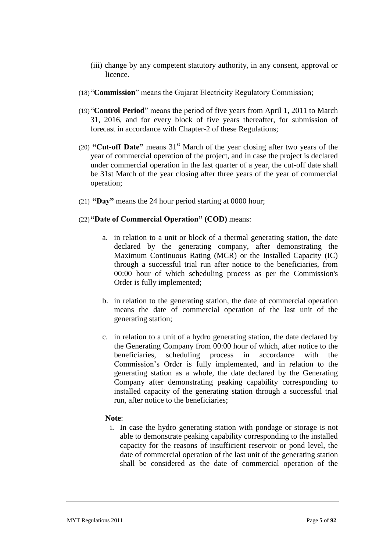- (iii) change by any competent statutory authority, in any consent, approval or licence.
- (18)"**Commission**" means the Gujarat Electricity Regulatory Commission;
- (19)"**Control Period**" means the period of five years from April 1, 2011 to March 31, 2016, and for every block of five years thereafter, for submission of forecast in accordance with Chapter-2 of these Regulations;
- (20) **"Cut-off Date"** means 31st March of the year closing after two years of the year of commercial operation of the project, and in case the project is declared under commercial operation in the last quarter of a year, the cut-off date shall be 31st March of the year closing after three years of the year of commercial operation;
- (21) **"Day"** means the 24 hour period starting at 0000 hour;

# (22)**"Date of Commercial Operation" (COD)** means:

- a. in relation to a unit or block of a thermal generating station, the date declared by the generating company, after demonstrating the Maximum Continuous Rating (MCR) or the Installed Capacity (IC) through a successful trial run after notice to the beneficiaries, from 00:00 hour of which scheduling process as per the Commission's Order is fully implemented;
- b. in relation to the generating station, the date of commercial operation means the date of commercial operation of the last unit of the generating station;
- c. in relation to a unit of a hydro generating station, the date declared by the Generating Company from 00:00 hour of which, after notice to the beneficiaries, scheduling process in accordance with the Commission"s Order is fully implemented, and in relation to the generating station as a whole, the date declared by the Generating Company after demonstrating peaking capability corresponding to installed capacity of the generating station through a successful trial run, after notice to the beneficiaries;

#### **Note**:

i. In case the hydro generating station with pondage or storage is not able to demonstrate peaking capability corresponding to the installed capacity for the reasons of insufficient reservoir or pond level, the date of commercial operation of the last unit of the generating station shall be considered as the date of commercial operation of the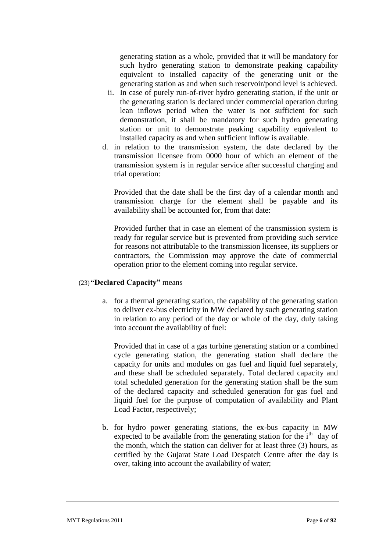generating station as a whole, provided that it will be mandatory for such hydro generating station to demonstrate peaking capability equivalent to installed capacity of the generating unit or the generating station as and when such reservoir/pond level is achieved.

- ii. In case of purely run-of-river hydro generating station, if the unit or the generating station is declared under commercial operation during lean inflows period when the water is not sufficient for such demonstration, it shall be mandatory for such hydro generating station or unit to demonstrate peaking capability equivalent to installed capacity as and when sufficient inflow is available.
- d. in relation to the transmission system, the date declared by the transmission licensee from 0000 hour of which an element of the transmission system is in regular service after successful charging and trial operation:

Provided that the date shall be the first day of a calendar month and transmission charge for the element shall be payable and its availability shall be accounted for, from that date:

Provided further that in case an element of the transmission system is ready for regular service but is prevented from providing such service for reasons not attributable to the transmission licensee, its suppliers or contractors, the Commission may approve the date of commercial operation prior to the element coming into regular service.

# (23)**"Declared Capacity"** means

a. for a thermal generating station, the capability of the generating station to deliver ex-bus electricity in MW declared by such generating station in relation to any period of the day or whole of the day, duly taking into account the availability of fuel:

Provided that in case of a gas turbine generating station or a combined cycle generating station, the generating station shall declare the capacity for units and modules on gas fuel and liquid fuel separately, and these shall be scheduled separately. Total declared capacity and total scheduled generation for the generating station shall be the sum of the declared capacity and scheduled generation for gas fuel and liquid fuel for the purpose of computation of availability and Plant Load Factor, respectively;

b. for hydro power generating stations, the ex-bus capacity in MW expected to be available from the generating station for the i<sup>th</sup> day of the month, which the station can deliver for at least three (3) hours, as certified by the Gujarat State Load Despatch Centre after the day is over, taking into account the availability of water;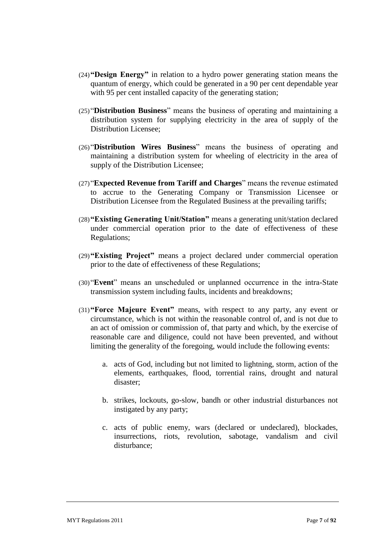- (24)**"Design Energy"** in relation to a hydro power generating station means the quantum of energy, which could be generated in a 90 per cent dependable year with 95 per cent installed capacity of the generating station;
- (25)"**Distribution Business**" means the business of operating and maintaining a distribution system for supplying electricity in the area of supply of the Distribution Licensee;
- (26)"**Distribution Wires Business**" means the business of operating and maintaining a distribution system for wheeling of electricity in the area of supply of the Distribution Licensee;
- (27)"**Expected Revenue from Tariff and Charges**" means the revenue estimated to accrue to the Generating Company or Transmission Licensee or Distribution Licensee from the Regulated Business at the prevailing tariffs;
- (28)**"Existing Generating Unit/Station"** means a generating unit/station declared under commercial operation prior to the date of effectiveness of these Regulations;
- (29)**"Existing Project"** means a project declared under commercial operation prior to the date of effectiveness of these Regulations;
- (30)"**Event**" means an unscheduled or unplanned occurrence in the intra-State transmission system including faults, incidents and breakdowns;
- (31)**"Force Majeure Event"** means, with respect to any party, any event or circumstance, which is not within the reasonable control of, and is not due to an act of omission or commission of, that party and which, by the exercise of reasonable care and diligence, could not have been prevented, and without limiting the generality of the foregoing, would include the following events:
	- a. acts of God, including but not limited to lightning, storm, action of the elements, earthquakes, flood, torrential rains, drought and natural disaster;
	- b. strikes, lockouts, go-slow, bandh or other industrial disturbances not instigated by any party;
	- c. acts of public enemy, wars (declared or undeclared), blockades, insurrections, riots, revolution, sabotage, vandalism and civil disturbance;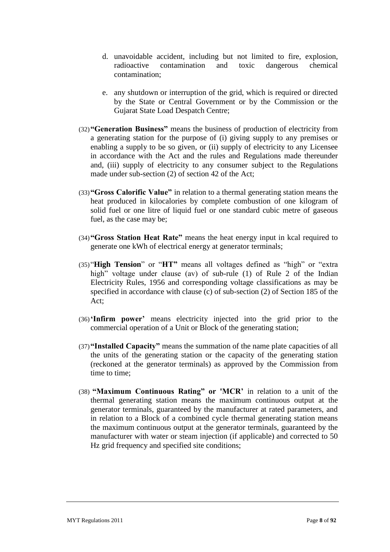- d. unavoidable accident, including but not limited to fire, explosion, radioactive contamination and toxic dangerous chemical contamination;
- e. any shutdown or interruption of the grid, which is required or directed by the State or Central Government or by the Commission or the Gujarat State Load Despatch Centre;
- (32)**"Generation Business"** means the business of production of electricity from a generating station for the purpose of (i) giving supply to any premises or enabling a supply to be so given, or (ii) supply of electricity to any Licensee in accordance with the Act and the rules and Regulations made thereunder and, (iii) supply of electricity to any consumer subject to the Regulations made under sub-section (2) of section 42 of the Act;
- (33)**"Gross Calorific Value"** in relation to a thermal generating station means the heat produced in kilocalories by complete combustion of one kilogram of solid fuel or one litre of liquid fuel or one standard cubic metre of gaseous fuel, as the case may be;
- (34)**"Gross Station Heat Rate"** means the heat energy input in kcal required to generate one kWh of electrical energy at generator terminals;
- (35)"**High Tension**" or "**HT"** means all voltages defined as "high" or "extra high" voltage under clause (av) of sub-rule (1) of Rule 2 of the Indian Electricity Rules, 1956 and corresponding voltage classifications as may be specified in accordance with clause (c) of sub-section (2) of Section 185 of the Act;
- (36)**"Infirm power"** means electricity injected into the grid prior to the commercial operation of a Unit or Block of the generating station;
- (37)**"Installed Capacity"** means the summation of the name plate capacities of all the units of the generating station or the capacity of the generating station (reckoned at the generator terminals) as approved by the Commission from time to time;
- (38) **"Maximum Continuous Rating" or 'MCR"** in relation to a unit of the thermal generating station means the maximum continuous output at the generator terminals, guaranteed by the manufacturer at rated parameters, and in relation to a Block of a combined cycle thermal generating station means the maximum continuous output at the generator terminals, guaranteed by the manufacturer with water or steam injection (if applicable) and corrected to 50 Hz grid frequency and specified site conditions;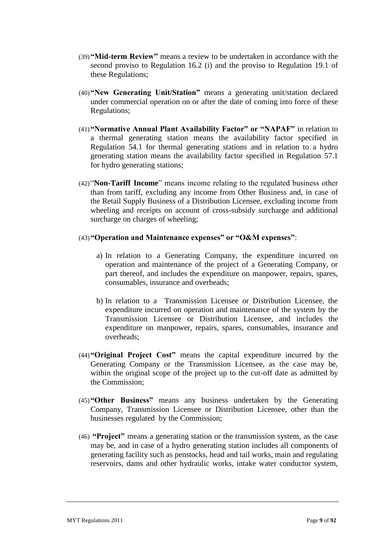- (39)**"Mid-term Review"** means a review to be undertaken in accordance with the second proviso to Regulation 16.2 (i) and the proviso to Regulation 19.1 of these Regulations;
- (40)**"New Generating Unit/Station"** means a generating unit/station declared under commercial operation on or after the date of coming into force of these Regulations;
- (41)**"Normative Annual Plant Availability Factor" or "NAPAF"** in relation to a thermal generating station means the availability factor specified in Regulation 54.1 for thermal generating stations and in relation to a hydro generating station means the availability factor specified in Regulation 57.1 for hydro generating stations;
- (42)"**Non-Tariff Income**" means income relating to the regulated business other than from tariff, excluding any income from Other Business and, in case of the Retail Supply Business of a Distribution Licensee, excluding income from wheeling and receipts on account of cross-subsidy surcharge and additional surcharge on charges of wheeling;
- (43)**"Operation and Maintenance expenses" or "O&M expenses"**:
	- a) In relation to a Generating Company, the expenditure incurred on operation and maintenance of the project of a Generating Company, or part thereof, and includes the expenditure on manpower, repairs, spares, consumables, insurance and overheads;
	- b) In relation to a Transmission Licensee or Distribution Licensee, the expenditure incurred on operation and maintenance of the system by the Transmission Licensee or Distribution Licensee, and includes the expenditure on manpower, repairs, spares, consumables, insurance and overheads;
- (44)**"Original Project Cost"** means the capital expenditure incurred by the Generating Company or the Transmission Licensee, as the case may be, within the original scope of the project up to the cut-off date as admitted by the Commission;
- (45)**"Other Business"** means any business undertaken by the Generating Company, Transmission Licensee or Distribution Licensee, other than the businesses regulated by the Commission;
- (46) **"Project"** means a generating station or the transmission system, as the case may be, and in case of a hydro generating station includes all components of generating facility such as penstocks, head and tail works, main and regulating reservoirs, dams and other hydraulic works, intake water conductor system,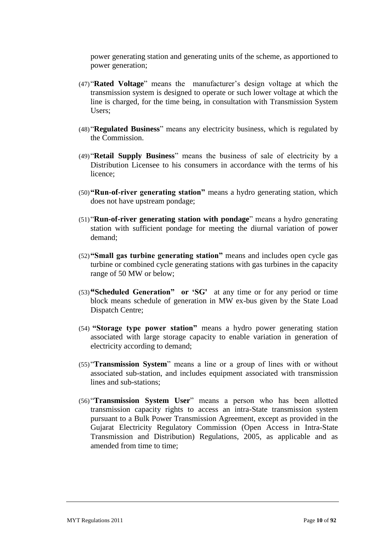power generating station and generating units of the scheme, as apportioned to power generation;

- (47)"**Rated Voltage**" means the manufacturer"s design voltage at which the transmission system is designed to operate or such lower voltage at which the line is charged, for the time being, in consultation with Transmission System Users;
- (48)"**Regulated Business**" means any electricity business, which is regulated by the Commission.
- (49)"**Retail Supply Business**" means the business of sale of electricity by a Distribution Licensee to his consumers in accordance with the terms of his licence;
- (50)**"Run-of-river generating station"** means a hydro generating station, which does not have upstream pondage;
- (51)"**Run-of-river generating station with pondage**" means a hydro generating station with sufficient pondage for meeting the diurnal variation of power demand;
- (52)**"Small gas turbine generating station"** means and includes open cycle gas turbine or combined cycle generating stations with gas turbines in the capacity range of 50 MW or below;
- (53)**"Scheduled Generation" or "SG'** at any time or for any period or time block means schedule of generation in MW ex-bus given by the State Load Dispatch Centre;
- (54) **"Storage type power station"** means a hydro power generating station associated with large storage capacity to enable variation in generation of electricity according to demand;
- (55)"**Transmission System**" means a line or a group of lines with or without associated sub-station, and includes equipment associated with transmission lines and sub-stations;
- (56)"**Transmission System User**" means a person who has been allotted transmission capacity rights to access an intra-State transmission system pursuant to a Bulk Power Transmission Agreement, except as provided in the Gujarat Electricity Regulatory Commission (Open Access in Intra-State Transmission and Distribution) Regulations, 2005, as applicable and as amended from time to time;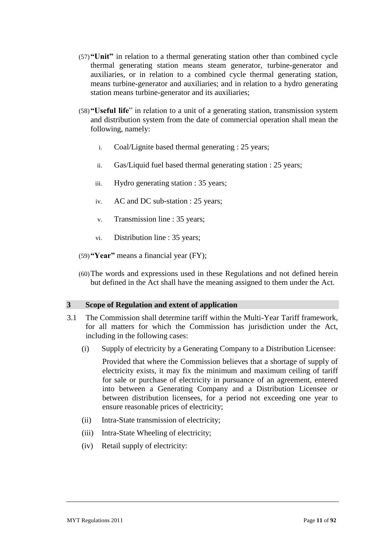- (57)**"Unit"** in relation to a thermal generating station other than combined cycle thermal generating station means steam generator, turbine-generator and auxiliaries, or in relation to a combined cycle thermal generating station, means turbine-generator and auxiliaries; and in relation to a hydro generating station means turbine-generator and its auxiliaries;
- (58)**"Useful life**" in relation to a unit of a generating station, transmission system and distribution system from the date of commercial operation shall mean the following, namely:
	- i. Coal/Lignite based thermal generating : 25 years;
	- ii. Gas/Liquid fuel based thermal generating station : 25 years;
	- iii. Hydro generating station : 35 years;
	- iv. AC and DC sub-station : 25 years;
	- v. Transmission line : 35 years;
	- vi. Distribution line : 35 years;
- (59)**"Year"** means a financial year (FY);
- (60)The words and expressions used in these Regulations and not defined herein but defined in the Act shall have the meaning assigned to them under the Act.

# **3 Scope of Regulation and extent of application**

- <span id="page-10-0"></span>3.1 The Commission shall determine tariff within the Multi-Year Tariff framework, for all matters for which the Commission has jurisdiction under the Act, including in the following cases:
	- (i) Supply of electricity by a Generating Company to a Distribution Licensee:

Provided that where the Commission believes that a shortage of supply of electricity exists, it may fix the minimum and maximum ceiling of tariff for sale or purchase of electricity in pursuance of an agreement, entered into between a Generating Company and a Distribution Licensee or between distribution licensees, for a period not exceeding one year to ensure reasonable prices of electricity;

- (ii) Intra-State transmission of electricity;
- (iii) Intra-State Wheeling of electricity;
- (iv) Retail supply of electricity: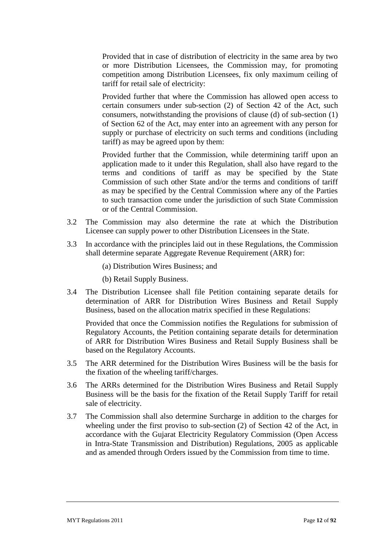Provided that in case of distribution of electricity in the same area by two or more Distribution Licensees, the Commission may, for promoting competition among Distribution Licensees, fix only maximum ceiling of tariff for retail sale of electricity:

Provided further that where the Commission has allowed open access to certain consumers under sub-section (2) of Section 42 of the Act, such consumers, notwithstanding the provisions of clause (d) of sub-section (1) of Section 62 of the Act, may enter into an agreement with any person for supply or purchase of electricity on such terms and conditions (including tariff) as may be agreed upon by them:

Provided further that the Commission, while determining tariff upon an application made to it under this Regulation, shall also have regard to the terms and conditions of tariff as may be specified by the State Commission of such other State and/or the terms and conditions of tariff as may be specified by the Central Commission where any of the Parties to such transaction come under the jurisdiction of such State Commission or of the Central Commission.

- 3.2 The Commission may also determine the rate at which the Distribution Licensee can supply power to other Distribution Licensees in the State.
- 3.3 In accordance with the principles laid out in these Regulations, the Commission shall determine separate Aggregate Revenue Requirement (ARR) for:
	- (a) Distribution Wires Business; and
	- (b) Retail Supply Business.
- 3.4 The Distribution Licensee shall file Petition containing separate details for determination of ARR for Distribution Wires Business and Retail Supply Business, based on the allocation matrix specified in these Regulations:

Provided that once the Commission notifies the Regulations for submission of Regulatory Accounts, the Petition containing separate details for determination of ARR for Distribution Wires Business and Retail Supply Business shall be based on the Regulatory Accounts.

- 3.5 The ARR determined for the Distribution Wires Business will be the basis for the fixation of the wheeling tariff/charges.
- 3.6 The ARRs determined for the Distribution Wires Business and Retail Supply Business will be the basis for the fixation of the Retail Supply Tariff for retail sale of electricity.
- 3.7 The Commission shall also determine Surcharge in addition to the charges for wheeling under the first proviso to sub-section (2) of Section 42 of the Act, in accordance with the Gujarat Electricity Regulatory Commission (Open Access in Intra-State Transmission and Distribution) Regulations, 2005 as applicable and as amended through Orders issued by the Commission from time to time.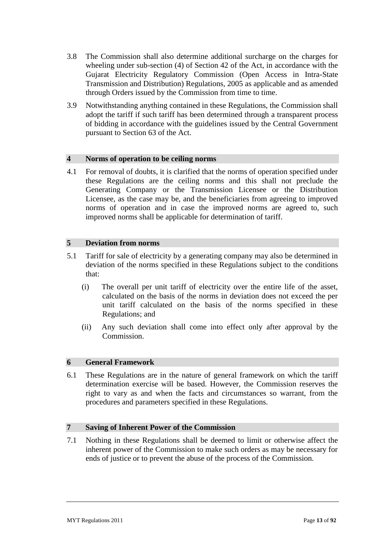- 3.8 The Commission shall also determine additional surcharge on the charges for wheeling under sub-section (4) of Section 42 of the Act, in accordance with the Gujarat Electricity Regulatory Commission (Open Access in Intra-State Transmission and Distribution) Regulations, 2005 as applicable and as amended through Orders issued by the Commission from time to time.
- 3.9 Notwithstanding anything contained in these Regulations, the Commission shall adopt the tariff if such tariff has been determined through a transparent process of bidding in accordance with the guidelines issued by the Central Government pursuant to Section 63 of the Act.

# **4 Norms of operation to be ceiling norms**

4.1 For removal of doubts, it is clarified that the norms of operation specified under these Regulations are the ceiling norms and this shall not preclude the Generating Company or the Transmission Licensee or the Distribution Licensee, as the case may be, and the beneficiaries from agreeing to improved norms of operation and in case the improved norms are agreed to, such improved norms shall be applicable for determination of tariff.

# **5 Deviation from norms**

- 5.1 Tariff for sale of electricity by a generating company may also be determined in deviation of the norms specified in these Regulations subject to the conditions that:
	- (i) The overall per unit tariff of electricity over the entire life of the asset, calculated on the basis of the norms in deviation does not exceed the per unit tariff calculated on the basis of the norms specified in these Regulations; and
	- (ii) Any such deviation shall come into effect only after approval by the Commission.

# **6 General Framework**

6.1 These Regulations are in the nature of general framework on which the tariff determination exercise will be based. However, the Commission reserves the right to vary as and when the facts and circumstances so warrant, from the procedures and parameters specified in these Regulations.

# **7 Saving of Inherent Power of the Commission**

7.1 Nothing in these Regulations shall be deemed to limit or otherwise affect the inherent power of the Commission to make such orders as may be necessary for ends of justice or to prevent the abuse of the process of the Commission.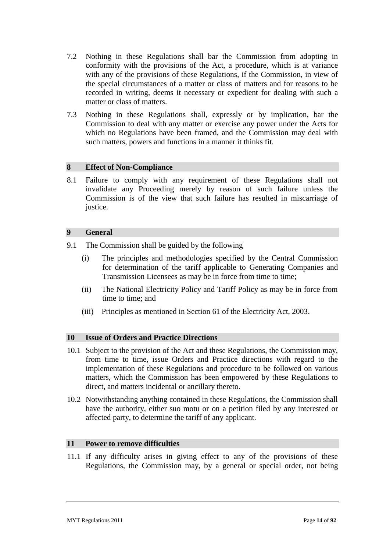- 7.2 Nothing in these Regulations shall bar the Commission from adopting in conformity with the provisions of the Act, a procedure, which is at variance with any of the provisions of these Regulations, if the Commission, in view of the special circumstances of a matter or class of matters and for reasons to be recorded in writing, deems it necessary or expedient for dealing with such a matter or class of matters.
- 7.3 Nothing in these Regulations shall, expressly or by implication, bar the Commission to deal with any matter or exercise any power under the Acts for which no Regulations have been framed, and the Commission may deal with such matters, powers and functions in a manner it thinks fit.

### **8 Effect of Non-Compliance**

8.1 Failure to comply with any requirement of these Regulations shall not invalidate any Proceeding merely by reason of such failure unless the Commission is of the view that such failure has resulted in miscarriage of justice.

#### **9 General**

- 9.1 The Commission shall be guided by the following
	- (i) The principles and methodologies specified by the Central Commission for determination of the tariff applicable to Generating Companies and Transmission Licensees as may be in force from time to time;
	- (ii) The National Electricity Policy and Tariff Policy as may be in force from time to time; and
	- (iii) Principles as mentioned in Section 61 of the Electricity Act, 2003.

### **10 Issue of Orders and Practice Directions**

- 10.1 Subject to the provision of the Act and these Regulations, the Commission may, from time to time, issue Orders and Practice directions with regard to the implementation of these Regulations and procedure to be followed on various matters, which the Commission has been empowered by these Regulations to direct, and matters incidental or ancillary thereto.
- 10.2 Notwithstanding anything contained in these Regulations, the Commission shall have the authority, either suo motu or on a petition filed by any interested or affected party, to determine the tariff of any applicant.

#### **11 Power to remove difficulties**

11.1 If any difficulty arises in giving effect to any of the provisions of these Regulations, the Commission may, by a general or special order, not being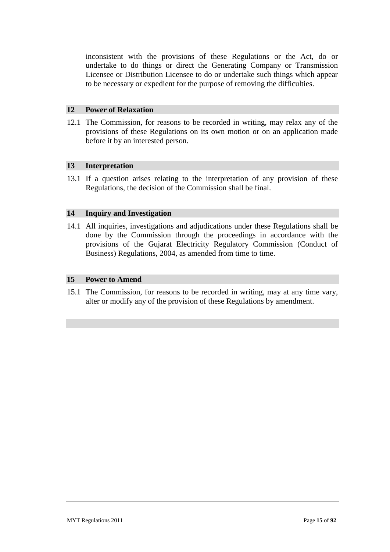inconsistent with the provisions of these Regulations or the Act, do or undertake to do things or direct the Generating Company or Transmission Licensee or Distribution Licensee to do or undertake such things which appear to be necessary or expedient for the purpose of removing the difficulties.

### **12 Power of Relaxation**

12.1 The Commission, for reasons to be recorded in writing, may relax any of the provisions of these Regulations on its own motion or on an application made before it by an interested person.

### **13 Interpretation**

13.1 If a question arises relating to the interpretation of any provision of these Regulations, the decision of the Commission shall be final.

### **14 Inquiry and Investigation**

14.1 All inquiries, investigations and adjudications under these Regulations shall be done by the Commission through the proceedings in accordance with the provisions of the Gujarat Electricity Regulatory Commission (Conduct of Business) Regulations, 2004, as amended from time to time.

# **15 Power to Amend**

15.1 The Commission, for reasons to be recorded in writing, may at any time vary, alter or modify any of the provision of these Regulations by amendment.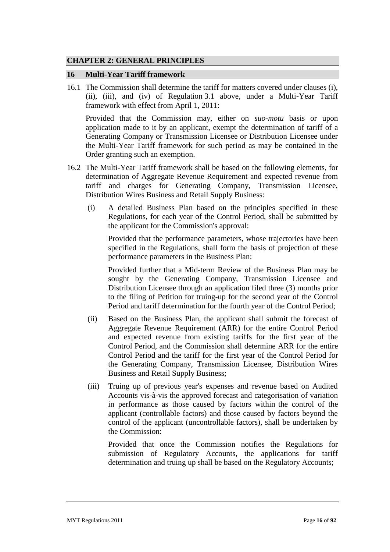# **CHAPTER 2: GENERAL PRINCIPLES**

#### **16 Multi-Year Tariff framework**

16.1 The Commission shall determine the tariff for matters covered under clauses (i), (ii), (iii), and (iv) of Regulation [3.1](#page-10-0) above, under a Multi-Year Tariff framework with effect from April 1, 2011:

Provided that the Commission may, either on *suo-motu* basis or upon application made to it by an applicant, exempt the determination of tariff of a Generating Company or Transmission Licensee or Distribution Licensee under the Multi-Year Tariff framework for such period as may be contained in the Order granting such an exemption.

- 16.2 The Multi-Year Tariff framework shall be based on the following elements, for determination of Aggregate Revenue Requirement and expected revenue from tariff and charges for Generating Company, Transmission Licensee, Distribution Wires Business and Retail Supply Business:
	- (i) A detailed Business Plan based on the principles specified in these Regulations, for each year of the Control Period, shall be submitted by the applicant for the Commission's approval:

Provided that the performance parameters, whose trajectories have been specified in the Regulations, shall form the basis of projection of these performance parameters in the Business Plan:

Provided further that a Mid-term Review of the Business Plan may be sought by the Generating Company, Transmission Licensee and Distribution Licensee through an application filed three (3) months prior to the filing of Petition for truing-up for the second year of the Control Period and tariff determination for the fourth year of the Control Period;

- (ii) Based on the Business Plan, the applicant shall submit the forecast of Aggregate Revenue Requirement (ARR) for the entire Control Period and expected revenue from existing tariffs for the first year of the Control Period, and the Commission shall determine ARR for the entire Control Period and the tariff for the first year of the Control Period for the Generating Company, Transmission Licensee, Distribution Wires Business and Retail Supply Business;
- (iii) Truing up of previous year's expenses and revenue based on Audited Accounts vis-à-vis the approved forecast and categorisation of variation in performance as those caused by factors within the control of the applicant (controllable factors) and those caused by factors beyond the control of the applicant (uncontrollable factors), shall be undertaken by the Commission:

Provided that once the Commission notifies the Regulations for submission of Regulatory Accounts, the applications for tariff determination and truing up shall be based on the Regulatory Accounts;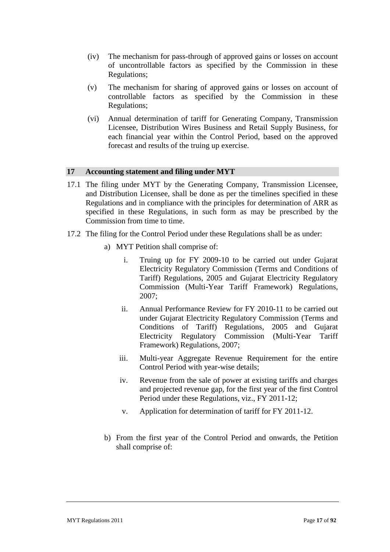- (iv) The mechanism for pass-through of approved gains or losses on account of uncontrollable factors as specified by the Commission in these Regulations;
- (v) The mechanism for sharing of approved gains or losses on account of controllable factors as specified by the Commission in these Regulations;
- (vi) Annual determination of tariff for Generating Company, Transmission Licensee, Distribution Wires Business and Retail Supply Business, for each financial year within the Control Period, based on the approved forecast and results of the truing up exercise.

### **17 Accounting statement and filing under MYT**

- 17.1 The filing under MYT by the Generating Company, Transmission Licensee, and Distribution Licensee, shall be done as per the timelines specified in these Regulations and in compliance with the principles for determination of ARR as specified in these Regulations, in such form as may be prescribed by the Commission from time to time.
- 17.2 The filing for the Control Period under these Regulations shall be as under:
	- a) MYT Petition shall comprise of:
		- i. Truing up for FY 2009-10 to be carried out under Gujarat Electricity Regulatory Commission (Terms and Conditions of Tariff) Regulations, 2005 and Gujarat Electricity Regulatory Commission (Multi-Year Tariff Framework) Regulations, 2007;
		- ii. Annual Performance Review for FY 2010-11 to be carried out under Gujarat Electricity Regulatory Commission (Terms and Conditions of Tariff) Regulations, 2005 and Gujarat Electricity Regulatory Commission (Multi-Year Tariff Framework) Regulations, 2007;
		- iii. Multi-year Aggregate Revenue Requirement for the entire Control Period with year-wise details;
		- iv. Revenue from the sale of power at existing tariffs and charges and projected revenue gap, for the first year of the first Control Period under these Regulations, viz., FY 2011-12;
		- v. Application for determination of tariff for FY 2011-12.
	- b) From the first year of the Control Period and onwards, the Petition shall comprise of: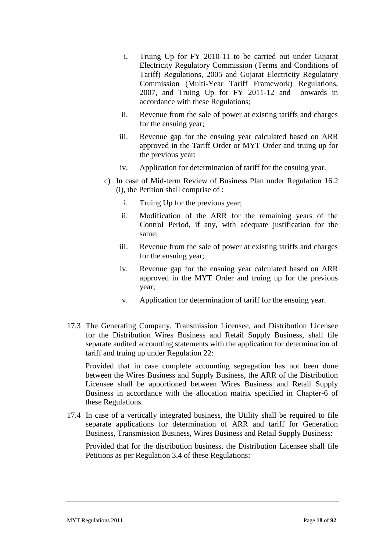- i. Truing Up for FY 2010-11 to be carried out under Gujarat Electricity Regulatory Commission (Terms and Conditions of Tariff) Regulations, 2005 and Gujarat Electricity Regulatory Commission (Multi-Year Tariff Framework) Regulations, 2007, and Truing Up for FY 2011-12 and onwards in accordance with these Regulations;
- ii. Revenue from the sale of power at existing tariffs and charges for the ensuing year;
- iii. Revenue gap for the ensuing year calculated based on ARR approved in the Tariff Order or MYT Order and truing up for the previous year;
- iv. Application for determination of tariff for the ensuing year.
- c) In case of Mid-term Review of Business Plan under Regulation 16.2 (i), the Petition shall comprise of :
	- i. Truing Up for the previous year;
	- ii. Modification of the ARR for the remaining years of the Control Period, if any, with adequate justification for the same;
	- iii. Revenue from the sale of power at existing tariffs and charges for the ensuing year;
	- iv. Revenue gap for the ensuing year calculated based on ARR approved in the MYT Order and truing up for the previous year;
	- v. Application for determination of tariff for the ensuing year.
- 17.3 The Generating Company, Transmission Licensee, and Distribution Licensee for the Distribution Wires Business and Retail Supply Business, shall file separate audited accounting statements with the application for determination of tariff and truing up under Regulation 22:

Provided that in case complete accounting segregation has not been done between the Wires Business and Supply Business, the ARR of the Distribution Licensee shall be apportioned between Wires Business and Retail Supply Business in accordance with the allocation matrix specified in Chapter-6 of these Regulations.

17.4 In case of a vertically integrated business, the Utility shall be required to file separate applications for determination of ARR and tariff for Generation Business, Transmission Business, Wires Business and Retail Supply Business:

Provided that for the distribution business, the Distribution Licensee shall file Petitions as per Regulation 3.4 of these Regulations: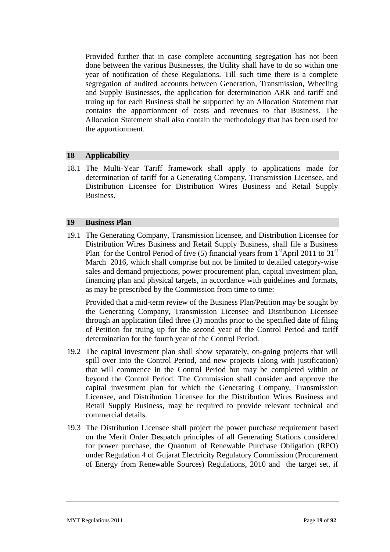Provided further that in case complete accounting segregation has not been done between the various Businesses, the Utility shall have to do so within one year of notification of these Regulations. Till such time there is a complete segregation of audited accounts between Generation, Transmission, Wheeling and Supply Businesses, the application for determination ARR and tariff and truing up for each Business shall be supported by an Allocation Statement that contains the apportionment of costs and revenues to that Business. The Allocation Statement shall also contain the methodology that has been used for the apportionment.

### **18 Applicability**

18.1 The Multi-Year Tariff framework shall apply to applications made for determination of tariff for a Generating Company, Transmission Licensee, and Distribution Licensee for Distribution Wires Business and Retail Supply Business.

#### **19 Business Plan**

19.1 The Generating Company, Transmission licensee, and Distribution Licensee for Distribution Wires Business and Retail Supply Business, shall file a Business Plan for the Control Period of five (5) financial years from  $1<sup>st</sup>$ April 2011 to 31<sup>st</sup> March 2016, which shall comprise but not be limited to detailed category-wise sales and demand projections, power procurement plan, capital investment plan, financing plan and physical targets, in accordance with guidelines and formats, as may be prescribed by the Commission from time to time:

Provided that a mid-term review of the Business Plan/Petition may be sought by the Generating Company, Transmission Licensee and Distribution Licensee through an application filed three (3) months prior to the specified date of filing of Petition for truing up for the second year of the Control Period and tariff determination for the fourth year of the Control Period.

- 19.2 The capital investment plan shall show separately, on-going projects that will spill over into the Control Period, and new projects (along with justification) that will commence in the Control Period but may be completed within or beyond the Control Period. The Commission shall consider and approve the capital investment plan for which the Generating Company, Transmission Licensee, and Distribution Licensee for the Distribution Wires Business and Retail Supply Business, may be required to provide relevant technical and commercial details.
- 19.3 The Distribution Licensee shall project the power purchase requirement based on the Merit Order Despatch principles of all Generating Stations considered for power purchase, the Quantum of Renewable Purchase Obligation (RPO) under Regulation 4 of Gujarat Electricity Regulatory Commission (Procurement of Energy from Renewable Sources) Regulations, 2010 and the target set, if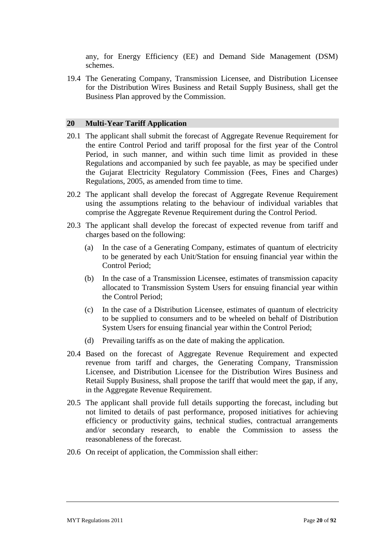any, for Energy Efficiency (EE) and Demand Side Management (DSM) schemes.

19.4 The Generating Company, Transmission Licensee, and Distribution Licensee for the Distribution Wires Business and Retail Supply Business, shall get the Business Plan approved by the Commission.

#### **20 Multi-Year Tariff Application**

- 20.1 The applicant shall submit the forecast of Aggregate Revenue Requirement for the entire Control Period and tariff proposal for the first year of the Control Period, in such manner, and within such time limit as provided in these Regulations and accompanied by such fee payable, as may be specified under the Gujarat Electricity Regulatory Commission (Fees, Fines and Charges) Regulations, 2005, as amended from time to time.
- 20.2 The applicant shall develop the forecast of Aggregate Revenue Requirement using the assumptions relating to the behaviour of individual variables that comprise the Aggregate Revenue Requirement during the Control Period.
- 20.3 The applicant shall develop the forecast of expected revenue from tariff and charges based on the following:
	- (a) In the case of a Generating Company, estimates of quantum of electricity to be generated by each Unit/Station for ensuing financial year within the Control Period;
	- (b) In the case of a Transmission Licensee, estimates of transmission capacity allocated to Transmission System Users for ensuing financial year within the Control Period;
	- (c) In the case of a Distribution Licensee, estimates of quantum of electricity to be supplied to consumers and to be wheeled on behalf of Distribution System Users for ensuing financial year within the Control Period;
	- (d) Prevailing tariffs as on the date of making the application.
- 20.4 Based on the forecast of Aggregate Revenue Requirement and expected revenue from tariff and charges, the Generating Company, Transmission Licensee, and Distribution Licensee for the Distribution Wires Business and Retail Supply Business, shall propose the tariff that would meet the gap, if any, in the Aggregate Revenue Requirement.
- 20.5 The applicant shall provide full details supporting the forecast, including but not limited to details of past performance, proposed initiatives for achieving efficiency or productivity gains, technical studies, contractual arrangements and/or secondary research, to enable the Commission to assess the reasonableness of the forecast.
- 20.6 On receipt of application, the Commission shall either: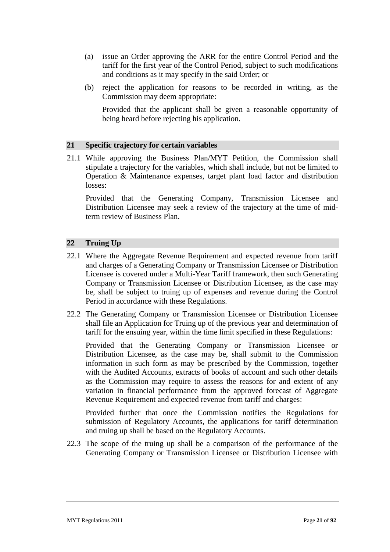- (a) issue an Order approving the ARR for the entire Control Period and the tariff for the first year of the Control Period, subject to such modifications and conditions as it may specify in the said Order; or
- (b) reject the application for reasons to be recorded in writing, as the Commission may deem appropriate:

Provided that the applicant shall be given a reasonable opportunity of being heard before rejecting his application.

### **21 Specific trajectory for certain variables**

21.1 While approving the Business Plan/MYT Petition, the Commission shall stipulate a trajectory for the variables, which shall include, but not be limited to Operation & Maintenance expenses, target plant load factor and distribution losses:

Provided that the Generating Company, Transmission Licensee and Distribution Licensee may seek a review of the trajectory at the time of midterm review of Business Plan.

### **22 Truing Up**

- 22.1 Where the Aggregate Revenue Requirement and expected revenue from tariff and charges of a Generating Company or Transmission Licensee or Distribution Licensee is covered under a Multi-Year Tariff framework, then such Generating Company or Transmission Licensee or Distribution Licensee, as the case may be, shall be subject to truing up of expenses and revenue during the Control Period in accordance with these Regulations.
- 22.2 The Generating Company or Transmission Licensee or Distribution Licensee shall file an Application for Truing up of the previous year and determination of tariff for the ensuing year, within the time limit specified in these Regulations:

Provided that the Generating Company or Transmission Licensee or Distribution Licensee, as the case may be, shall submit to the Commission information in such form as may be prescribed by the Commission, together with the Audited Accounts, extracts of books of account and such other details as the Commission may require to assess the reasons for and extent of any variation in financial performance from the approved forecast of Aggregate Revenue Requirement and expected revenue from tariff and charges:

Provided further that once the Commission notifies the Regulations for submission of Regulatory Accounts, the applications for tariff determination and truing up shall be based on the Regulatory Accounts.

22.3 The scope of the truing up shall be a comparison of the performance of the Generating Company or Transmission Licensee or Distribution Licensee with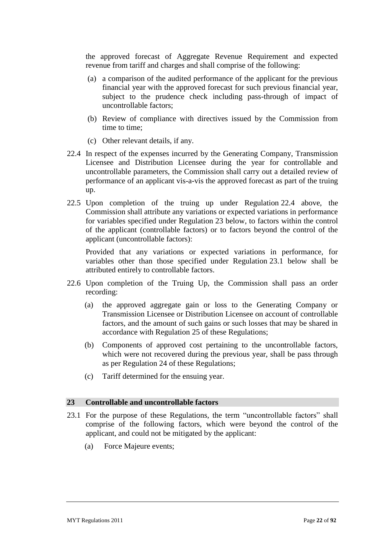the approved forecast of Aggregate Revenue Requirement and expected revenue from tariff and charges and shall comprise of the following:

- (a) a comparison of the audited performance of the applicant for the previous financial year with the approved forecast for such previous financial year, subject to the prudence check including pass-through of impact of uncontrollable factors;
- (b) Review of compliance with directives issued by the Commission from time to time;
- (c) Other relevant details, if any.
- 22.4 In respect of the expenses incurred by the Generating Company, Transmission Licensee and Distribution Licensee during the year for controllable and uncontrollable parameters, the Commission shall carry out a detailed review of performance of an applicant vis-a-vis the approved forecast as part of the truing up.
- 22.5 Upon completion of the truing up under Regulation 22.4 above, the Commission shall attribute any variations or expected variations in performance for variables specified under Regulation 23 below, to factors within the control of the applicant (controllable factors) or to factors beyond the control of the applicant (uncontrollable factors):

Provided that any variations or expected variations in performance, for variables other than those specified under Regulation 23.1 below shall be attributed entirely to controllable factors.

- 22.6 Upon completion of the Truing Up, the Commission shall pass an order recording:
	- (a) the approved aggregate gain or loss to the Generating Company or Transmission Licensee or Distribution Licensee on account of controllable factors, and the amount of such gains or such losses that may be shared in accordance with Regulation 25 of these Regulations;
	- (b) Components of approved cost pertaining to the uncontrollable factors, which were not recovered during the previous year, shall be pass through as per Regulation 24 of these Regulations;
	- (c) Tariff determined for the ensuing year.

### **23 Controllable and uncontrollable factors**

- 23.1 For the purpose of these Regulations, the term "uncontrollable factors" shall comprise of the following factors, which were beyond the control of the applicant, and could not be mitigated by the applicant:
	- (a) Force Majeure events;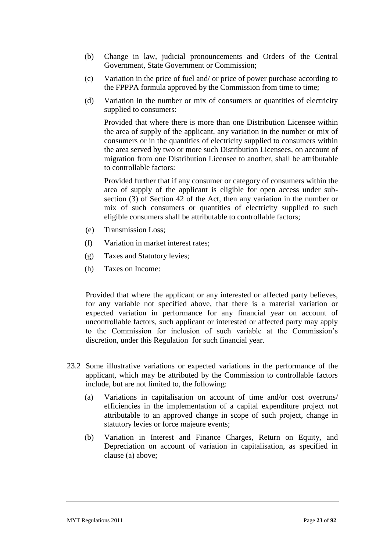- (b) Change in law, judicial pronouncements and Orders of the Central Government, State Government or Commission;
- (c) Variation in the price of fuel and/ or price of power purchase according to the FPPPA formula approved by the Commission from time to time;
- (d) Variation in the number or mix of consumers or quantities of electricity supplied to consumers:

Provided that where there is more than one Distribution Licensee within the area of supply of the applicant, any variation in the number or mix of consumers or in the quantities of electricity supplied to consumers within the area served by two or more such Distribution Licensees, on account of migration from one Distribution Licensee to another, shall be attributable to controllable factors:

Provided further that if any consumer or category of consumers within the area of supply of the applicant is eligible for open access under subsection (3) of Section 42 of the Act, then any variation in the number or mix of such consumers or quantities of electricity supplied to such eligible consumers shall be attributable to controllable factors;

- (e) Transmission Loss;
- (f) Variation in market interest rates;
- (g) Taxes and Statutory levies;
- (h) Taxes on Income:

Provided that where the applicant or any interested or affected party believes, for any variable not specified above, that there is a material variation or expected variation in performance for any financial year on account of uncontrollable factors, such applicant or interested or affected party may apply to the Commission for inclusion of such variable at the Commission"s discretion, under this Regulation for such financial year.

- 23.2 Some illustrative variations or expected variations in the performance of the applicant, which may be attributed by the Commission to controllable factors include, but are not limited to, the following:
	- (a) Variations in capitalisation on account of time and/or cost overruns/ efficiencies in the implementation of a capital expenditure project not attributable to an approved change in scope of such project, change in statutory levies or force majeure events;
	- (b) Variation in Interest and Finance Charges, Return on Equity, and Depreciation on account of variation in capitalisation, as specified in clause (a) above;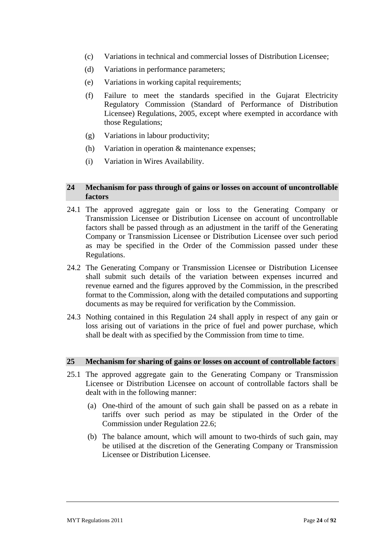- (c) Variations in technical and commercial losses of Distribution Licensee;
- (d) Variations in performance parameters;
- (e) Variations in working capital requirements;
- (f) Failure to meet the standards specified in the Gujarat Electricity Regulatory Commission (Standard of Performance of Distribution Licensee) Regulations, 2005, except where exempted in accordance with those Regulations;
- (g) Variations in labour productivity;
- (h) Variation in operation & maintenance expenses;
- (i) Variation in Wires Availability.

### **24 Mechanism for pass through of gains or losses on account of uncontrollable factors**

- 24.1 The approved aggregate gain or loss to the Generating Company or Transmission Licensee or Distribution Licensee on account of uncontrollable factors shall be passed through as an adjustment in the tariff of the Generating Company or Transmission Licensee or Distribution Licensee over such period as may be specified in the Order of the Commission passed under these Regulations.
- 24.2 The Generating Company or Transmission Licensee or Distribution Licensee shall submit such details of the variation between expenses incurred and revenue earned and the figures approved by the Commission, in the prescribed format to the Commission, along with the detailed computations and supporting documents as may be required for verification by the Commission.
- 24.3 Nothing contained in this Regulation 24 shall apply in respect of any gain or loss arising out of variations in the price of fuel and power purchase, which shall be dealt with as specified by the Commission from time to time.

#### **25 Mechanism for sharing of gains or losses on account of controllable factors**

- 25.1 The approved aggregate gain to the Generating Company or Transmission Licensee or Distribution Licensee on account of controllable factors shall be dealt with in the following manner:
	- (a) One-third of the amount of such gain shall be passed on as a rebate in tariffs over such period as may be stipulated in the Order of the Commission under Regulation 22.6;
	- (b) The balance amount, which will amount to two-thirds of such gain, may be utilised at the discretion of the Generating Company or Transmission Licensee or Distribution Licensee.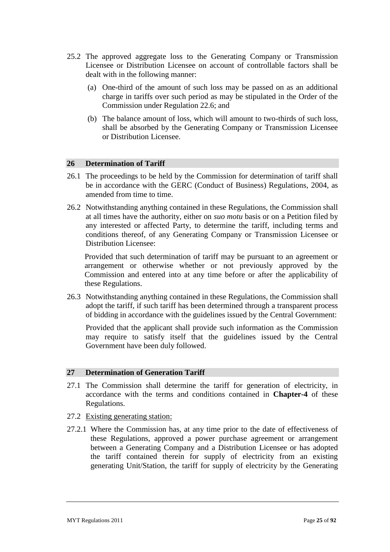- 25.2 The approved aggregate loss to the Generating Company or Transmission Licensee or Distribution Licensee on account of controllable factors shall be dealt with in the following manner:
	- (a) One-third of the amount of such loss may be passed on as an additional charge in tariffs over such period as may be stipulated in the Order of the Commission under Regulation 22.6; and
	- (b) The balance amount of loss, which will amount to two-thirds of such loss, shall be absorbed by the Generating Company or Transmission Licensee or Distribution Licensee.

#### **26 Determination of Tariff**

- 26.1 The proceedings to be held by the Commission for determination of tariff shall be in accordance with the GERC (Conduct of Business) Regulations, 2004, as amended from time to time.
- 26.2 Notwithstanding anything contained in these Regulations, the Commission shall at all times have the authority, either on *suo motu* basis or on a Petition filed by any interested or affected Party, to determine the tariff, including terms and conditions thereof, of any Generating Company or Transmission Licensee or Distribution Licensee:

Provided that such determination of tariff may be pursuant to an agreement or arrangement or otherwise whether or not previously approved by the Commission and entered into at any time before or after the applicability of these Regulations.

26.3 Notwithstanding anything contained in these Regulations, the Commission shall adopt the tariff, if such tariff has been determined through a transparent process of bidding in accordance with the guidelines issued by the Central Government:

Provided that the applicant shall provide such information as the Commission may require to satisfy itself that the guidelines issued by the Central Government have been duly followed.

### **27 Determination of Generation Tariff**

- 27.1 The Commission shall determine the tariff for generation of electricity, in accordance with the terms and conditions contained in **Chapter-4** of these Regulations.
- 27.2 Existing generating station:
- 27.2.1 Where the Commission has, at any time prior to the date of effectiveness of these Regulations, approved a power purchase agreement or arrangement between a Generating Company and a Distribution Licensee or has adopted the tariff contained therein for supply of electricity from an existing generating Unit/Station, the tariff for supply of electricity by the Generating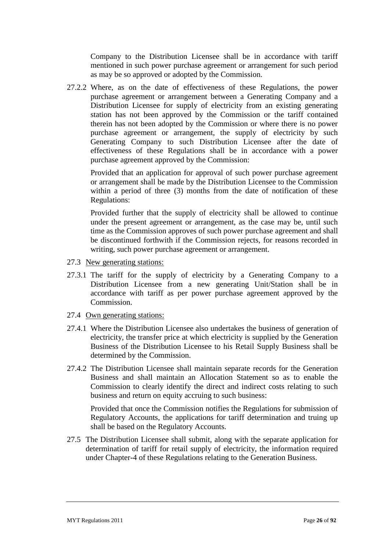Company to the Distribution Licensee shall be in accordance with tariff mentioned in such power purchase agreement or arrangement for such period as may be so approved or adopted by the Commission.

27.2.2 Where, as on the date of effectiveness of these Regulations, the power purchase agreement or arrangement between a Generating Company and a Distribution Licensee for supply of electricity from an existing generating station has not been approved by the Commission or the tariff contained therein has not been adopted by the Commission or where there is no power purchase agreement or arrangement, the supply of electricity by such Generating Company to such Distribution Licensee after the date of effectiveness of these Regulations shall be in accordance with a power purchase agreement approved by the Commission:

Provided that an application for approval of such power purchase agreement or arrangement shall be made by the Distribution Licensee to the Commission within a period of three (3) months from the date of notification of these Regulations:

Provided further that the supply of electricity shall be allowed to continue under the present agreement or arrangement, as the case may be, until such time as the Commission approves of such power purchase agreement and shall be discontinued forthwith if the Commission rejects, for reasons recorded in writing, such power purchase agreement or arrangement.

- 27.3 New generating stations:
- 27.3.1 The tariff for the supply of electricity by a Generating Company to a Distribution Licensee from a new generating Unit/Station shall be in accordance with tariff as per power purchase agreement approved by the Commission.
- 27.4 Own generating stations:
- 27.4.1 Where the Distribution Licensee also undertakes the business of generation of electricity, the transfer price at which electricity is supplied by the Generation Business of the Distribution Licensee to his Retail Supply Business shall be determined by the Commission.
- 27.4.2 The Distribution Licensee shall maintain separate records for the Generation Business and shall maintain an Allocation Statement so as to enable the Commission to clearly identify the direct and indirect costs relating to such business and return on equity accruing to such business:

Provided that once the Commission notifies the Regulations for submission of Regulatory Accounts, the applications for tariff determination and truing up shall be based on the Regulatory Accounts.

27.5 The Distribution Licensee shall submit, along with the separate application for determination of tariff for retail supply of electricity, the information required under Chapter-4 of these Regulations relating to the Generation Business.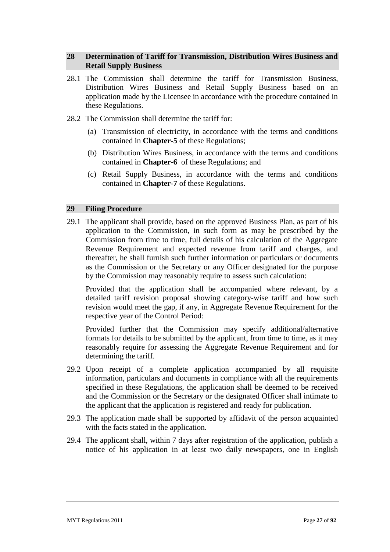# **28 Determination of Tariff for Transmission, Distribution Wires Business and Retail Supply Business**

- 28.1 The Commission shall determine the tariff for Transmission Business, Distribution Wires Business and Retail Supply Business based on an application made by the Licensee in accordance with the procedure contained in these Regulations.
- 28.2 The Commission shall determine the tariff for:
	- (a) Transmission of electricity, in accordance with the terms and conditions contained in **Chapter-5** of these Regulations;
	- (b) Distribution Wires Business, in accordance with the terms and conditions contained in **Chapter-6** of these Regulations; and
	- (c) Retail Supply Business, in accordance with the terms and conditions contained in **Chapter-7** of these Regulations.

#### **29 Filing Procedure**

29.1 The applicant shall provide, based on the approved Business Plan, as part of his application to the Commission, in such form as may be prescribed by the Commission from time to time, full details of his calculation of the Aggregate Revenue Requirement and expected revenue from tariff and charges, and thereafter, he shall furnish such further information or particulars or documents as the Commission or the Secretary or any Officer designated for the purpose by the Commission may reasonably require to assess such calculation:

Provided that the application shall be accompanied where relevant, by a detailed tariff revision proposal showing category-wise tariff and how such revision would meet the gap, if any, in Aggregate Revenue Requirement for the respective year of the Control Period:

Provided further that the Commission may specify additional/alternative formats for details to be submitted by the applicant, from time to time, as it may reasonably require for assessing the Aggregate Revenue Requirement and for determining the tariff.

- 29.2 Upon receipt of a complete application accompanied by all requisite information, particulars and documents in compliance with all the requirements specified in these Regulations, the application shall be deemed to be received and the Commission or the Secretary or the designated Officer shall intimate to the applicant that the application is registered and ready for publication.
- 29.3 The application made shall be supported by affidavit of the person acquainted with the facts stated in the application.
- 29.4 The applicant shall, within 7 days after registration of the application, publish a notice of his application in at least two daily newspapers, one in English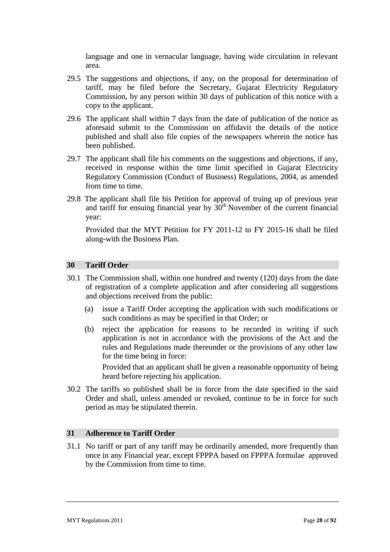language and one in vernacular language, having wide circulation in relevant area.

- 29.5 The suggestions and objections, if any, on the proposal for determination of tariff, may be filed before the Secretary, Gujarat Electricity Regulatory Commission, by any person within 30 days of publication of this notice with a copy to the applicant.
- 29.6 The applicant shall within 7 days from the date of publication of the notice as aforesaid submit to the Commission on affidavit the details of the notice published and shall also file copies of the newspapers wherein the notice has been published.
- 29.7 The applicant shall file his comments on the suggestions and objections, if any, received in response within the time limit specified in Gujarat Electricity Regulatory Commission (Conduct of Business) Regulations, 2004, as amended from time to time.
- 29.8 The applicant shall file his Petition for approval of truing up of previous year and tariff for ensuing financial year by  $30<sup>th</sup>$  November of the current financial year:

Provided that the MYT Petition for FY 2011-12 to FY 2015-16 shall be filed along-with the Business Plan.

### **30 Tariff Order**

- 30.1 The Commission shall, within one hundred and twenty (120) days from the date of registration of a complete application and after considering all suggestions and objections received from the public:
	- (a) issue a Tariff Order accepting the application with such modifications or such conditions as may be specified in that Order; or
	- (b) reject the application for reasons to be recorded in writing if such application is not in accordance with the provisions of the Act and the rules and Regulations made thereunder or the provisions of any other law for the time being in force:

Provided that an applicant shall be given a reasonable opportunity of being heard before rejecting his application.

30.2 The tariffs so published shall be in force from the date specified in the said Order and shall, unless amended or revoked, continue to be in force for such period as may be stipulated therein.

#### **31 Adherence to Tariff Order**

31.1 No tariff or part of any tariff may be ordinarily amended, more frequently than once in any Financial year, except FPPPA based on FPPPA formulae approved by the Commission from time to time.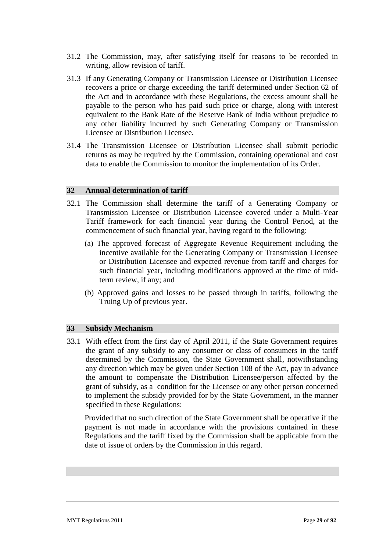- 31.2 The Commission, may, after satisfying itself for reasons to be recorded in writing, allow revision of tariff.
- 31.3 If any Generating Company or Transmission Licensee or Distribution Licensee recovers a price or charge exceeding the tariff determined under Section 62 of the Act and in accordance with these Regulations, the excess amount shall be payable to the person who has paid such price or charge, along with interest equivalent to the Bank Rate of the Reserve Bank of India without prejudice to any other liability incurred by such Generating Company or Transmission Licensee or Distribution Licensee.
- 31.4 The Transmission Licensee or Distribution Licensee shall submit periodic returns as may be required by the Commission, containing operational and cost data to enable the Commission to monitor the implementation of its Order.

#### **32 Annual determination of tariff**

- 32.1 The Commission shall determine the tariff of a Generating Company or Transmission Licensee or Distribution Licensee covered under a Multi-Year Tariff framework for each financial year during the Control Period, at the commencement of such financial year, having regard to the following:
	- (a) The approved forecast of Aggregate Revenue Requirement including the incentive available for the Generating Company or Transmission Licensee or Distribution Licensee and expected revenue from tariff and charges for such financial year, including modifications approved at the time of midterm review, if any; and
	- (b) Approved gains and losses to be passed through in tariffs, following the Truing Up of previous year.

#### **33 Subsidy Mechanism**

33.1 With effect from the first day of April 2011, if the State Government requires the grant of any subsidy to any consumer or class of consumers in the tariff determined by the Commission, the State Government shall, notwithstanding any direction which may be given under Section 108 of the Act, pay in advance the amount to compensate the Distribution Licensee/person affected by the grant of subsidy, as a condition for the Licensee or any other person concerned to implement the subsidy provided for by the State Government, in the manner specified in these Regulations:

Provided that no such direction of the State Government shall be operative if the payment is not made in accordance with the provisions contained in these Regulations and the tariff fixed by the Commission shall be applicable from the date of issue of orders by the Commission in this regard.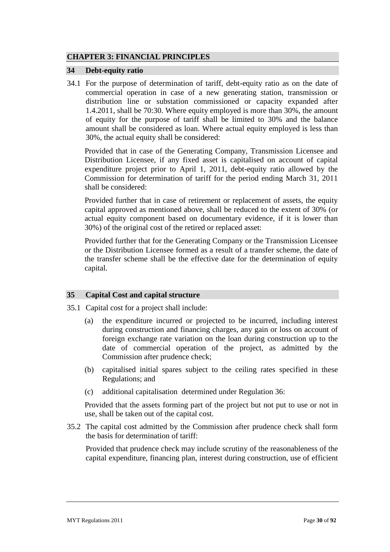# **CHAPTER 3: FINANCIAL PRINCIPLES**

### **34 Debt-equity ratio**

34.1 For the purpose of determination of tariff, debt-equity ratio as on the date of commercial operation in case of a new generating station, transmission or distribution line or substation commissioned or capacity expanded after 1.4.2011, shall be 70:30. Where equity employed is more than 30%, the amount of equity for the purpose of tariff shall be limited to 30% and the balance amount shall be considered as loan. Where actual equity employed is less than 30%, the actual equity shall be considered:

Provided that in case of the Generating Company, Transmission Licensee and Distribution Licensee, if any fixed asset is capitalised on account of capital expenditure project prior to April 1, 2011, debt-equity ratio allowed by the Commission for determination of tariff for the period ending March 31, 2011 shall be considered:

Provided further that in case of retirement or replacement of assets, the equity capital approved as mentioned above, shall be reduced to the extent of 30% (or actual equity component based on documentary evidence, if it is lower than 30%) of the original cost of the retired or replaced asset:

Provided further that for the Generating Company or the Transmission Licensee or the Distribution Licensee formed as a result of a transfer scheme, the date of the transfer scheme shall be the effective date for the determination of equity capital.

# **35 Capital Cost and capital structure**

- 35.1 Capital cost for a project shall include:
	- (a) the expenditure incurred or projected to be incurred, including interest during construction and financing charges, any gain or loss on account of foreign exchange rate variation on the loan during construction up to the date of commercial operation of the project, as admitted by the Commission after prudence check;
	- (b) capitalised initial spares subject to the ceiling rates specified in these Regulations; and
	- (c) additional capitalisation determined under Regulation 36:

Provided that the assets forming part of the project but not put to use or not in use, shall be taken out of the capital cost.

35.2 The capital cost admitted by the Commission after prudence check shall form the basis for determination of tariff:

Provided that prudence check may include scrutiny of the reasonableness of the capital expenditure, financing plan, interest during construction, use of efficient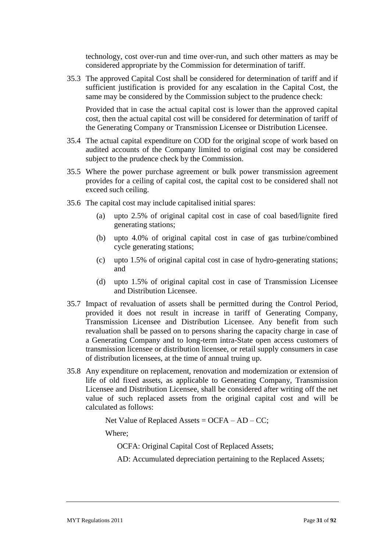technology, cost over-run and time over-run, and such other matters as may be considered appropriate by the Commission for determination of tariff.

35.3 The approved Capital Cost shall be considered for determination of tariff and if sufficient justification is provided for any escalation in the Capital Cost, the same may be considered by the Commission subject to the prudence check:

Provided that in case the actual capital cost is lower than the approved capital cost, then the actual capital cost will be considered for determination of tariff of the Generating Company or Transmission Licensee or Distribution Licensee.

- 35.4 The actual capital expenditure on COD for the original scope of work based on audited accounts of the Company limited to original cost may be considered subject to the prudence check by the Commission.
- 35.5 Where the power purchase agreement or bulk power transmission agreement provides for a ceiling of capital cost, the capital cost to be considered shall not exceed such ceiling.
- 35.6 The capital cost may include capitalised initial spares:
	- (a) upto 2.5% of original capital cost in case of coal based/lignite fired generating stations;
	- (b) upto 4.0% of original capital cost in case of gas turbine/combined cycle generating stations;
	- (c) upto 1.5% of original capital cost in case of hydro-generating stations; and
	- (d) upto 1.5% of original capital cost in case of Transmission Licensee and Distribution Licensee.
- 35.7 Impact of revaluation of assets shall be permitted during the Control Period, provided it does not result in increase in tariff of Generating Company, Transmission Licensee and Distribution Licensee. Any benefit from such revaluation shall be passed on to persons sharing the capacity charge in case of a Generating Company and to long-term intra-State open access customers of transmission licensee or distribution licensee, or retail supply consumers in case of distribution licensees, at the time of annual truing up.
- 35.8 Any expenditure on replacement, renovation and modernization or extension of life of old fixed assets, as applicable to Generating Company, Transmission Licensee and Distribution Licensee, shall be considered after writing off the net value of such replaced assets from the original capital cost and will be calculated as follows:

Net Value of Replaced Assets =  $OCFA - AD - CC$ ;

Where;

OCFA: Original Capital Cost of Replaced Assets;

AD: Accumulated depreciation pertaining to the Replaced Assets;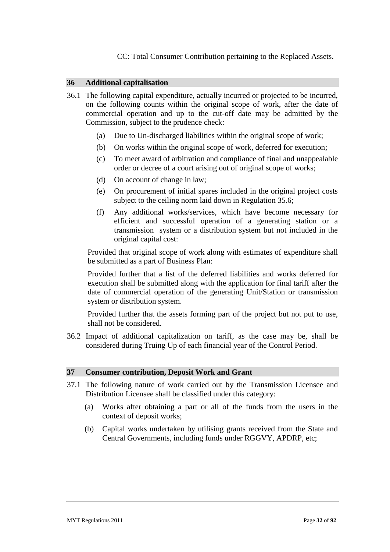CC: Total Consumer Contribution pertaining to the Replaced Assets.

### **36 Additional capitalisation**

- 36.1 The following capital expenditure, actually incurred or projected to be incurred, on the following counts within the original scope of work, after the date of commercial operation and up to the cut-off date may be admitted by the Commission, subject to the prudence check:
	- (a) Due to Un-discharged liabilities within the original scope of work;
	- (b) On works within the original scope of work, deferred for execution;
	- (c) To meet award of arbitration and compliance of final and unappealable order or decree of a court arising out of original scope of works;
	- (d) On account of change in law;
	- (e) On procurement of initial spares included in the original project costs subject to the ceiling norm laid down in Regulation 35.6;
	- (f) Any additional works/services, which have become necessary for efficient and successful operation of a generating station or a transmission system or a distribution system but not included in the original capital cost:

Provided that original scope of work along with estimates of expenditure shall be submitted as a part of Business Plan:

Provided further that a list of the deferred liabilities and works deferred for execution shall be submitted along with the application for final tariff after the date of commercial operation of the generating Unit/Station or transmission system or distribution system.

Provided further that the assets forming part of the project but not put to use, shall not be considered.

36.2 Impact of additional capitalization on tariff, as the case may be, shall be considered during Truing Up of each financial year of the Control Period.

#### **37 Consumer contribution, Deposit Work and Grant**

- 37.1 The following nature of work carried out by the Transmission Licensee and Distribution Licensee shall be classified under this category:
	- (a) Works after obtaining a part or all of the funds from the users in the context of deposit works;
	- (b) Capital works undertaken by utilising grants received from the State and Central Governments, including funds under RGGVY, APDRP, etc;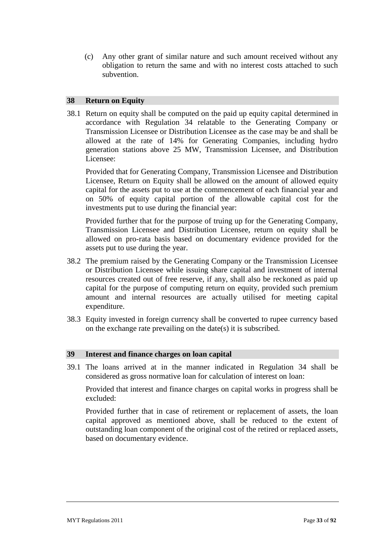(c) Any other grant of similar nature and such amount received without any obligation to return the same and with no interest costs attached to such subvention.

### **38 Return on Equity**

38.1 Return on equity shall be computed on the paid up equity capital determined in accordance with Regulation 34 relatable to the Generating Company or Transmission Licensee or Distribution Licensee as the case may be and shall be allowed at the rate of 14% for Generating Companies, including hydro generation stations above 25 MW, Transmission Licensee, and Distribution Licensee:

Provided that for Generating Company, Transmission Licensee and Distribution Licensee, Return on Equity shall be allowed on the amount of allowed equity capital for the assets put to use at the commencement of each financial year and on 50% of equity capital portion of the allowable capital cost for the investments put to use during the financial year:

Provided further that for the purpose of truing up for the Generating Company, Transmission Licensee and Distribution Licensee, return on equity shall be allowed on pro-rata basis based on documentary evidence provided for the assets put to use during the year.

- 38.2 The premium raised by the Generating Company or the Transmission Licensee or Distribution Licensee while issuing share capital and investment of internal resources created out of free reserve, if any, shall also be reckoned as paid up capital for the purpose of computing return on equity, provided such premium amount and internal resources are actually utilised for meeting capital expenditure.
- 38.3 Equity invested in foreign currency shall be converted to rupee currency based on the exchange rate prevailing on the date(s) it is subscribed.

#### **39 Interest and finance charges on loan capital**

39.1 The loans arrived at in the manner indicated in Regulation 34 shall be considered as gross normative loan for calculation of interest on loan:

Provided that interest and finance charges on capital works in progress shall be excluded:

Provided further that in case of retirement or replacement of assets, the loan capital approved as mentioned above, shall be reduced to the extent of outstanding loan component of the original cost of the retired or replaced assets, based on documentary evidence.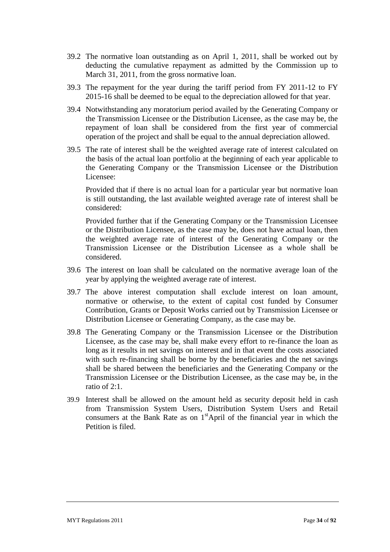- 39.2 The normative loan outstanding as on April 1, 2011, shall be worked out by deducting the cumulative repayment as admitted by the Commission up to March 31, 2011, from the gross normative loan.
- 39.3 The repayment for the year during the tariff period from FY 2011-12 to FY 2015-16 shall be deemed to be equal to the depreciation allowed for that year.
- 39.4 Notwithstanding any moratorium period availed by the Generating Company or the Transmission Licensee or the Distribution Licensee, as the case may be, the repayment of loan shall be considered from the first year of commercial operation of the project and shall be equal to the annual depreciation allowed.
- 39.5 The rate of interest shall be the weighted average rate of interest calculated on the basis of the actual loan portfolio at the beginning of each year applicable to the Generating Company or the Transmission Licensee or the Distribution Licensee:

Provided that if there is no actual loan for a particular year but normative loan is still outstanding, the last available weighted average rate of interest shall be considered:

Provided further that if the Generating Company or the Transmission Licensee or the Distribution Licensee, as the case may be, does not have actual loan, then the weighted average rate of interest of the Generating Company or the Transmission Licensee or the Distribution Licensee as a whole shall be considered.

- 39.6 The interest on loan shall be calculated on the normative average loan of the year by applying the weighted average rate of interest.
- 39.7 The above interest computation shall exclude interest on loan amount, normative or otherwise, to the extent of capital cost funded by Consumer Contribution, Grants or Deposit Works carried out by Transmission Licensee or Distribution Licensee or Generating Company, as the case may be.
- 39.8 The Generating Company or the Transmission Licensee or the Distribution Licensee, as the case may be, shall make every effort to re-finance the loan as long as it results in net savings on interest and in that event the costs associated with such re-financing shall be borne by the beneficiaries and the net savings shall be shared between the beneficiaries and the Generating Company or the Transmission Licensee or the Distribution Licensee, as the case may be, in the ratio of 2:1.
- 39.9 Interest shall be allowed on the amount held as security deposit held in cash from Transmission System Users, Distribution System Users and Retail consumers at the Bank Rate as on  $1<sup>st</sup>$ April of the financial year in which the Petition is filed.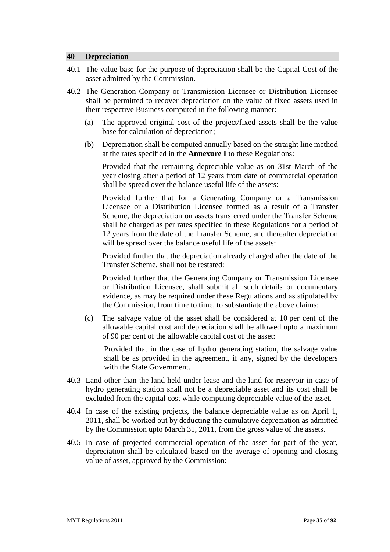### **40 Depreciation**

- 40.1 The value base for the purpose of depreciation shall be the Capital Cost of the asset admitted by the Commission.
- 40.2 The Generation Company or Transmission Licensee or Distribution Licensee shall be permitted to recover depreciation on the value of fixed assets used in their respective Business computed in the following manner:
	- (a) The approved original cost of the project/fixed assets shall be the value base for calculation of depreciation;
	- (b) Depreciation shall be computed annually based on the straight line method at the rates specified in the **Annexure I** to these Regulations:

Provided that the remaining depreciable value as on 31st March of the year closing after a period of 12 years from date of commercial operation shall be spread over the balance useful life of the assets:

Provided further that for a Generating Company or a Transmission Licensee or a Distribution Licensee formed as a result of a Transfer Scheme, the depreciation on assets transferred under the Transfer Scheme shall be charged as per rates specified in these Regulations for a period of 12 years from the date of the Transfer Scheme, and thereafter depreciation will be spread over the balance useful life of the assets:

Provided further that the depreciation already charged after the date of the Transfer Scheme, shall not be restated:

Provided further that the Generating Company or Transmission Licensee or Distribution Licensee, shall submit all such details or documentary evidence, as may be required under these Regulations and as stipulated by the Commission, from time to time, to substantiate the above claims;

(c) The salvage value of the asset shall be considered at 10 per cent of the allowable capital cost and depreciation shall be allowed upto a maximum of 90 per cent of the allowable capital cost of the asset:

Provided that in the case of hydro generating station, the salvage value shall be as provided in the agreement, if any, signed by the developers with the State Government.

- 40.3 Land other than the land held under lease and the land for reservoir in case of hydro generating station shall not be a depreciable asset and its cost shall be excluded from the capital cost while computing depreciable value of the asset.
- 40.4 In case of the existing projects, the balance depreciable value as on April 1, 2011, shall be worked out by deducting the cumulative depreciation as admitted by the Commission upto March 31, 2011, from the gross value of the assets.
- 40.5 In case of projected commercial operation of the asset for part of the year, depreciation shall be calculated based on the average of opening and closing value of asset, approved by the Commission: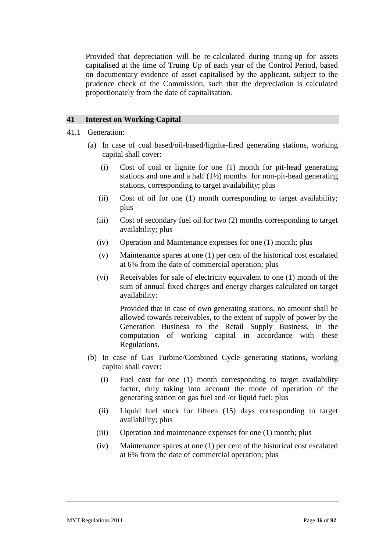Provided that depreciation will be re-calculated during truing-up for assets capitalised at the time of Truing Up of each year of the Control Period, based on documentary evidence of asset capitalised by the applicant, subject to the prudence check of the Commission, such that the depreciation is calculated proportionately from the date of capitalisation.

# **41 Interest on Working Capital**

- 41.1 Generation:
	- (a) In case of coal based/oil-based/lignite-fired generating stations, working capital shall cover:
		- (i) Cost of coal or lignite for one (1) month for pit-head generating stations and one and a half (1½) months for non-pit-head generating stations, corresponding to target availability; plus
		- (ii) Cost of oil for one (1) month corresponding to target availability; plus
		- (iii) Cost of secondary fuel oil for two (2) months corresponding to target availability; plus
		- (iv) Operation and Maintenance expenses for one (1) month; plus
		- (v) Maintenance spares at one (1) per cent of the historical cost escalated at 6% from the date of commercial operation; plus
		- (vi) Receivables for sale of electricity equivalent to one (1) month of the sum of annual fixed charges and energy charges calculated on target availability:

Provided that in case of own generating stations, no amount shall be allowed towards receivables, to the extent of supply of power by the Generation Business to the Retail Supply Business, in the computation of working capital in accordance with these Regulations.

- (b) In case of Gas Turbine/Combined Cycle generating stations, working capital shall cover:
	- (i) Fuel cost for one (1) month corresponding to target availability factor, duly taking into account the mode of operation of the generating station on gas fuel and /or liquid fuel; plus
	- (ii) Liquid fuel stock for fifteen (15) days corresponding to target availability; plus
	- (iii) Operation and maintenance expenses for one (1) month; plus
	- (iv) Maintenance spares at one (1) per cent of the historical cost escalated at 6% from the date of commercial operation; plus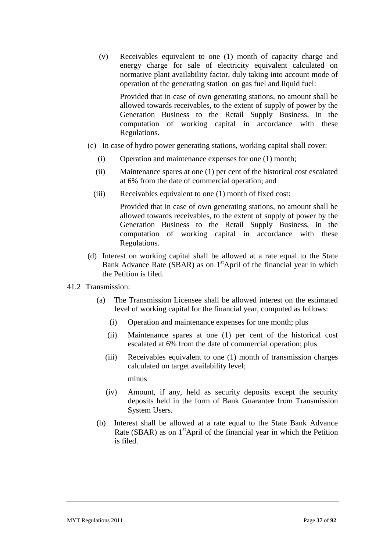(v) Receivables equivalent to one (1) month of capacity charge and energy charge for sale of electricity equivalent calculated on normative plant availability factor, duly taking into account mode of operation of the generating station on gas fuel and liquid fuel:

Provided that in case of own generating stations, no amount shall be allowed towards receivables, to the extent of supply of power by the Generation Business to the Retail Supply Business, in the computation of working capital in accordance with these Regulations.

- (c) In case of hydro power generating stations, working capital shall cover:
	- (i) Operation and maintenance expenses for one (1) month;
	- (ii) Maintenance spares at one (1) per cent of the historical cost escalated at 6% from the date of commercial operation; and
	- (iii) Receivables equivalent to one (1) month of fixed cost:

Provided that in case of own generating stations, no amount shall be allowed towards receivables, to the extent of supply of power by the Generation Business to the Retail Supply Business, in the computation of working capital in accordance with these Regulations.

(d) Interest on working capital shall be allowed at a rate equal to the State Bank Advance Rate (SBAR) as on 1<sup>st</sup>April of the financial year in which the Petition is filed.

# 41.2 Transmission:

- (a) The Transmission Licensee shall be allowed interest on the estimated level of working capital for the financial year, computed as follows:
	- (i) Operation and maintenance expenses for one month; plus
	- (ii) Maintenance spares at one (1) per cent of the historical cost escalated at 6% from the date of commercial operation; plus
	- (iii) Receivables equivalent to one (1) month of transmission charges calculated on target availability level;

minus

- (iv) Amount, if any, held as security deposits except the security deposits held in the form of Bank Guarantee from Transmission System Users.
- (b) Interest shall be allowed at a rate equal to the State Bank Advance Rate (SBAR) as on  $1<sup>st</sup>$ April of the financial year in which the Petition is filed.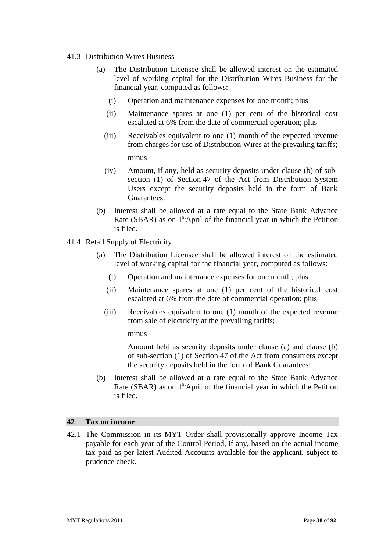### 41.3 Distribution Wires Business

- (a) The Distribution Licensee shall be allowed interest on the estimated level of working capital for the Distribution Wires Business for the financial year, computed as follows:
	- (i) Operation and maintenance expenses for one month; plus
	- (ii) Maintenance spares at one (1) per cent of the historical cost escalated at 6% from the date of commercial operation; plus
	- (iii) Receivables equivalent to one (1) month of the expected revenue from charges for use of Distribution Wires at the prevailing tariffs; minus
	- (iv) Amount, if any, held as security deposits under clause (b) of subsection (1) of Section 47 of the Act from Distribution System Users except the security deposits held in the form of Bank Guarantees.
- (b) Interest shall be allowed at a rate equal to the State Bank Advance Rate (SBAR) as on  $1<sup>st</sup>$ April of the financial year in which the Petition is filed.
- 41.4 Retail Supply of Electricity
	- (a) The Distribution Licensee shall be allowed interest on the estimated level of working capital for the financial year, computed as follows:
		- (i) Operation and maintenance expenses for one month; plus
		- (ii) Maintenance spares at one (1) per cent of the historical cost escalated at 6% from the date of commercial operation; plus
		- (iii) Receivables equivalent to one (1) month of the expected revenue from sale of electricity at the prevailing tariffs;

minus

Amount held as security deposits under clause (a) and clause (b) of sub-section (1) of Section 47 of the Act from consumers except the security deposits held in the form of Bank Guarantees;

(b) Interest shall be allowed at a rate equal to the State Bank Advance Rate (SBAR) as on  $1<sup>st</sup>$ April of the financial year in which the Petition is filed.

## **42 Tax on income**

42.1 The Commission in its MYT Order shall provisionally approve Income Tax payable for each year of the Control Period, if any, based on the actual income tax paid as per latest Audited Accounts available for the applicant, subject to prudence check.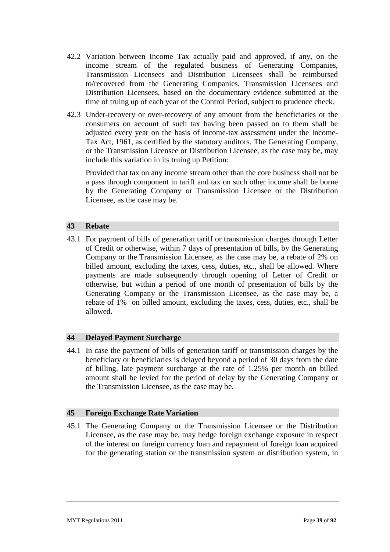- 42.2 Variation between Income Tax actually paid and approved, if any, on the income stream of the regulated business of Generating Companies, Transmission Licensees and Distribution Licensees shall be reimbursed to/recovered from the Generating Companies, Transmission Licensees and Distribution Licensees, based on the documentary evidence submitted at the time of truing up of each year of the Control Period, subject to prudence check.
- 42.3 Under-recovery or over-recovery of any amount from the beneficiaries or the consumers on account of such tax having been passed on to them shall be adjusted every year on the basis of income-tax assessment under the Income-Tax Act, 1961, as certified by the statutory auditors. The Generating Company, or the Transmission Licensee or Distribution Licensee, as the case may be, may include this variation in its truing up Petition:

Provided that tax on any income stream other than the core business shall not be a pass through component in tariff and tax on such other income shall be borne by the Generating Company or Transmission Licensee or the Distribution Licensee, as the case may be.

## **43 Rebate**

43.1 For payment of bills of generation tariff or transmission charges through Letter of Credit or otherwise, within 7 days of presentation of bills, by the Generating Company or the Transmission Licensee, as the case may be, a rebate of 2% on billed amount, excluding the taxes, cess, duties, etc., shall be allowed. Where payments are made subsequently through opening of Letter of Credit or otherwise, but within a period of one month of presentation of bills by the Generating Company or the Transmission Licensee, as the case may be, a rebate of 1% on billed amount, excluding the taxes, cess, duties, etc., shall be allowed.

## **44 Delayed Payment Surcharge**

44.1 In case the payment of bills of generation tariff or transmission charges by the beneficiary or beneficiaries is delayed beyond a period of 30 days from the date of billing, late payment surcharge at the rate of 1.25% per month on billed amount shall be levied for the period of delay by the Generating Company or the Transmission Licensee, as the case may be.

## **45 Foreign Exchange Rate Variation**

45.1 The Generating Company or the Transmission Licensee or the Distribution Licensee, as the case may be, may hedge foreign exchange exposure in respect of the interest on foreign currency loan and repayment of foreign loan acquired for the generating station or the transmission system or distribution system, in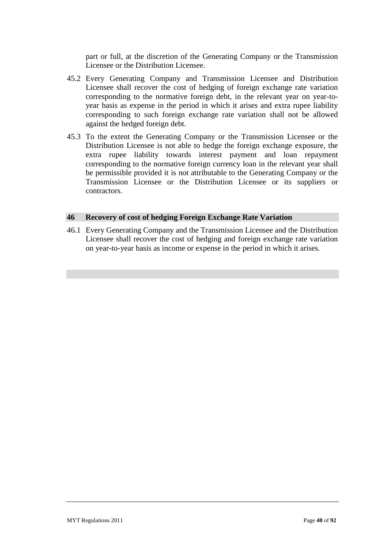part or full, at the discretion of the Generating Company or the Transmission Licensee or the Distribution Licensee.

- 45.2 Every Generating Company and Transmission Licensee and Distribution Licensee shall recover the cost of hedging of foreign exchange rate variation corresponding to the normative foreign debt, in the relevant year on year-toyear basis as expense in the period in which it arises and extra rupee liability corresponding to such foreign exchange rate variation shall not be allowed against the hedged foreign debt.
- 45.3 To the extent the Generating Company or the Transmission Licensee or the Distribution Licensee is not able to hedge the foreign exchange exposure, the extra rupee liability towards interest payment and loan repayment corresponding to the normative foreign currency loan in the relevant year shall be permissible provided it is not attributable to the Generating Company or the Transmission Licensee or the Distribution Licensee or its suppliers or contractors.

#### **46 Recovery of cost of hedging Foreign Exchange Rate Variation**

46.1 Every Generating Company and the Transmission Licensee and the Distribution Licensee shall recover the cost of hedging and foreign exchange rate variation on year-to-year basis as income or expense in the period in which it arises.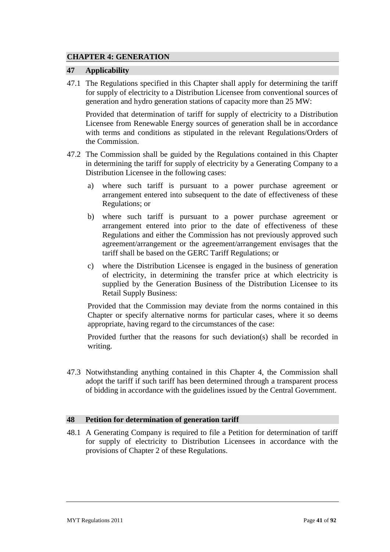# **CHAPTER 4: GENERATION**

### **47 Applicability**

47.1 The Regulations specified in this Chapter shall apply for determining the tariff for supply of electricity to a Distribution Licensee from conventional sources of generation and hydro generation stations of capacity more than 25 MW:

Provided that determination of tariff for supply of electricity to a Distribution Licensee from Renewable Energy sources of generation shall be in accordance with terms and conditions as stipulated in the relevant Regulations/Orders of the Commission.

- 47.2 The Commission shall be guided by the Regulations contained in this Chapter in determining the tariff for supply of electricity by a Generating Company to a Distribution Licensee in the following cases:
	- a) where such tariff is pursuant to a power purchase agreement or arrangement entered into subsequent to the date of effectiveness of these Regulations; or
	- b) where such tariff is pursuant to a power purchase agreement or arrangement entered into prior to the date of effectiveness of these Regulations and either the Commission has not previously approved such agreement/arrangement or the agreement/arrangement envisages that the tariff shall be based on the GERC Tariff Regulations; or
	- c) where the Distribution Licensee is engaged in the business of generation of electricity, in determining the transfer price at which electricity is supplied by the Generation Business of the Distribution Licensee to its Retail Supply Business:

Provided that the Commission may deviate from the norms contained in this Chapter or specify alternative norms for particular cases, where it so deems appropriate, having regard to the circumstances of the case:

Provided further that the reasons for such deviation(s) shall be recorded in writing.

47.3 Notwithstanding anything contained in this Chapter 4, the Commission shall adopt the tariff if such tariff has been determined through a transparent process of bidding in accordance with the guidelines issued by the Central Government.

#### **48 Petition for determination of generation tariff**

48.1 A Generating Company is required to file a Petition for determination of tariff for supply of electricity to Distribution Licensees in accordance with the provisions of Chapter 2 of these Regulations.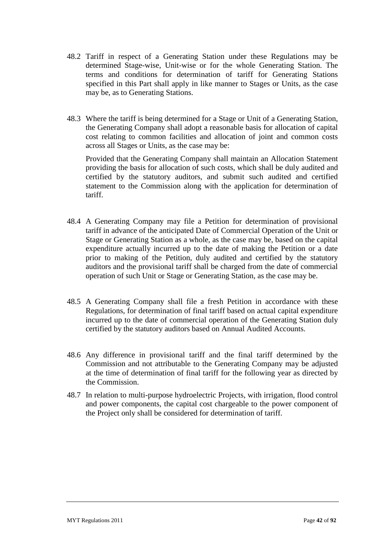- 48.2 Tariff in respect of a Generating Station under these Regulations may be determined Stage-wise, Unit-wise or for the whole Generating Station. The terms and conditions for determination of tariff for Generating Stations specified in this Part shall apply in like manner to Stages or Units, as the case may be, as to Generating Stations.
- 48.3 Where the tariff is being determined for a Stage or Unit of a Generating Station, the Generating Company shall adopt a reasonable basis for allocation of capital cost relating to common facilities and allocation of joint and common costs across all Stages or Units, as the case may be:

Provided that the Generating Company shall maintain an Allocation Statement providing the basis for allocation of such costs, which shall be duly audited and certified by the statutory auditors, and submit such audited and certified statement to the Commission along with the application for determination of tariff.

- 48.4 A Generating Company may file a Petition for determination of provisional tariff in advance of the anticipated Date of Commercial Operation of the Unit or Stage or Generating Station as a whole, as the case may be, based on the capital expenditure actually incurred up to the date of making the Petition or a date prior to making of the Petition, duly audited and certified by the statutory auditors and the provisional tariff shall be charged from the date of commercial operation of such Unit or Stage or Generating Station, as the case may be.
- 48.5 A Generating Company shall file a fresh Petition in accordance with these Regulations, for determination of final tariff based on actual capital expenditure incurred up to the date of commercial operation of the Generating Station duly certified by the statutory auditors based on Annual Audited Accounts.
- 48.6 Any difference in provisional tariff and the final tariff determined by the Commission and not attributable to the Generating Company may be adjusted at the time of determination of final tariff for the following year as directed by the Commission.
- 48.7 In relation to multi-purpose hydroelectric Projects, with irrigation, flood control and power components, the capital cost chargeable to the power component of the Project only shall be considered for determination of tariff.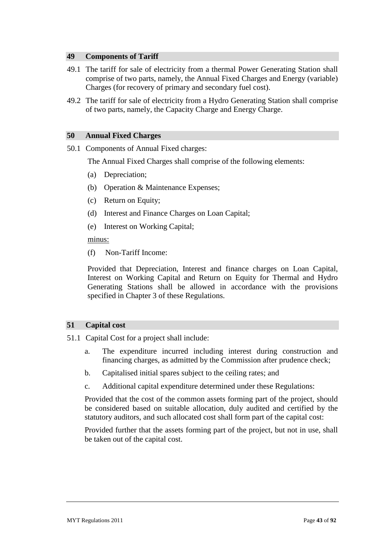### **49 Components of Tariff**

- 49.1 The tariff for sale of electricity from a thermal Power Generating Station shall comprise of two parts, namely, the Annual Fixed Charges and Energy (variable) Charges (for recovery of primary and secondary fuel cost).
- 49.2 The tariff for sale of electricity from a Hydro Generating Station shall comprise of two parts, namely, the Capacity Charge and Energy Charge.

#### **50 Annual Fixed Charges**

50.1 Components of Annual Fixed charges:

The Annual Fixed Charges shall comprise of the following elements:

- (a) Depreciation;
- (b) Operation & Maintenance Expenses;
- (c) Return on Equity;
- (d) Interest and Finance Charges on Loan Capital;
- (e) Interest on Working Capital;

minus:

(f) Non-Tariff Income:

Provided that Depreciation, Interest and finance charges on Loan Capital, Interest on Working Capital and Return on Equity for Thermal and Hydro Generating Stations shall be allowed in accordance with the provisions specified in Chapter 3 of these Regulations.

#### **51 Capital cost**

- 51.1 Capital Cost for a project shall include:
	- a. The expenditure incurred including interest during construction and financing charges, as admitted by the Commission after prudence check;
	- b. Capitalised initial spares subject to the ceiling rates; and
	- c. Additional capital expenditure determined under these Regulations:

Provided that the cost of the common assets forming part of the project, should be considered based on suitable allocation, duly audited and certified by the statutory auditors, and such allocated cost shall form part of the capital cost:

Provided further that the assets forming part of the project, but not in use, shall be taken out of the capital cost.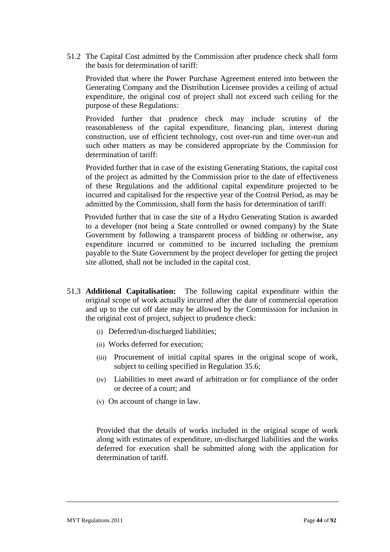51.2 The Capital Cost admitted by the Commission after prudence check shall form the basis for determination of tariff:

Provided that where the Power Purchase Agreement entered into between the Generating Company and the Distribution Licensee provides a ceiling of actual expenditure, the original cost of project shall not exceed such ceiling for the purpose of these Regulations:

Provided further that prudence check may include scrutiny of the reasonableness of the capital expenditure, financing plan, interest during construction, use of efficient technology, cost over-run and time over-run and such other matters as may be considered appropriate by the Commission for determination of tariff:

Provided further that in case of the existing Generating Stations, the capital cost of the project as admitted by the Commission prior to the date of effectiveness of these Regulations and the additional capital expenditure projected to be incurred and capitalised for the respective year of the Control Period, as may be admitted by the Commission, shall form the basis for determination of tariff:

Provided further that in case the site of a Hydro Generating Station is awarded to a developer (not being a State controlled or owned company) by the State Government by following a transparent process of bidding or otherwise, any expenditure incurred or committed to be incurred including the premium payable to the State Government by the project developer for getting the project site allotted, shall not be included in the capital cost.

- 51.3 **Additional Capitalisation:** The following capital expenditure within the original scope of work actually incurred after the date of commercial operation and up to the cut off date may be allowed by the Commission for inclusion in the original cost of project, subject to prudence check:
	- (i) Deferred/un-discharged liabilities;
	- (ii) Works deferred for execution;
	- (iii) Procurement of initial capital spares in the original scope of work, subject to ceiling specified in Regulation 35.6;
	- (iv) Liabilities to meet award of arbitration or for compliance of the order or decree of a court; and
	- (v) On account of change in law.

Provided that the details of works included in the original scope of work along with estimates of expenditure, un-discharged liabilities and the works deferred for execution shall be submitted along with the application for determination of tariff.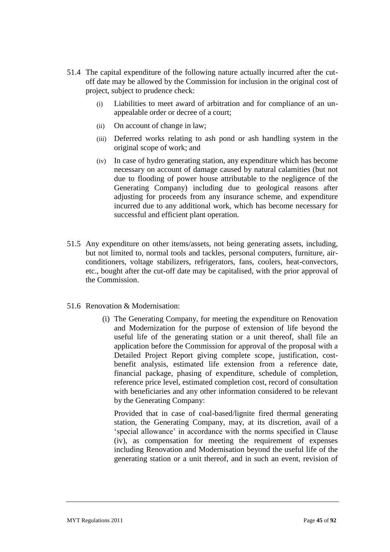- 51.4 The capital expenditure of the following nature actually incurred after the cutoff date may be allowed by the Commission for inclusion in the original cost of project, subject to prudence check:
	- (i) Liabilities to meet award of arbitration and for compliance of an unappealable order or decree of a court;
	- (ii) On account of change in law;
	- (iii) Deferred works relating to ash pond or ash handling system in the original scope of work; and
	- (iv) In case of hydro generating station, any expenditure which has become necessary on account of damage caused by natural calamities (but not due to flooding of power house attributable to the negligence of the Generating Company) including due to geological reasons after adjusting for proceeds from any insurance scheme, and expenditure incurred due to any additional work, which has become necessary for successful and efficient plant operation.
- 51.5 Any expenditure on other items/assets, not being generating assets, including, but not limited to, normal tools and tackles, personal computers, furniture, airconditioners, voltage stabilizers, refrigerators, fans, coolers, heat-convectors, etc., bought after the cut-off date may be capitalised, with the prior approval of the Commission.
- 51.6 Renovation & Modernisation:
	- (i) The Generating Company, for meeting the expenditure on Renovation and Modernization for the purpose of extension of life beyond the useful life of the generating station or a unit thereof, shall file an application before the Commission for approval of the proposal with a Detailed Project Report giving complete scope, justification, costbenefit analysis, estimated life extension from a reference date, financial package, phasing of expenditure, schedule of completion, reference price level, estimated completion cost, record of consultation with beneficiaries and any other information considered to be relevant by the Generating Company:

Provided that in case of coal-based/lignite fired thermal generating station, the Generating Company, may, at its discretion, avail of a 'special allowance' in accordance with the norms specified in Clause (iv), as compensation for meeting the requirement of expenses including Renovation and Modernisation beyond the useful life of the generating station or a unit thereof, and in such an event, revision of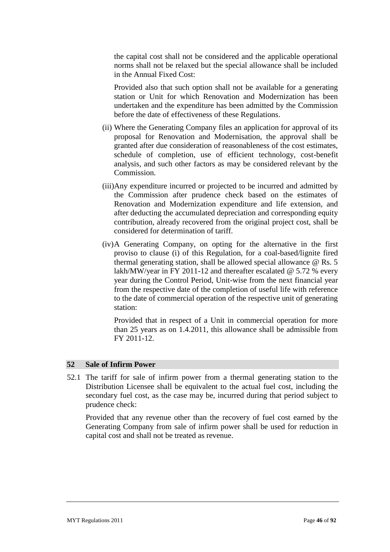the capital cost shall not be considered and the applicable operational norms shall not be relaxed but the special allowance shall be included in the Annual Fixed Cost:

Provided also that such option shall not be available for a generating station or Unit for which Renovation and Modernization has been undertaken and the expenditure has been admitted by the Commission before the date of effectiveness of these Regulations.

- (ii) Where the Generating Company files an application for approval of its proposal for Renovation and Modernisation, the approval shall be granted after due consideration of reasonableness of the cost estimates, schedule of completion, use of efficient technology, cost-benefit analysis, and such other factors as may be considered relevant by the Commission.
- (iii)Any expenditure incurred or projected to be incurred and admitted by the Commission after prudence check based on the estimates of Renovation and Modernization expenditure and life extension, and after deducting the accumulated depreciation and corresponding equity contribution, already recovered from the original project cost, shall be considered for determination of tariff.
- (iv)A Generating Company, on opting for the alternative in the first proviso to clause (i) of this Regulation, for a coal-based/lignite fired thermal generating station, shall be allowed special allowance @ Rs. 5 lakh/MW/year in FY 2011-12 and thereafter escalated @ 5.72 % every year during the Control Period, Unit-wise from the next financial year from the respective date of the completion of useful life with reference to the date of commercial operation of the respective unit of generating station:

Provided that in respect of a Unit in commercial operation for more than 25 years as on 1.4.2011, this allowance shall be admissible from FY 2011-12.

#### **52 Sale of Infirm Power**

52.1 The tariff for sale of infirm power from a thermal generating station to the Distribution Licensee shall be equivalent to the actual fuel cost, including the secondary fuel cost, as the case may be, incurred during that period subject to prudence check:

Provided that any revenue other than the recovery of fuel cost earned by the Generating Company from sale of infirm power shall be used for reduction in capital cost and shall not be treated as revenue.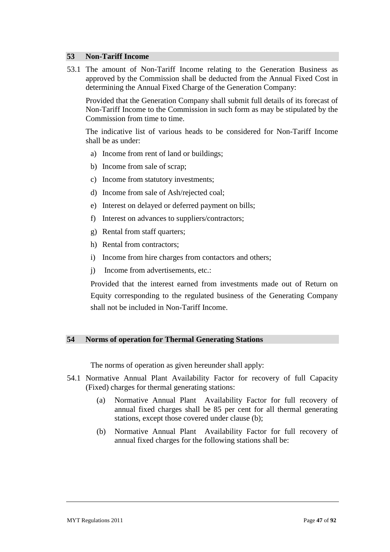### **53 Non-Tariff Income**

53.1 The amount of Non-Tariff Income relating to the Generation Business as approved by the Commission shall be deducted from the Annual Fixed Cost in determining the Annual Fixed Charge of the Generation Company:

Provided that the Generation Company shall submit full details of its forecast of Non-Tariff Income to the Commission in such form as may be stipulated by the Commission from time to time.

The indicative list of various heads to be considered for Non-Tariff Income shall be as under:

- a) Income from rent of land or buildings;
- b) Income from sale of scrap;
- c) Income from statutory investments;
- d) Income from sale of Ash/rejected coal;
- e) Interest on delayed or deferred payment on bills;
- f) Interest on advances to suppliers/contractors;
- g) Rental from staff quarters;
- h) Rental from contractors;
- i) Income from hire charges from contactors and others;
- j) Income from advertisements, etc.:

Provided that the interest earned from investments made out of Return on Equity corresponding to the regulated business of the Generating Company shall not be included in Non-Tariff Income.

#### **54 Norms of operation for Thermal Generating Stations**

The norms of operation as given hereunder shall apply:

- 54.1 Normative Annual Plant Availability Factor for recovery of full Capacity (Fixed) charges for thermal generating stations:
	- (a) Normative Annual Plant Availability Factor for full recovery of annual fixed charges shall be 85 per cent for all thermal generating stations, except those covered under clause (b);
	- (b) Normative Annual Plant Availability Factor for full recovery of annual fixed charges for the following stations shall be: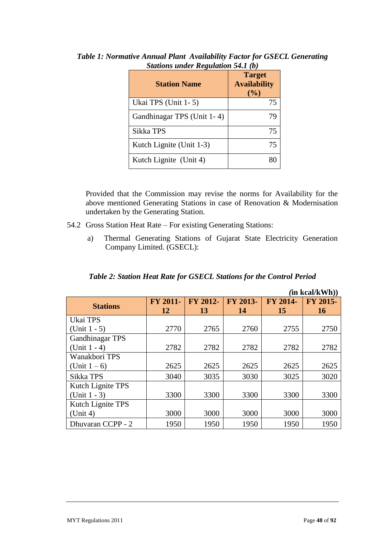| <b>Station Name</b>        | <b>Target</b><br><b>Availability</b><br>(%) |
|----------------------------|---------------------------------------------|
| Ukai TPS (Unit 1-5)        | 75                                          |
| Gandhinagar TPS (Unit 1-4) | 79                                          |
| Sikka TPS                  | 75                                          |
| Kutch Lignite (Unit 1-3)   | 75                                          |
| Kutch Lignite (Unit 4)     |                                             |

*Table 1: Normative Annual Plant Availability Factor for GSECL Generating Stations under Regulation 54.1 (b)*

Provided that the Commission may revise the norms for Availability for the above mentioned Generating Stations in case of Renovation & Modernisation undertaken by the Generating Station.

- 54.2 Gross Station Heat Rate For existing Generating Stations:
	- a) Thermal Generating Stations of Gujarat State Electricity Generation Company Limited. (GSECL):

# *Table 2: Station Heat Rate for GSECL Stations for the Control Period*

|                        |                |                |                |                | $(in$ kcal/kWh $))$   |
|------------------------|----------------|----------------|----------------|----------------|-----------------------|
| <b>Stations</b>        | FY 2011-<br>12 | FY 2012-<br>13 | FY 2013-<br>14 | FY 2014-<br>15 | FY 2015-<br><b>16</b> |
| Ukai TPS               |                |                |                |                |                       |
| (Unit $1 - 5$ )        | 2770           | 2765           | 2760           | 2755           | 2750                  |
| <b>Gandhinagar TPS</b> |                |                |                |                |                       |
| $(Unit 1 - 4)$         | 2782           | 2782           | 2782           | 2782           | 2782                  |
| Wanakbori TPS          |                |                |                |                |                       |
| (Unit $1-6$ )          | 2625           | 2625           | 2625           | 2625           | 2625                  |
| Sikka TPS              | 3040           | 3035           | 3030           | 3025           | 3020                  |
| Kutch Lignite TPS      |                |                |                |                |                       |
| $(Unit 1 - 3)$         | 3300           | 3300           | 3300           | 3300           | 3300                  |
| Kutch Lignite TPS      |                |                |                |                |                       |
| (Unit 4)               | 3000           | 3000           | 3000           | 3000           | 3000                  |
| Dhuvaran CCPP - 2      | 1950           | 1950           | 1950           | 1950           | 1950                  |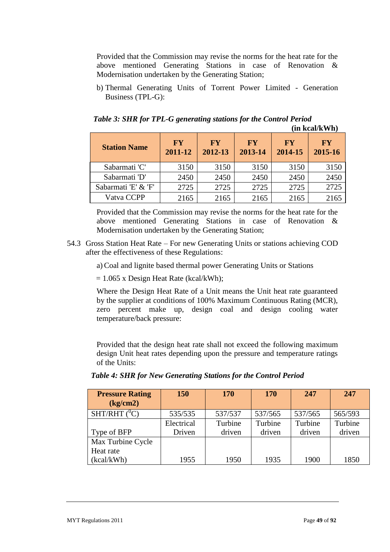Provided that the Commission may revise the norms for the heat rate for the above mentioned Generating Stations in case of Renovation & Modernisation undertaken by the Generating Station;

b) Thermal Generating Units of Torrent Power Limited - Generation Business (TPL-G):

*Table 3: SHR for TPL-G generating stations for the Control Period* **(in kcal/kWh)**

| <b>Station Name</b> | <b>FY</b><br>2011-12 | <b>FY</b><br>2012-13 | $\mathbf{F}\mathbf{Y}$<br>2013-14 | $\bf F\bf Y$<br>2014-15 | $\bf F\bf Y$<br>2015-16 |
|---------------------|----------------------|----------------------|-----------------------------------|-------------------------|-------------------------|
| Sabarmati 'C'       | 3150                 | 3150                 | 3150                              | 3150                    | 3150                    |
| Sabarmati 'D'       | 2450                 | 2450                 | 2450                              | 2450                    | 2450                    |
| Sabarmati 'E' & 'F' | 2725                 | 2725                 | 2725                              | 2725                    | 2725                    |
| Vatva CCPP          | 2165                 | 2165                 | 2165                              | 2165                    | 2165                    |

Provided that the Commission may revise the norms for the heat rate for the above mentioned Generating Stations in case of Renovation & Modernisation undertaken by the Generating Station;

54.3 Gross Station Heat Rate – For new Generating Units or stations achieving COD after the effectiveness of these Regulations:

a) Coal and lignite based thermal power Generating Units or Stations

 $= 1.065$  x Design Heat Rate (kcal/kWh);

Where the Design Heat Rate of a Unit means the Unit heat rate guaranteed by the supplier at conditions of 100% Maximum Continuous Rating (MCR), zero percent make up, design coal and design cooling water temperature/back pressure:

Provided that the design heat rate shall not exceed the following maximum design Unit heat rates depending upon the pressure and temperature ratings of the Units:

|  |  | Table 4: SHR for New Generating Stations for the Control Period |
|--|--|-----------------------------------------------------------------|
|--|--|-----------------------------------------------------------------|

| <b>Pressure Rating</b><br>$\frac{kg/cm2}{}$ | <b>150</b> | <b>170</b> | <b>170</b> | 247     | 247     |
|---------------------------------------------|------------|------------|------------|---------|---------|
| $SHT/RHT$ ( ${}^{0}C$ )                     | 535/535    | 537/537    | 537/565    | 537/565 | 565/593 |
|                                             | Electrical | Turbine    | Turbine    | Turbine | Turbine |
| Type of BFP                                 | Driven     | driven     | driven     | driven  | driven  |
| Max Turbine Cycle                           |            |            |            |         |         |
| Heat rate                                   |            |            |            |         |         |
| (kcal/kWh)                                  | 1955       | 1950       | 1935       | 1900    | 1850    |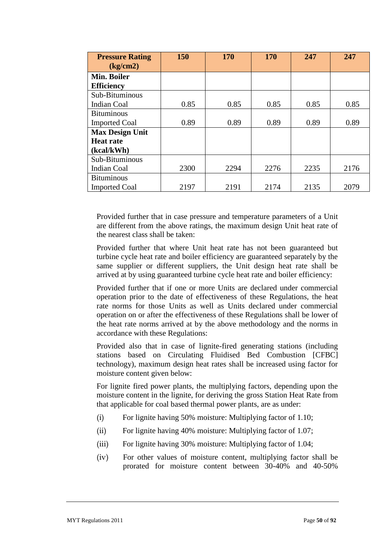| <b>Pressure Rating</b><br>(kg/cm2) | 150  | 170  | 170  | 247  | 247  |
|------------------------------------|------|------|------|------|------|
| Min. Boiler                        |      |      |      |      |      |
| <b>Efficiency</b>                  |      |      |      |      |      |
| Sub-Bituminous                     |      |      |      |      |      |
| <b>Indian Coal</b>                 | 0.85 | 0.85 | 0.85 | 0.85 | 0.85 |
| <b>Bituminous</b>                  |      |      |      |      |      |
| <b>Imported Coal</b>               | 0.89 | 0.89 | 0.89 | 0.89 | 0.89 |
| <b>Max Design Unit</b>             |      |      |      |      |      |
| <b>Heat rate</b>                   |      |      |      |      |      |
| (kcal/kWh)                         |      |      |      |      |      |
| Sub-Bituminous                     |      |      |      |      |      |
| Indian Coal                        | 2300 | 2294 | 2276 | 2235 | 2176 |
| <b>Bituminous</b>                  |      |      |      |      |      |
| <b>Imported Coal</b>               | 2197 | 2191 | 2174 | 2135 | 2079 |

Provided further that in case pressure and temperature parameters of a Unit are different from the above ratings, the maximum design Unit heat rate of the nearest class shall be taken:

Provided further that where Unit heat rate has not been guaranteed but turbine cycle heat rate and boiler efficiency are guaranteed separately by the same supplier or different suppliers, the Unit design heat rate shall be arrived at by using guaranteed turbine cycle heat rate and boiler efficiency:

Provided further that if one or more Units are declared under commercial operation prior to the date of effectiveness of these Regulations, the heat rate norms for those Units as well as Units declared under commercial operation on or after the effectiveness of these Regulations shall be lower of the heat rate norms arrived at by the above methodology and the norms in accordance with these Regulations:

Provided also that in case of lignite-fired generating stations (including stations based on Circulating Fluidised Bed Combustion [CFBC] technology), maximum design heat rates shall be increased using factor for moisture content given below:

For lignite fired power plants, the multiplying factors, depending upon the moisture content in the lignite, for deriving the gross Station Heat Rate from that applicable for coal based thermal power plants, are as under:

- (i) For lignite having 50% moisture: Multiplying factor of 1.10;
- (ii) For lignite having 40% moisture: Multiplying factor of 1.07;
- (iii) For lignite having 30% moisture: Multiplying factor of 1.04;
- (iv) For other values of moisture content, multiplying factor shall be prorated for moisture content between 30-40% and 40-50%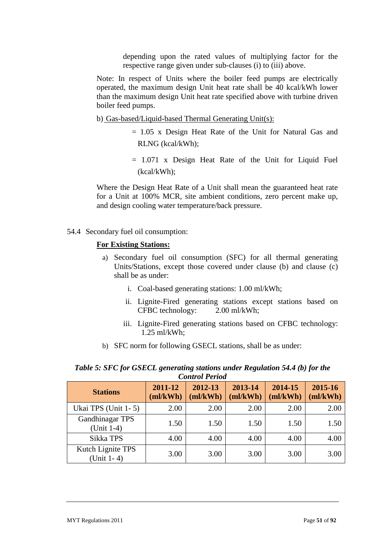depending upon the rated values of multiplying factor for the respective range given under sub-clauses (i) to (iii) above.

Note: In respect of Units where the boiler feed pumps are electrically operated, the maximum design Unit heat rate shall be 40 kcal/kWh lower than the maximum design Unit heat rate specified above with turbine driven boiler feed pumps.

- b) Gas-based/Liquid-based Thermal Generating Unit(s):
	- = 1.05 x Design Heat Rate of the Unit for Natural Gas and RLNG (kcal/kWh);
	- = 1.071 x Design Heat Rate of the Unit for Liquid Fuel (kcal/kWh);

Where the Design Heat Rate of a Unit shall mean the guaranteed heat rate for a Unit at 100% MCR, site ambient conditions, zero percent make up, and design cooling water temperature/back pressure.

54.4 Secondary fuel oil consumption:

## **For Existing Stations:**

- a) Secondary fuel oil consumption (SFC) for all thermal generating Units/Stations, except those covered under clause (b) and clause (c) shall be as under:
	- i. Coal-based generating stations: 1.00 ml/kWh;
	- ii. Lignite-Fired generating stations except stations based on CFBC technology: 2.00 ml/kWh;
	- iii. Lignite-Fired generating stations based on CFBC technology: 1.25 ml/kWh;
- b) SFC norm for following GSECL stations, shall be as under:

*Table 5: SFC for GSECL generating stations under Regulation 54.4 (b) for the Control Period*

| Condition Lord                    |                  |                    |                     |                     |                     |
|-----------------------------------|------------------|--------------------|---------------------|---------------------|---------------------|
| <b>Stations</b>                   | 2011-12<br>m/kWh | 2012-13<br>ml/kWh) | 2013-14<br>(ml/kWh) | 2014-15<br>(ml/kWh) | 2015-16<br>(ml/kWh) |
| Ukai TPS (Unit 1-5)               | 2.00             | 2.00               | 2.00                | 2.00                | 2.00                |
| Gandhinagar TPS<br>(Unit 1-4)     | 1.50             | 1.50               | 1.50                | 1.50                | 1.50                |
| Sikka TPS                         | 4.00             | 4.00               | 4.00                | 4.00                | 4.00                |
| Kutch Lignite TPS<br>$(Unit 1-4)$ | 3.00             | 3.00               | 3.00                | 3.00                | 3.00                |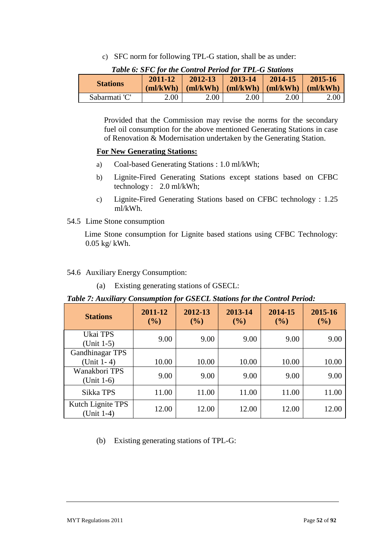c) SFC norm for following TPL-G station, shall be as under:

| <b>Stations</b> | $2011 - 12$ | $2012 - 13$<br>$\lfloor$ (ml/kWh) $\rfloor$ (ml/kWh) $\lfloor$ (ml/kWh) $\lfloor$ (ml/kWh) $\lfloor$ (ml/kWh) | 2013-14 | 2014-15 | 2015-16 |
|-----------------|-------------|---------------------------------------------------------------------------------------------------------------|---------|---------|---------|
| Sabarmati 'C'   | 2.00        | 2.00                                                                                                          | 2.00    | 2.00    | 2.00    |

|  | Table 6: SFC for the Control Period for TPL-G Stations |  |  |  |  |  |
|--|--------------------------------------------------------|--|--|--|--|--|
|--|--------------------------------------------------------|--|--|--|--|--|

Provided that the Commission may revise the norms for the secondary fuel oil consumption for the above mentioned Generating Stations in case of Renovation & Modernisation undertaken by the Generating Station.

# **For New Generating Stations:**

- a) Coal-based Generating Stations : 1.0 ml/kWh;
- b) Lignite-Fired Generating Stations except stations based on CFBC technology : 2.0 ml/kWh;
- c) Lignite-Fired Generating Stations based on CFBC technology : 1.25 ml/kWh.

# 54.5 Lime Stone consumption

Lime Stone consumption for Lignite based stations using CFBC Technology: 0.05 kg/ kWh.

# 54.6 Auxiliary Energy Consumption:

(a) Existing generating stations of GSECL:

# *Table 7: Auxiliary Consumption for GSECL Stations for the Control Period:*

| <b>Stations</b>                        | 2011-12<br>(%) | 2012-13<br>$($ %) | 2013-14<br>(%) | 2014-15<br>$($ %) | 2015-16<br>(%) |
|----------------------------------------|----------------|-------------------|----------------|-------------------|----------------|
| Ukai TPS<br>$(Unit 1-5)$               | 9.00           | 9.00              | 9.00           | 9.00              | 9.00           |
| <b>Gandhinagar TPS</b><br>$(Unit 1-4)$ | 10.00          | 10.00             | 10.00          | 10.00             | 10.00          |
| Wanakbori TPS<br>$(Unit 1-6)$          | 9.00           | 9.00              | 9.00           | 9.00              | 9.00           |
| Sikka TPS                              | 11.00          | 11.00             | 11.00          | 11.00             | 11.00          |
| Kutch Lignite TPS<br>(Unit 1-4)        | 12.00          | 12.00             | 12.00          | 12.00             | 12.00          |

(b) Existing generating stations of TPL-G: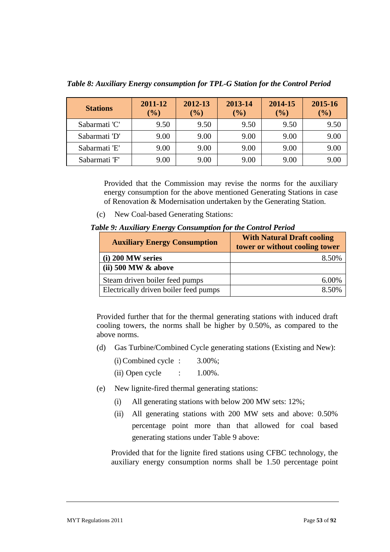| <b>Stations</b> | 2011-12<br>$(\%)$ | 2012-13<br>$($ %) | 2013-14<br>$(\%)$ | 2014-15<br>(%) | 2015-16<br>(%) |
|-----------------|-------------------|-------------------|-------------------|----------------|----------------|
| Sabarmati 'C'   | 9.50              | 9.50              | 9.50              | 9.50           | 9.50           |
| Sabarmati 'D'   | 9.00              | 9.00              | 9.00              | 9.00           | 9.00           |
| Sabarmati 'E'   | 9.00              | 9.00              | 9.00              | 9.00           | 9.00           |
| Sabarmati 'F'   | 9.00              | 9.00              | 9.00              | 9.00           | 9.00           |

*Table 8: Auxiliary Energy consumption for TPL-G Station for the Control Period*

Provided that the Commission may revise the norms for the auxiliary energy consumption for the above mentioned Generating Stations in case of Renovation & Modernisation undertaken by the Generating Station.

(c) New Coal-based Generating Stations:

*Table 9: Auxiliary Energy Consumption for the Control Period* 

| <b>Auxiliary Energy Consumption</b>   | <b>With Natural Draft cooling</b><br>tower or without cooling tower |
|---------------------------------------|---------------------------------------------------------------------|
| (i) 200 MW series                     | 8.50%                                                               |
| $(ii)$ 500 MW $\&$ above              |                                                                     |
| Steam driven boiler feed pumps        | 6.00%                                                               |
| Electrically driven boiler feed pumps | 8.50%                                                               |

Provided further that for the thermal generating stations with induced draft cooling towers, the norms shall be higher by 0.50%, as compared to the above norms.

(d) Gas Turbine/Combined Cycle generating stations (Existing and New):

| (i) Combined cycle : | $3.00\%$ ; |
|----------------------|------------|
|----------------------|------------|

- (ii) Open cycle  $\qquad \qquad$  :  $\qquad 1.00\%$ .
- (e) New lignite-fired thermal generating stations:
	- (i) All generating stations with below 200 MW sets: 12%;
	- (ii) All generating stations with 200 MW sets and above: 0.50% percentage point more than that allowed for coal based generating stations under Table 9 above:

Provided that for the lignite fired stations using CFBC technology, the auxiliary energy consumption norms shall be 1.50 percentage point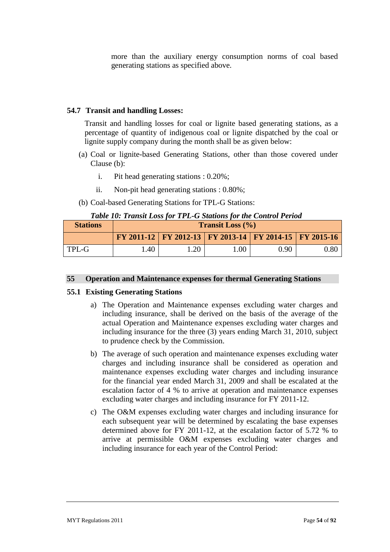more than the auxiliary energy consumption norms of coal based generating stations as specified above.

#### **54.7 Transit and handling Losses:**

Transit and handling losses for coal or lignite based generating stations, as a percentage of quantity of indigenous coal or lignite dispatched by the coal or lignite supply company during the month shall be as given below:

- (a) Coal or lignite-based Generating Stations, other than those covered under Clause (b):
	- i. Pit head generating stations : 0.20%;
	- ii. Non-pit head generating stations : 0.80%;
- (b) Coal-based Generating Stations for TPL-G Stations:

|  |  | Table 10: Transit Loss for TPL-G Stations for the Control Period |
|--|--|------------------------------------------------------------------|
|--|--|------------------------------------------------------------------|

| <b>Stations</b> | <b>Transit Loss</b> $(\% )$ |     |                                                                |      |            |
|-----------------|-----------------------------|-----|----------------------------------------------------------------|------|------------|
|                 |                             |     | FY 2011-12   FY 2012-13   FY 2013-14   FY 2014-15   FY 2015-16 |      |            |
| TPL-G           | .40                         | .20 | 00.1                                                           | 0.90 | $\rm 0.80$ |

#### **55 Operation and Maintenance expenses for thermal Generating Stations**

#### **55.1 Existing Generating Stations**

- a) The Operation and Maintenance expenses excluding water charges and including insurance, shall be derived on the basis of the average of the actual Operation and Maintenance expenses excluding water charges and including insurance for the three (3) years ending March 31, 2010, subject to prudence check by the Commission.
- b) The average of such operation and maintenance expenses excluding water charges and including insurance shall be considered as operation and maintenance expenses excluding water charges and including insurance for the financial year ended March 31, 2009 and shall be escalated at the escalation factor of 4 % to arrive at operation and maintenance expenses excluding water charges and including insurance for FY 2011-12.
- c) The O&M expenses excluding water charges and including insurance for each subsequent year will be determined by escalating the base expenses determined above for FY 2011-12, at the escalation factor of 5.72 % to arrive at permissible O&M expenses excluding water charges and including insurance for each year of the Control Period: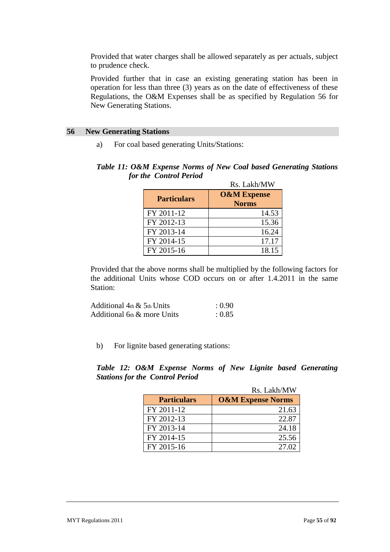Provided that water charges shall be allowed separately as per actuals, subject to prudence check.

Provided further that in case an existing generating station has been in operation for less than three (3) years as on the date of effectiveness of these Regulations, the O&M Expenses shall be as specified by Regulation 56 for New Generating Stations.

#### **56 New Generating Stations**

a) For coal based generating Units/Stations:

## *Table 11: O&M Expense Norms of New Coal based Generating Stations for the Control Period*

|                    | Rs. Lakh/MW                            |
|--------------------|----------------------------------------|
| <b>Particulars</b> | <b>O&amp;M Expense</b><br><b>Norms</b> |
| FY 2011-12         | 14.53                                  |
| FY 2012-13         | 15.36                                  |
| FY 2013-14         | 16.24                                  |
| FY 2014-15         | 17.17                                  |
| FY 2015-16         | 18.15                                  |

Provided that the above norms shall be multiplied by the following factors for the additional Units whose COD occurs on or after 1.4.2011 in the same Station:

| Additional $4th \& 5th$ Units  | : 0.90 |
|--------------------------------|--------|
| Additional $6th \&$ more Units | : 0.85 |

b) For lignite based generating stations:

*Table 12: O&M Expense Norms of New Lignite based Generating Stations for the Control Period*

|                    | Rs. Lakh/MW                  |
|--------------------|------------------------------|
| <b>Particulars</b> | <b>O&amp;M Expense Norms</b> |
| FY 2011-12         | 21.63                        |
| FY 2012-13         | 22.87                        |
| FY 2013-14         | 24.18                        |
| FY 2014-15         | 25.56                        |
| FY 2015-16         | 27.02                        |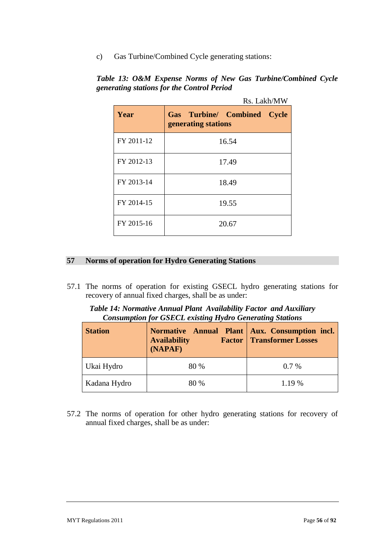c) Gas Turbine/Combined Cycle generating stations:

|            | Rs. Lakh/MW                                                         |  |
|------------|---------------------------------------------------------------------|--|
| Year       | <b>Gas Turbine/ Combined</b><br><b>Cycle</b><br>generating stations |  |
| FY 2011-12 | 16.54                                                               |  |
| FY 2012-13 | 17.49                                                               |  |
| FY 2013-14 | 18.49                                                               |  |
| FY 2014-15 | 19.55                                                               |  |
| FY 2015-16 | 20.67                                                               |  |

*Table 13: O&M Expense Norms of New Gas Turbine/Combined Cycle generating stations for the Control Period*

# **57 Norms of operation for Hydro Generating Stations**

57.1 The norms of operation for existing GSECL hydro generating stations for recovery of annual fixed charges, shall be as under:

| Table 14: Normative Annual Plant Availability Factor and Auxiliary |  |
|--------------------------------------------------------------------|--|
| <b>Consumption for GSECL existing Hydro Generating Stations</b>    |  |

| <b>Station</b> | Normative Annual Plant   Aux. Consumption incl.<br><b>Availability</b><br>(NAPAF) | <b>Factor   Transformer Losses</b> |
|----------------|-----------------------------------------------------------------------------------|------------------------------------|
| Ukai Hydro     | 80 %                                                                              | $0.7\%$                            |
| Kadana Hydro   | 80 %                                                                              | $1.19\%$                           |

57.2 The norms of operation for other hydro generating stations for recovery of annual fixed charges, shall be as under: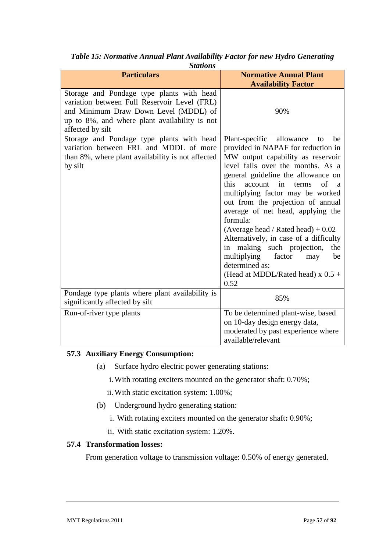| Stations                                                                                                                                                                                                |                                                                                                                                                                                                                                                                                                                                                                                                                                                                                                                                                                                                |  |  |
|---------------------------------------------------------------------------------------------------------------------------------------------------------------------------------------------------------|------------------------------------------------------------------------------------------------------------------------------------------------------------------------------------------------------------------------------------------------------------------------------------------------------------------------------------------------------------------------------------------------------------------------------------------------------------------------------------------------------------------------------------------------------------------------------------------------|--|--|
| <b>Particulars</b>                                                                                                                                                                                      | <b>Normative Annual Plant</b><br><b>Availability Factor</b>                                                                                                                                                                                                                                                                                                                                                                                                                                                                                                                                    |  |  |
| Storage and Pondage type plants with head<br>variation between Full Reservoir Level (FRL)<br>and Minimum Draw Down Level (MDDL) of<br>up to 8%, and where plant availability is not<br>affected by silt | 90%                                                                                                                                                                                                                                                                                                                                                                                                                                                                                                                                                                                            |  |  |
| Storage and Pondage type plants with head<br>variation between FRL and MDDL of more<br>than 8%, where plant availability is not affected<br>by silt                                                     | Plant-specific allowance<br>be<br>to<br>provided in NAPAF for reduction in<br>MW output capability as reservoir<br>level falls over the months. As a<br>general guideline the allowance on<br>this<br>in<br>of<br>account<br>terms<br>a<br>multiplying factor may be worked<br>out from the projection of annual<br>average of net head, applying the<br>formula:<br>(Average head / Rated head) $+0.02$<br>Alternatively, in case of a difficulty<br>in making such projection,<br>the<br>multiplying<br>factor<br>be<br>may<br>determined as:<br>(Head at MDDL/Rated head) $x$ 0.5 +<br>0.52 |  |  |
| Pondage type plants where plant availability is<br>significantly affected by silt                                                                                                                       | 85%                                                                                                                                                                                                                                                                                                                                                                                                                                                                                                                                                                                            |  |  |
| Run-of-river type plants                                                                                                                                                                                | To be determined plant-wise, based<br>on 10-day design energy data,<br>moderated by past experience where<br>available/relevant                                                                                                                                                                                                                                                                                                                                                                                                                                                                |  |  |

*Table 15: Normative Annual Plant Availability Factor for new Hydro Generating Stations*

## **57.3 Auxiliary Energy Consumption:**

- (a) Surface hydro electric power generating stations:
	- i.With rotating exciters mounted on the generator shaft: 0.70%;
	- ii.With static excitation system: 1.00%;
- (b) Underground hydro generating station:
	- i. With rotating exciters mounted on the generator shaft**:** 0.90%;
	- ii. With static excitation system: 1.20%.

## **57.4 Transformation losses:**

From generation voltage to transmission voltage: 0.50% of energy generated.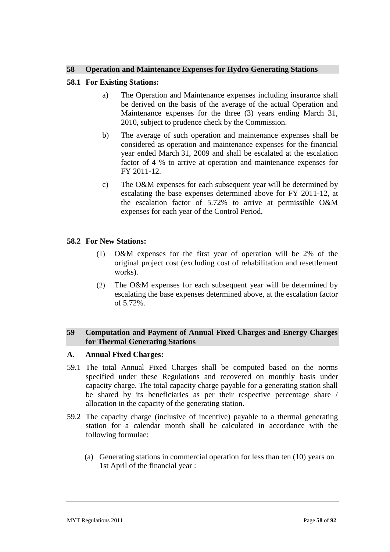### **58 Operation and Maintenance Expenses for Hydro Generating Stations**

### **58.1 For Existing Stations:**

- a) The Operation and Maintenance expenses including insurance shall be derived on the basis of the average of the actual Operation and Maintenance expenses for the three (3) years ending March 31, 2010, subject to prudence check by the Commission.
- b) The average of such operation and maintenance expenses shall be considered as operation and maintenance expenses for the financial year ended March 31, 2009 and shall be escalated at the escalation factor of 4 % to arrive at operation and maintenance expenses for FY 2011-12.
- c) The O&M expenses for each subsequent year will be determined by escalating the base expenses determined above for FY 2011-12, at the escalation factor of 5.72% to arrive at permissible O&M expenses for each year of the Control Period.

### **58.2 For New Stations:**

- (1) O&M expenses for the first year of operation will be 2% of the original project cost (excluding cost of rehabilitation and resettlement works).
- (2) The O&M expenses for each subsequent year will be determined by escalating the base expenses determined above, at the escalation factor of 5.72%.

## **59 Computation and Payment of Annual Fixed Charges and Energy Charges for Thermal Generating Stations**

#### **A. Annual Fixed Charges:**

- 59.1 The total Annual Fixed Charges shall be computed based on the norms specified under these Regulations and recovered on monthly basis under capacity charge. The total capacity charge payable for a generating station shall be shared by its beneficiaries as per their respective percentage share / allocation in the capacity of the generating station.
- 59.2 The capacity charge (inclusive of incentive) payable to a thermal generating station for a calendar month shall be calculated in accordance with the following formulae:
	- (a) Generating stations in commercial operation for less than ten (10) years on 1st April of the financial year :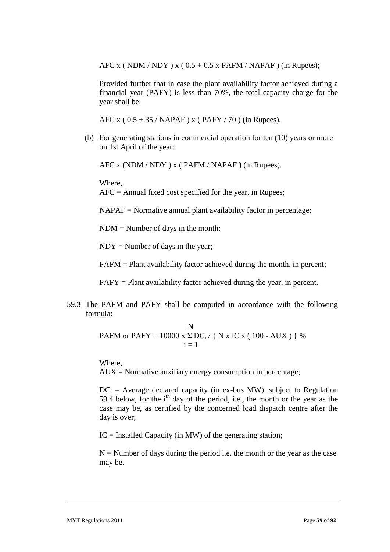AFC x (NDM / NDY) x ( $0.5 + 0.5$  x PAFM / NAPAF) (in Rupees);

Provided further that in case the plant availability factor achieved during a financial year (PAFY) is less than 70%, the total capacity charge for the year shall be:

AFC x ( $0.5 + 35$  / NAPAF) x (PAFY / 70) (in Rupees).

(b) For generating stations in commercial operation for ten (10) years or more on 1st April of the year:

AFC x (NDM / NDY ) x ( PAFM / NAPAF ) (in Rupees).

Where,

AFC = Annual fixed cost specified for the year, in Rupees;

NAPAF = Normative annual plant availability factor in percentage;

NDM = Number of days in the month;

 $NDY = Number of days in the year;$ 

PAFM = Plant availability factor achieved during the month, in percent;

PAFY = Plant availability factor achieved during the year, in percent.

59.3 The PAFM and PAFY shall be computed in accordance with the following formula:

**PAFM** or **PAFY** = 
$$
10000 \times \sum_{i=1}^{N} DC_i / \{ N \times IC \times (100 - AUX) \}
$$
 %

Where,

 $AUX = \text{Normative auxiliary energy consumption in percentage};$ 

 $DC_i$  = Average declared capacity (in ex-bus MW), subject to Regulation 59.4 below, for the  $i<sup>th</sup>$  day of the period, i.e., the month or the year as the case may be, as certified by the concerned load dispatch centre after the day is over;

 $IC =$  Installed Capacity (in MW) of the generating station;

 $N =$  Number of days during the period i.e. the month or the year as the case may be.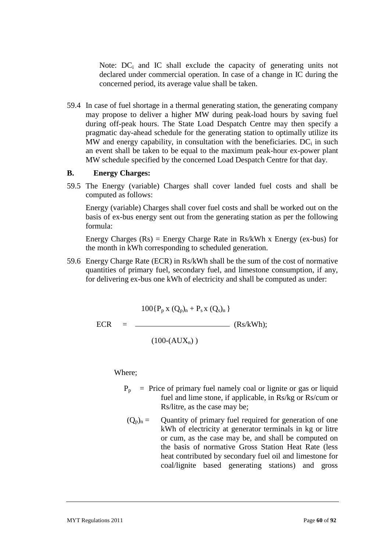Note:  $DC_i$  and IC shall exclude the capacity of generating units not declared under commercial operation. In case of a change in IC during the concerned period, its average value shall be taken.

59.4 In case of fuel shortage in a thermal generating station, the generating company may propose to deliver a higher MW during peak-load hours by saving fuel during off-peak hours. The State Load Despatch Centre may then specify a pragmatic day-ahead schedule for the generating station to optimally utilize its MW and energy capability, in consultation with the beneficiaries.  $DC<sub>i</sub>$  in such an event shall be taken to be equal to the maximum peak-hour ex-power plant MW schedule specified by the concerned Load Despatch Centre for that day.

## **B. Energy Charges:**

59.5 The Energy (variable) Charges shall cover landed fuel costs and shall be computed as follows:

Energy (variable) Charges shall cover fuel costs and shall be worked out on the basis of ex-bus energy sent out from the generating station as per the following formula:

Energy Charges  $(Rs)$  = Energy Charge Rate in Rs/kWh x Energy (ex-bus) for the month in kWh corresponding to scheduled generation.

59.6 Energy Charge Rate (ECR) in Rs/kWh shall be the sum of the cost of normative quantities of primary fuel, secondary fuel, and limestone consumption, if any, for delivering ex-bus one kWh of electricity and shall be computed as under:

$$
100\{P_p \times (Q_p)_n + P_s \times (Q_s)_n\}
$$
  
ECR = (Rs/kWh);

 $(100-(AUX_n))$ 

Where;

- $P_p$  = Price of primary fuel namely coal or lignite or gas or liquid fuel and lime stone, if applicable, in Rs/kg or Rs/cum or Rs/litre, as the case may be;
- $(Q_p)_n =$  Quantity of primary fuel required for generation of one kWh of electricity at generator terminals in kg or litre or cum, as the case may be, and shall be computed on the basis of normative Gross Station Heat Rate (less heat contributed by secondary fuel oil and limestone for coal/lignite based generating stations) and gross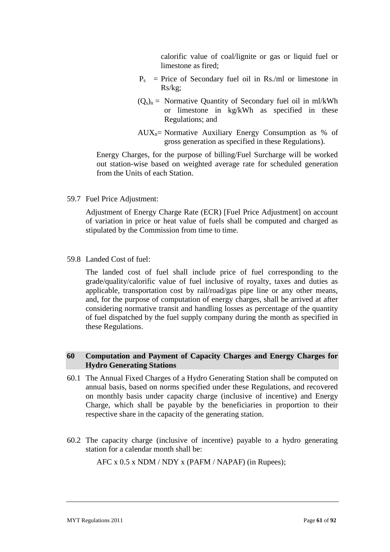calorific value of coal/lignite or gas or liquid fuel or limestone as fired;

- $P_s$  = Price of Secondary fuel oil in Rs./ml or limestone in Rs/kg;
- $(Q_s)_n$  = Normative Quantity of Secondary fuel oil in ml/kWh or limestone in kg/kWh as specified in these Regulations; and
- $AUX_n =$  Normative Auxiliary Energy Consumption as % of gross generation as specified in these Regulations).

Energy Charges, for the purpose of billing/Fuel Surcharge will be worked out station-wise based on weighted average rate for scheduled generation from the Units of each Station.

59.7 Fuel Price Adjustment:

Adjustment of Energy Charge Rate (ECR) [Fuel Price Adjustment] on account of variation in price or heat value of fuels shall be computed and charged as stipulated by the Commission from time to time.

59.8 Landed Cost of fuel:

The landed cost of fuel shall include price of fuel corresponding to the grade/quality/calorific value of fuel inclusive of royalty, taxes and duties as applicable, transportation cost by rail/road/gas pipe line or any other means, and, for the purpose of computation of energy charges, shall be arrived at after considering normative transit and handling losses as percentage of the quantity of fuel dispatched by the fuel supply company during the month as specified in these Regulations.

### **60 Computation and Payment of Capacity Charges and Energy Charges for Hydro Generating Stations**

- 60.1 The Annual Fixed Charges of a Hydro Generating Station shall be computed on annual basis, based on norms specified under these Regulations, and recovered on monthly basis under capacity charge (inclusive of incentive) and Energy Charge, which shall be payable by the beneficiaries in proportion to their respective share in the capacity of the generating station.
- 60.2 The capacity charge (inclusive of incentive) payable to a hydro generating station for a calendar month shall be:

AFC x 0.5 x NDM / NDY x (PAFM / NAPAF) (in Rupees);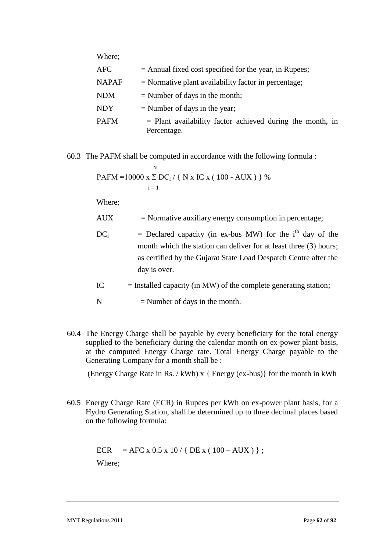| Where;       |                                                                            |
|--------------|----------------------------------------------------------------------------|
| AFC          | $=$ Annual fixed cost specified for the year, in Rupees;                   |
| <b>NAPAF</b> | $=$ Normative plant availability factor in percentage;                     |
| <b>NDM</b>   | $=$ Number of days in the month;                                           |
| <b>NDY</b>   | $=$ Number of days in the year;                                            |
| <b>PAFM</b>  | $=$ Plant availability factor achieved during the month, in<br>Percentage. |

60.3 The PAFM shall be computed in accordance with the following formula :

**PAFM** =10000 x 
$$
\sum_{i=1}^{N} DC_i / \{ N x IC x (100 - AUX) \}
$$
 %

Where;

AUX = Normative auxiliary energy consumption in percentage;

- $DC_i$  = Declared capacity (in ex-bus MW) for the i<sup>th</sup> day of the month which the station can deliver for at least three (3) hours; as certified by the Gujarat State Load Despatch Centre after the day is over.
- $IC =$  Installed capacity (in MW) of the complete generating station;

 $N =$  Number of days in the month.

60.4 The Energy Charge shall be payable by every beneficiary for the total energy supplied to the beneficiary during the calendar month on ex-power plant basis, at the computed Energy Charge rate. Total Energy Charge payable to the Generating Company for a month shall be :

(Energy Charge Rate in Rs. / kWh) x { Energy (ex-bus)} for the month in kWh

60.5 Energy Charge Rate (ECR) in Rupees per kWh on ex-power plant basis, for a Hydro Generating Station, shall be determined up to three decimal places based on the following formula:

ECR = AFC x 0.5 x 10 / { DE x (  $100 - AUX$  ) };

Where;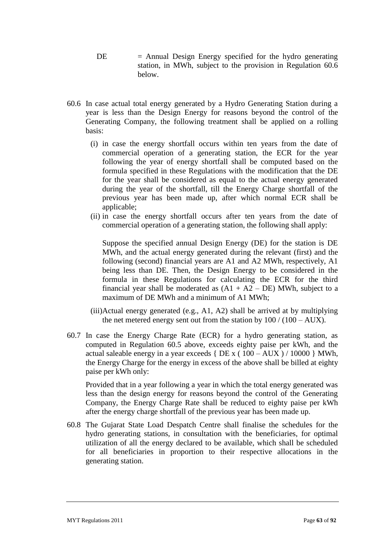- $DE =$  Annual Design Energy specified for the hydro generating station, in MWh, subject to the provision in Regulation 60.6 below.
- 60.6 In case actual total energy generated by a Hydro Generating Station during a year is less than the Design Energy for reasons beyond the control of the Generating Company, the following treatment shall be applied on a rolling basis:
	- (i) in case the energy shortfall occurs within ten years from the date of commercial operation of a generating station, the ECR for the year following the year of energy shortfall shall be computed based on the formula specified in these Regulations with the modification that the DE for the year shall be considered as equal to the actual energy generated during the year of the shortfall, till the Energy Charge shortfall of the previous year has been made up, after which normal ECR shall be applicable;
	- (ii) in case the energy shortfall occurs after ten years from the date of commercial operation of a generating station, the following shall apply:

Suppose the specified annual Design Energy (DE) for the station is DE MWh, and the actual energy generated during the relevant (first) and the following (second) financial years are A1 and A2 MWh, respectively, A1 being less than DE. Then, the Design Energy to be considered in the formula in these Regulations for calculating the ECR for the third financial year shall be moderated as  $(A1 + A2 - DE)$  MWh, subject to a maximum of DE MWh and a minimum of A1 MWh;

- (iii)Actual energy generated (e.g., A1, A2) shall be arrived at by multiplying the net metered energy sent out from the station by  $100 / (100 - AUX)$ .
- 60.7 In case the Energy Charge Rate (ECR) for a hydro generating station, as computed in Regulation 60.5 above, exceeds eighty paise per kWh, and the actual saleable energy in a year exceeds { $DE x ( 100 - AUX ) / 10000$  } MWh, the Energy Charge for the energy in excess of the above shall be billed at eighty paise per kWh only:

Provided that in a year following a year in which the total energy generated was less than the design energy for reasons beyond the control of the Generating Company, the Energy Charge Rate shall be reduced to eighty paise per kWh after the energy charge shortfall of the previous year has been made up.

60.8 The Gujarat State Load Despatch Centre shall finalise the schedules for the hydro generating stations, in consultation with the beneficiaries, for optimal utilization of all the energy declared to be available, which shall be scheduled for all beneficiaries in proportion to their respective allocations in the generating station.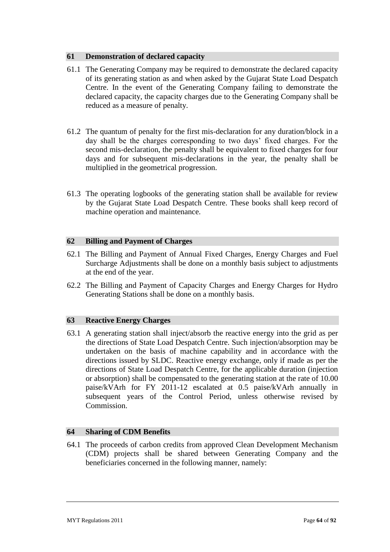## **61 Demonstration of declared capacity**

- 61.1 The Generating Company may be required to demonstrate the declared capacity of its generating station as and when asked by the Gujarat State Load Despatch Centre. In the event of the Generating Company failing to demonstrate the declared capacity, the capacity charges due to the Generating Company shall be reduced as a measure of penalty.
- 61.2 The quantum of penalty for the first mis-declaration for any duration/block in a day shall be the charges corresponding to two days" fixed charges. For the second mis-declaration, the penalty shall be equivalent to fixed charges for four days and for subsequent mis-declarations in the year, the penalty shall be multiplied in the geometrical progression.
- 61.3 The operating logbooks of the generating station shall be available for review by the Gujarat State Load Despatch Centre. These books shall keep record of machine operation and maintenance.

## **62 Billing and Payment of Charges**

- 62.1 The Billing and Payment of Annual Fixed Charges, Energy Charges and Fuel Surcharge Adjustments shall be done on a monthly basis subject to adjustments at the end of the year.
- 62.2 The Billing and Payment of Capacity Charges and Energy Charges for Hydro Generating Stations shall be done on a monthly basis.

## **63 Reactive Energy Charges**

63.1 A generating station shall inject/absorb the reactive energy into the grid as per the directions of State Load Despatch Centre. Such injection/absorption may be undertaken on the basis of machine capability and in accordance with the directions issued by SLDC. Reactive energy exchange, only if made as per the directions of State Load Despatch Centre, for the applicable duration (injection or absorption) shall be compensated to the generating station at the rate of 10.00 paise/kVArh for FY 2011-12 escalated at 0.5 paise/kVArh annually in subsequent years of the Control Period, unless otherwise revised by Commission.

## **64 Sharing of CDM Benefits**

64.1 The proceeds of carbon credits from approved Clean Development Mechanism (CDM) projects shall be shared between Generating Company and the beneficiaries concerned in the following manner, namely: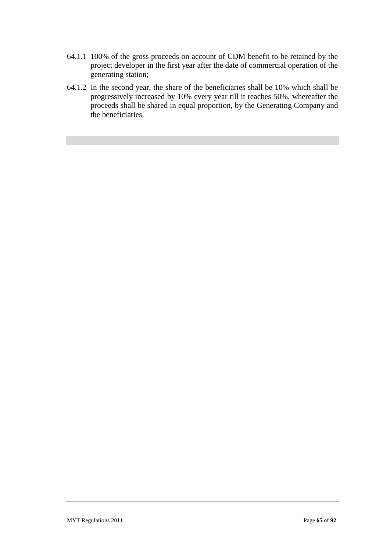- 64.1.1 100% of the gross proceeds on account of CDM benefit to be retained by the project developer in the first year after the date of commercial operation of the generating station;
- 64.1.2 In the second year, the share of the beneficiaries shall be 10% which shall be progressively increased by 10% every year till it reaches 50%, whereafter the proceeds shall be shared in equal proportion, by the Generating Company and the beneficiaries.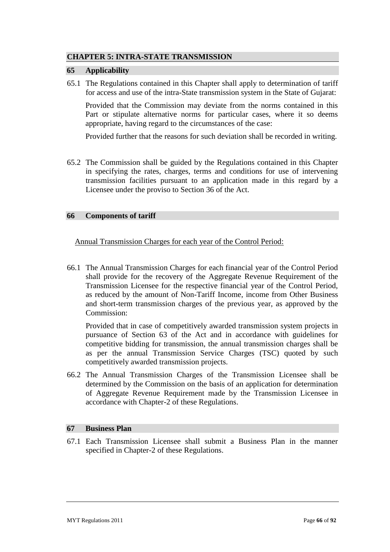# **CHAPTER 5: INTRA-STATE TRANSMISSION**

### **65 Applicability**

65.1 The Regulations contained in this Chapter shall apply to determination of tariff for access and use of the intra-State transmission system in the State of Gujarat:

Provided that the Commission may deviate from the norms contained in this Part or stipulate alternative norms for particular cases, where it so deems appropriate, having regard to the circumstances of the case:

Provided further that the reasons for such deviation shall be recorded in writing.

65.2 The Commission shall be guided by the Regulations contained in this Chapter in specifying the rates, charges, terms and conditions for use of intervening transmission facilities pursuant to an application made in this regard by a Licensee under the proviso to Section 36 of the Act.

### **66 Components of tariff**

Annual Transmission Charges for each year of the Control Period:

66.1 The Annual Transmission Charges for each financial year of the Control Period shall provide for the recovery of the Aggregate Revenue Requirement of the Transmission Licensee for the respective financial year of the Control Period, as reduced by the amount of Non-Tariff Income, income from Other Business and short-term transmission charges of the previous year, as approved by the Commission:

Provided that in case of competitively awarded transmission system projects in pursuance of Section 63 of the Act and in accordance with guidelines for competitive bidding for transmission, the annual transmission charges shall be as per the annual Transmission Service Charges (TSC) quoted by such competitively awarded transmission projects.

66.2 The Annual Transmission Charges of the Transmission Licensee shall be determined by the Commission on the basis of an application for determination of Aggregate Revenue Requirement made by the Transmission Licensee in accordance with Chapter-2 of these Regulations.

## **67 Business Plan**

67.1 Each Transmission Licensee shall submit a Business Plan in the manner specified in Chapter-2 of these Regulations.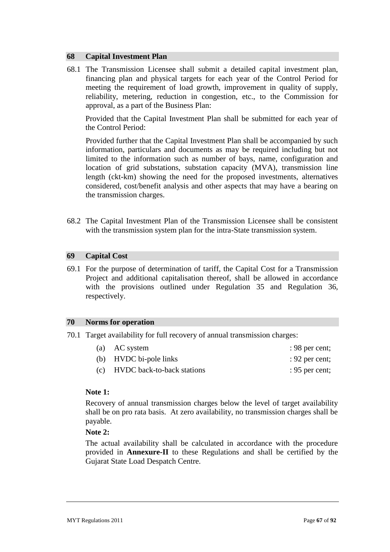### **68 Capital Investment Plan**

68.1 The Transmission Licensee shall submit a detailed capital investment plan, financing plan and physical targets for each year of the Control Period for meeting the requirement of load growth, improvement in quality of supply, reliability, metering, reduction in congestion, etc., to the Commission for approval, as a part of the Business Plan:

Provided that the Capital Investment Plan shall be submitted for each year of the Control Period:

Provided further that the Capital Investment Plan shall be accompanied by such information, particulars and documents as may be required including but not limited to the information such as number of bays, name, configuration and location of grid substations, substation capacity (MVA), transmission line length (ckt-km) showing the need for the proposed investments, alternatives considered, cost/benefit analysis and other aspects that may have a bearing on the transmission charges.

68.2 The Capital Investment Plan of the Transmission Licensee shall be consistent with the transmission system plan for the intra-State transmission system.

### **69 Capital Cost**

69.1 For the purpose of determination of tariff, the Capital Cost for a Transmission Project and additional capitalisation thereof, shall be allowed in accordance with the provisions outlined under Regulation 35 and Regulation 36, respectively.

#### **70 Norms for operation**

70.1 Target availability for full recovery of annual transmission charges:

| (a) AC system                  | : 98 per cent; |
|--------------------------------|----------------|
| (b) HVDC bi-pole links         | : 92 per cent; |
| (c) HVDC back-to-back stations | : 95 per cent; |

## **Note 1:**

Recovery of annual transmission charges below the level of target availability shall be on pro rata basis. At zero availability, no transmission charges shall be payable.

#### **Note 2:**

The actual availability shall be calculated in accordance with the procedure provided in **Annexure-II** to these Regulations and shall be certified by the Gujarat State Load Despatch Centre.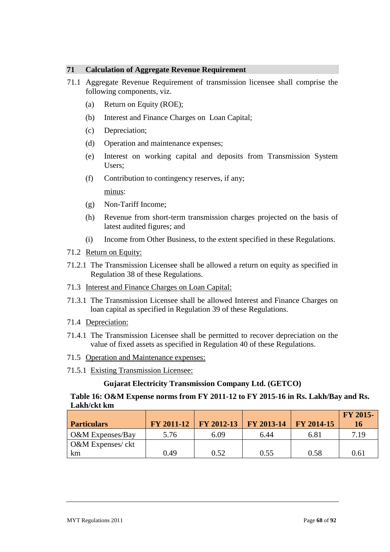## **71 Calculation of Aggregate Revenue Requirement**

- 71.1 Aggregate Revenue Requirement of transmission licensee shall comprise the following components, viz.
	- (a) Return on Equity (ROE);
	- (b) Interest and Finance Charges on Loan Capital;
	- (c) Depreciation;
	- (d) Operation and maintenance expenses;
	- (e) Interest on working capital and deposits from Transmission System Users;
	- (f) Contribution to contingency reserves, if any;

minus:

- (g) Non-Tariff Income;
- (h) Revenue from short-term transmission charges projected on the basis of latest audited figures; and
- (i) Income from Other Business, to the extent specified in these Regulations.
- 71.2 Return on Equity:
- 71.2.1 The Transmission Licensee shall be allowed a return on equity as specified in Regulation 38 of these Regulations.
- 71.3 Interest and Finance Charges on Loan Capital:
- 71.3.1 The Transmission Licensee shall be allowed Interest and Finance Charges on loan capital as specified in Regulation 39 of these Regulations.
- 71.4 Depreciation:
- 71.4.1 The Transmission Licensee shall be permitted to recover depreciation on the value of fixed assets as specified in Regulation 40 of these Regulations.
- 71.5 Operation and Maintenance expenses:
- 71.5.1 Existing Transmission Licensee:

# **Gujarat Electricity Transmission Company Ltd. (GETCO)**

# **Table 16: O&M Expense norms from FY 2011-12 to FY 2015-16 in Rs. Lakh/Bay and Rs. Lakh/ckt km**

| <b>Particulars</b>          | FY 2011-12 | <b>FY 2012-13</b> | FY 2013-14 | <b>FY 2014-15</b> | <b>FY 2015-</b><br>16 |
|-----------------------------|------------|-------------------|------------|-------------------|-----------------------|
| O&M Expenses/Bay            | 5.76       | 6.09              | 6.44       | 6.81              | 7.19                  |
| <b>O&amp;M</b> Expenses/ckt |            |                   |            |                   |                       |
| km                          | 0.49       | 0.52              | 0.55       | 0.58              | 0.61                  |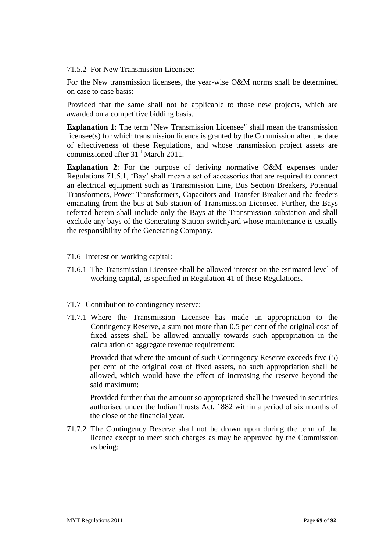## 71.5.2 For New Transmission Licensee:

For the New transmission licensees, the year-wise O&M norms shall be determined on case to case basis:

Provided that the same shall not be applicable to those new projects, which are awarded on a competitive bidding basis.

**Explanation 1**: The term "New Transmission Licensee" shall mean the transmission licensee(s) for which transmission licence is granted by the Commission after the date of effectiveness of these Regulations, and whose transmission project assets are commissioned after 31<sup>st</sup> March 2011.

**Explanation 2**: For the purpose of deriving normative O&M expenses under Regulations 71.5.1, "Bay" shall mean a set of accessories that are required to connect an electrical equipment such as Transmission Line, Bus Section Breakers, Potential Transformers, Power Transformers, Capacitors and Transfer Breaker and the feeders emanating from the bus at Sub-station of Transmission Licensee. Further, the Bays referred herein shall include only the Bays at the Transmission substation and shall exclude any bays of the Generating Station switchyard whose maintenance is usually the responsibility of the Generating Company.

# 71.6 Interest on working capital:

71.6.1 The Transmission Licensee shall be allowed interest on the estimated level of working capital, as specified in Regulation 41 of these Regulations.

## 71.7 Contribution to contingency reserve:

71.7.1 Where the Transmission Licensee has made an appropriation to the Contingency Reserve, a sum not more than 0.5 per cent of the original cost of fixed assets shall be allowed annually towards such appropriation in the calculation of aggregate revenue requirement:

Provided that where the amount of such Contingency Reserve exceeds five (5) per cent of the original cost of fixed assets, no such appropriation shall be allowed, which would have the effect of increasing the reserve beyond the said maximum:

Provided further that the amount so appropriated shall be invested in securities authorised under the Indian Trusts Act, 1882 within a period of six months of the close of the financial year.

71.7.2 The Contingency Reserve shall not be drawn upon during the term of the licence except to meet such charges as may be approved by the Commission as being: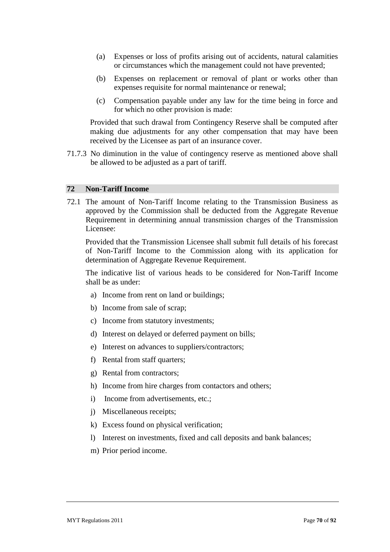- (a) Expenses or loss of profits arising out of accidents, natural calamities or circumstances which the management could not have prevented;
- (b) Expenses on replacement or removal of plant or works other than expenses requisite for normal maintenance or renewal;
- (c) Compensation payable under any law for the time being in force and for which no other provision is made:

Provided that such drawal from Contingency Reserve shall be computed after making due adjustments for any other compensation that may have been received by the Licensee as part of an insurance cover.

71.7.3 No diminution in the value of contingency reserve as mentioned above shall be allowed to be adjusted as a part of tariff.

#### **72 Non-Tariff Income**

72.1 The amount of Non-Tariff Income relating to the Transmission Business as approved by the Commission shall be deducted from the Aggregate Revenue Requirement in determining annual transmission charges of the Transmission Licensee:

Provided that the Transmission Licensee shall submit full details of his forecast of Non-Tariff Income to the Commission along with its application for determination of Aggregate Revenue Requirement.

The indicative list of various heads to be considered for Non-Tariff Income shall be as under:

- a) Income from rent on land or buildings;
- b) Income from sale of scrap;
- c) Income from statutory investments;
- d) Interest on delayed or deferred payment on bills;
- e) Interest on advances to suppliers/contractors;
- f) Rental from staff quarters;
- g) Rental from contractors;
- h) Income from hire charges from contactors and others;
- i) Income from advertisements, etc.;
- j) Miscellaneous receipts;
- k) Excess found on physical verification;
- l) Interest on investments, fixed and call deposits and bank balances;
- m) Prior period income.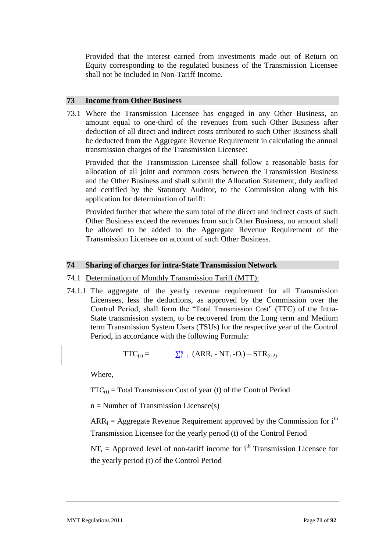Provided that the interest earned from investments made out of Return on Equity corresponding to the regulated business of the Transmission Licensee shall not be included in Non-Tariff Income.

### **73 Income from Other Business**

73.1 Where the Transmission Licensee has engaged in any Other Business, an amount equal to one-third of the revenues from such Other Business after deduction of all direct and indirect costs attributed to such Other Business shall be deducted from the Aggregate Revenue Requirement in calculating the annual transmission charges of the Transmission Licensee:

Provided that the Transmission Licensee shall follow a reasonable basis for allocation of all joint and common costs between the Transmission Business and the Other Business and shall submit the Allocation Statement, duly audited and certified by the Statutory Auditor, to the Commission along with his application for determination of tariff:

Provided further that where the sum total of the direct and indirect costs of such Other Business exceed the revenues from such Other Business, no amount shall be allowed to be added to the Aggregate Revenue Requirement of the Transmission Licensee on account of such Other Business.

### **74 Sharing of charges for intra-State Transmission Network**

#### 74.1 Determination of Monthly Transmission Tariff (MTT):

74.1.1 The aggregate of the yearly revenue requirement for all Transmission Licensees, less the deductions, as approved by the Commission over the Control Period, shall form the "Total Transmission Cost" (TTC) of the Intra-State transmission system, to be recovered from the Long term and Medium term Transmission System Users (TSUs) for the respective year of the Control Period, in accordance with the following Formula:

$$
TTC_{(t)} = \sum_{i=1}^{n} (ARR_i - NT_i - O_i) - STR_{(t-2)}
$$

Where,

 $TTC_{(t)} = Total Transmission Cost of year (t) of the Control Period$ 

 $n =$  Number of Transmission Licensee(s)

 $ARR<sub>i</sub> = Aggregate Revenue Required.$  Revenue Requirement approved by the Commission for  $i<sup>th</sup>$ Transmission Licensee for the yearly period (t) of the Control Period

 $NT_i$  = Approved level of non-tariff income for i<sup>th</sup> Transmission Licensee for the yearly period (t) of the Control Period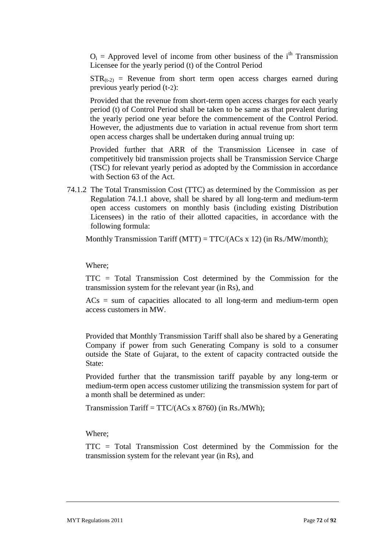$O_i$  = Approved level of income from other business of the i<sup>th</sup> Transmission Licensee for the yearly period (t) of the Control Period

 $STR_{(t-2)}$  = Revenue from short term open access charges earned during previous yearly period (t-2):

Provided that the revenue from short-term open access charges for each yearly period (t) of Control Period shall be taken to be same as that prevalent during the yearly period one year before the commencement of the Control Period. However, the adjustments due to variation in actual revenue from short term open access charges shall be undertaken during annual truing up:

Provided further that ARR of the Transmission Licensee in case of competitively bid transmission projects shall be Transmission Service Charge (TSC) for relevant yearly period as adopted by the Commission in accordance with Section 63 of the Act.

74.1.2 The Total Transmission Cost (TTC) as determined by the Commission as per Regulation 74.1.1 above, shall be shared by all long-term and medium-term open access customers on monthly basis (including existing Distribution Licensees) in the ratio of their allotted capacities, in accordance with the following formula:

Monthly Transmission Tariff  $(MTT) = TTC/(ACs x 12)$  (in Rs./MW/month);

Where;

TTC = Total Transmission Cost determined by the Commission for the transmission system for the relevant year (in Rs), and

 $ACs$  = sum of capacities allocated to all long-term and medium-term open access customers in MW.

Provided that Monthly Transmission Tariff shall also be shared by a Generating Company if power from such Generating Company is sold to a consumer outside the State of Gujarat, to the extent of capacity contracted outside the State:

Provided further that the transmission tariff payable by any long-term or medium-term open access customer utilizing the transmission system for part of a month shall be determined as under:

Transmission Tariff =  $TTC/(ACs \times 8760)$  (in Rs./MWh);

Where;

TTC = Total Transmission Cost determined by the Commission for the transmission system for the relevant year (in Rs), and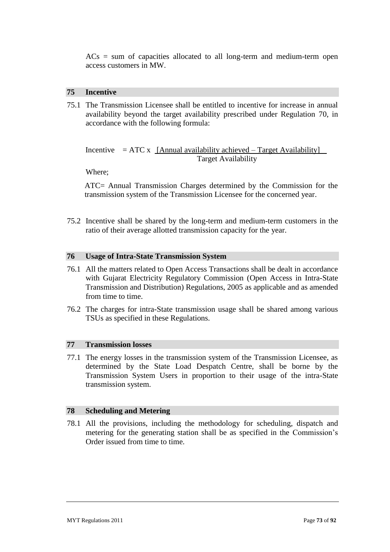$ACs$  = sum of capacities allocated to all long-term and medium-term open access customers in MW.

#### **75 Incentive**

75.1 The Transmission Licensee shall be entitled to incentive for increase in annual availability beyond the target availability prescribed under Regulation 70, in accordance with the following formula:

Incentive  $= ATC x$  [Annual availability achieved – Target Availability] Target Availability

Where;

ATC= Annual Transmission Charges determined by the Commission for the transmission system of the Transmission Licensee for the concerned year.

75.2 Incentive shall be shared by the long-term and medium-term customers in the ratio of their average allotted transmission capacity for the year.

#### **76 Usage of Intra-State Transmission System**

- 76.1 All the matters related to Open Access Transactions shall be dealt in accordance with Gujarat Electricity Regulatory Commission (Open Access in Intra-State Transmission and Distribution) Regulations, 2005 as applicable and as amended from time to time.
- 76.2 The charges for intra-State transmission usage shall be shared among various TSUs as specified in these Regulations.

#### **77 Transmission losses**

77.1 The energy losses in the transmission system of the Transmission Licensee, as determined by the State Load Despatch Centre, shall be borne by the Transmission System Users in proportion to their usage of the intra-State transmission system.

#### **78 Scheduling and Metering**

78.1 All the provisions, including the methodology for scheduling, dispatch and metering for the generating station shall be as specified in the Commission"s Order issued from time to time.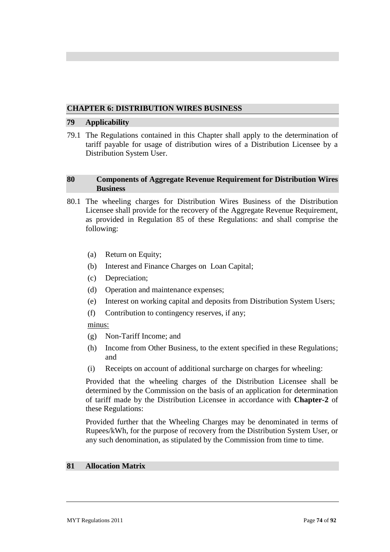# **CHAPTER 6: DISTRIBUTION WIRES BUSINESS**

## **79 Applicability**

79.1 The Regulations contained in this Chapter shall apply to the determination of tariff payable for usage of distribution wires of a Distribution Licensee by a Distribution System User.

# **80 Components of Aggregate Revenue Requirement for Distribution Wires Business**

- 80.1 The wheeling charges for Distribution Wires Business of the Distribution Licensee shall provide for the recovery of the Aggregate Revenue Requirement, as provided in Regulation 85 of these Regulations: and shall comprise the following:
	- (a) Return on Equity;
	- (b) Interest and Finance Charges on Loan Capital;
	- (c) Depreciation;
	- (d) Operation and maintenance expenses;
	- (e) Interest on working capital and deposits from Distribution System Users;
	- (f) Contribution to contingency reserves, if any;

## minus:

- (g) Non-Tariff Income; and
- (h) Income from Other Business, to the extent specified in these Regulations; and
- (i) Receipts on account of additional surcharge on charges for wheeling:

Provided that the wheeling charges of the Distribution Licensee shall be determined by the Commission on the basis of an application for determination of tariff made by the Distribution Licensee in accordance with **Chapter-2** of these Regulations:

Provided further that the Wheeling Charges may be denominated in terms of Rupees/kWh, for the purpose of recovery from the Distribution System User, or any such denomination, as stipulated by the Commission from time to time.

## **81 Allocation Matrix**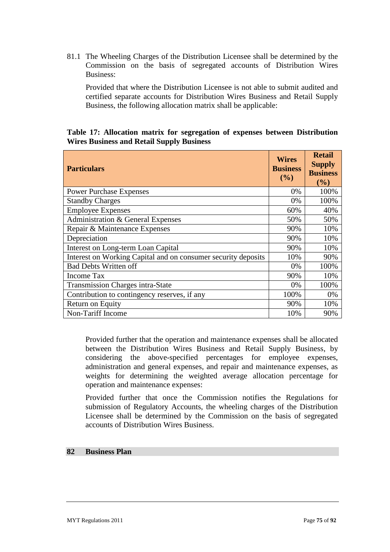81.1 The Wheeling Charges of the Distribution Licensee shall be determined by the Commission on the basis of segregated accounts of Distribution Wires Business:

Provided that where the Distribution Licensee is not able to submit audited and certified separate accounts for Distribution Wires Business and Retail Supply Business, the following allocation matrix shall be applicable:

# **Table 17: Allocation matrix for segregation of expenses between Distribution Wires Business and Retail Supply Business**

| <b>Particulars</b>                                            | <b>Wires</b><br><b>Business</b><br>$($ %) | <b>Retail</b><br><b>Supply</b><br><b>Business</b><br>$($ %) |
|---------------------------------------------------------------|-------------------------------------------|-------------------------------------------------------------|
| <b>Power Purchase Expenses</b>                                | 0%                                        | 100%                                                        |
| <b>Standby Charges</b>                                        | 0%                                        | 100%                                                        |
| <b>Employee Expenses</b>                                      | 60%                                       | 40%                                                         |
| Administration & General Expenses                             | 50%                                       | 50%                                                         |
| Repair & Maintenance Expenses                                 | 90%                                       | 10%                                                         |
| Depreciation                                                  | 90%                                       | 10%                                                         |
| Interest on Long-term Loan Capital                            | 90%                                       | 10%                                                         |
| Interest on Working Capital and on consumer security deposits |                                           | 90%                                                         |
| <b>Bad Debts Written off</b>                                  |                                           | 100%                                                        |
| <b>Income Tax</b>                                             | 90%                                       | 10%                                                         |
| <b>Transmission Charges intra-State</b>                       | 0%                                        | 100%                                                        |
| Contribution to contingency reserves, if any                  | 100%                                      | 0%                                                          |
| Return on Equity                                              | 90%                                       | 10%                                                         |
| Non-Tariff Income                                             | 10%                                       | 90%                                                         |

Provided further that the operation and maintenance expenses shall be allocated between the Distribution Wires Business and Retail Supply Business, by considering the above-specified percentages for employee expenses, administration and general expenses, and repair and maintenance expenses, as weights for determining the weighted average allocation percentage for operation and maintenance expenses:

Provided further that once the Commission notifies the Regulations for submission of Regulatory Accounts, the wheeling charges of the Distribution Licensee shall be determined by the Commission on the basis of segregated accounts of Distribution Wires Business.

# **82 Business Plan**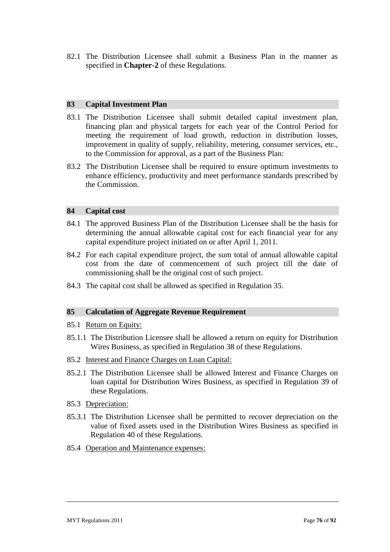82.1 The Distribution Licensee shall submit a Business Plan in the manner as specified in **Chapter-2** of these Regulations.

## **83 Capital Investment Plan**

- 83.1 The Distribution Licensee shall submit detailed capital investment plan, financing plan and physical targets for each year of the Control Period for meeting the requirement of load growth, reduction in distribution losses, improvement in quality of supply, reliability, metering, consumer services, etc., to the Commission for approval, as a part of the Business Plan:
- 83.2 The Distribution Licensee shall be required to ensure optimum investments to enhance efficiency, productivity and meet performance standards prescribed by the Commission.

## **84 Capital cost**

- 84.1 The approved Business Plan of the Distribution Licensee shall be the basis for determining the annual allowable capital cost for each financial year for any capital expenditure project initiated on or after April 1, 2011.
- 84.2 For each capital expenditure project, the sum total of annual allowable capital cost from the date of commencement of such project till the date of commissioning shall be the original cost of such project.
- 84.3 The capital cost shall be allowed as specified in Regulation 35.

## **85 Calculation of Aggregate Revenue Requirement**

- 85.1 Return on Equity:
- 85.1.1 The Distribution Licensee shall be allowed a return on equity for Distribution Wires Business, as specified in Regulation 38 of these Regulations.
- 85.2 Interest and Finance Charges on Loan Capital:
- 85.2.1 The Distribution Licensee shall be allowed Interest and Finance Charges on loan capital for Distribution Wires Business, as specified in Regulation 39 of these Regulations.
- 85.3 Depreciation:
- 85.3.1 The Distribution Licensee shall be permitted to recover depreciation on the value of fixed assets used in the Distribution Wires Business as specified in Regulation 40 of these Regulations.
- 85.4 Operation and Maintenance expenses: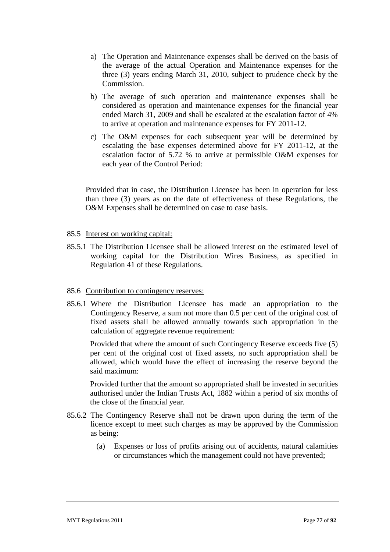- a) The Operation and Maintenance expenses shall be derived on the basis of the average of the actual Operation and Maintenance expenses for the three (3) years ending March 31, 2010, subject to prudence check by the Commission.
- b) The average of such operation and maintenance expenses shall be considered as operation and maintenance expenses for the financial year ended March 31, 2009 and shall be escalated at the escalation factor of 4% to arrive at operation and maintenance expenses for FY 2011-12.
- c) The O&M expenses for each subsequent year will be determined by escalating the base expenses determined above for FY 2011-12, at the escalation factor of 5.72 % to arrive at permissible O&M expenses for each year of the Control Period:

Provided that in case, the Distribution Licensee has been in operation for less than three (3) years as on the date of effectiveness of these Regulations, the O&M Expenses shall be determined on case to case basis.

## 85.5 Interest on working capital:

85.5.1 The Distribution Licensee shall be allowed interest on the estimated level of working capital for the Distribution Wires Business, as specified in Regulation 41 of these Regulations.

#### 85.6 Contribution to contingency reserves:

85.6.1 Where the Distribution Licensee has made an appropriation to the Contingency Reserve, a sum not more than 0.5 per cent of the original cost of fixed assets shall be allowed annually towards such appropriation in the calculation of aggregate revenue requirement:

Provided that where the amount of such Contingency Reserve exceeds five (5) per cent of the original cost of fixed assets, no such appropriation shall be allowed, which would have the effect of increasing the reserve beyond the said maximum:

Provided further that the amount so appropriated shall be invested in securities authorised under the Indian Trusts Act, 1882 within a period of six months of the close of the financial year.

- 85.6.2 The Contingency Reserve shall not be drawn upon during the term of the licence except to meet such charges as may be approved by the Commission as being:
	- (a) Expenses or loss of profits arising out of accidents, natural calamities or circumstances which the management could not have prevented;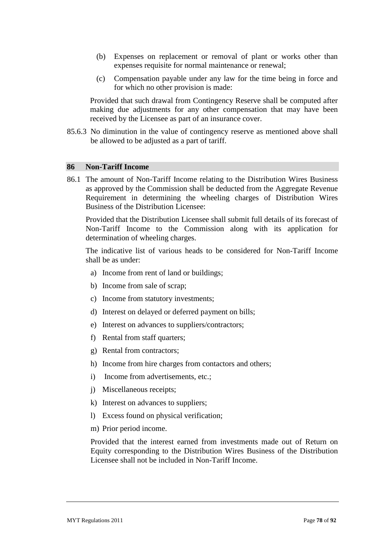- (b) Expenses on replacement or removal of plant or works other than expenses requisite for normal maintenance or renewal;
- (c) Compensation payable under any law for the time being in force and for which no other provision is made:

Provided that such drawal from Contingency Reserve shall be computed after making due adjustments for any other compensation that may have been received by the Licensee as part of an insurance cover.

85.6.3 No diminution in the value of contingency reserve as mentioned above shall be allowed to be adjusted as a part of tariff.

#### **86 Non-Tariff Income**

86.1 The amount of Non-Tariff Income relating to the Distribution Wires Business as approved by the Commission shall be deducted from the Aggregate Revenue Requirement in determining the wheeling charges of Distribution Wires Business of the Distribution Licensee:

Provided that the Distribution Licensee shall submit full details of its forecast of Non-Tariff Income to the Commission along with its application for determination of wheeling charges.

The indicative list of various heads to be considered for Non-Tariff Income shall be as under:

- a) Income from rent of land or buildings;
- b) Income from sale of scrap;
- c) Income from statutory investments;
- d) Interest on delayed or deferred payment on bills;
- e) Interest on advances to suppliers/contractors;
- f) Rental from staff quarters;
- g) Rental from contractors;
- h) Income from hire charges from contactors and others;
- i) Income from advertisements, etc.;
- j) Miscellaneous receipts;
- k) Interest on advances to suppliers;
- l) Excess found on physical verification;
- m) Prior period income.

Provided that the interest earned from investments made out of Return on Equity corresponding to the Distribution Wires Business of the Distribution Licensee shall not be included in Non-Tariff Income.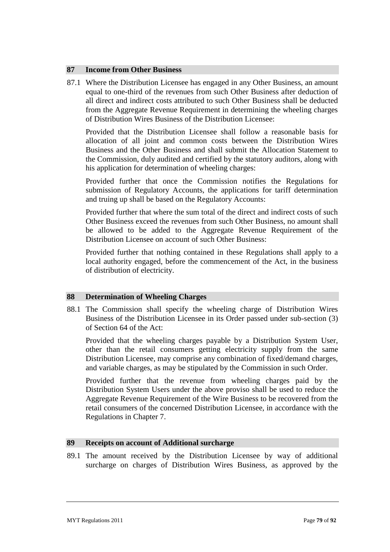## **87 Income from Other Business**

87.1 Where the Distribution Licensee has engaged in any Other Business, an amount equal to one-third of the revenues from such Other Business after deduction of all direct and indirect costs attributed to such Other Business shall be deducted from the Aggregate Revenue Requirement in determining the wheeling charges of Distribution Wires Business of the Distribution Licensee:

Provided that the Distribution Licensee shall follow a reasonable basis for allocation of all joint and common costs between the Distribution Wires Business and the Other Business and shall submit the Allocation Statement to the Commission, duly audited and certified by the statutory auditors, along with his application for determination of wheeling charges:

Provided further that once the Commission notifies the Regulations for submission of Regulatory Accounts, the applications for tariff determination and truing up shall be based on the Regulatory Accounts:

Provided further that where the sum total of the direct and indirect costs of such Other Business exceed the revenues from such Other Business, no amount shall be allowed to be added to the Aggregate Revenue Requirement of the Distribution Licensee on account of such Other Business:

Provided further that nothing contained in these Regulations shall apply to a local authority engaged, before the commencement of the Act, in the business of distribution of electricity.

#### **88 Determination of Wheeling Charges**

88.1 The Commission shall specify the wheeling charge of Distribution Wires Business of the Distribution Licensee in its Order passed under sub-section (3) of Section 64 of the Act:

Provided that the wheeling charges payable by a Distribution System User, other than the retail consumers getting electricity supply from the same Distribution Licensee, may comprise any combination of fixed/demand charges, and variable charges, as may be stipulated by the Commission in such Order.

Provided further that the revenue from wheeling charges paid by the Distribution System Users under the above proviso shall be used to reduce the Aggregate Revenue Requirement of the Wire Business to be recovered from the retail consumers of the concerned Distribution Licensee, in accordance with the Regulations in Chapter 7.

## **89 Receipts on account of Additional surcharge**

89.1 The amount received by the Distribution Licensee by way of additional surcharge on charges of Distribution Wires Business, as approved by the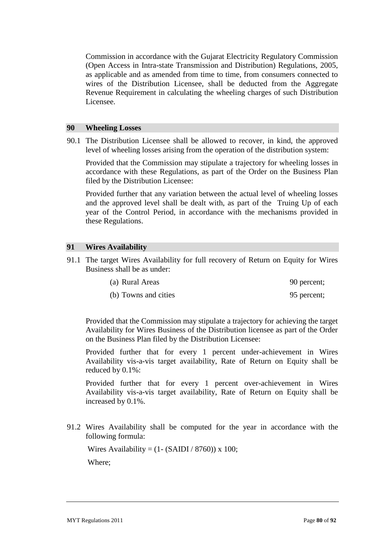Commission in accordance with the Gujarat Electricity Regulatory Commission (Open Access in Intra-state Transmission and Distribution) Regulations, 2005, as applicable and as amended from time to time, from consumers connected to wires of the Distribution Licensee, shall be deducted from the Aggregate Revenue Requirement in calculating the wheeling charges of such Distribution Licensee.

#### **90 Wheeling Losses**

90.1 The Distribution Licensee shall be allowed to recover, in kind, the approved level of wheeling losses arising from the operation of the distribution system:

Provided that the Commission may stipulate a trajectory for wheeling losses in accordance with these Regulations, as part of the Order on the Business Plan filed by the Distribution Licensee:

Provided further that any variation between the actual level of wheeling losses and the approved level shall be dealt with, as part of the Truing Up of each year of the Control Period, in accordance with the mechanisms provided in these Regulations.

#### **91 Wires Availability**

91.1 The target Wires Availability for full recovery of Return on Equity for Wires Business shall be as under:

| (a) Rural Areas      | 90 percent; |
|----------------------|-------------|
| (b) Towns and cities | 95 percent; |

Provided that the Commission may stipulate a trajectory for achieving the target Availability for Wires Business of the Distribution licensee as part of the Order on the Business Plan filed by the Distribution Licensee:

Provided further that for every 1 percent under-achievement in Wires Availability vis-a-vis target availability, Rate of Return on Equity shall be reduced by 0.1%:

Provided further that for every 1 percent over-achievement in Wires Availability vis-a-vis target availability, Rate of Return on Equity shall be increased by 0.1%.

91.2 Wires Availability shall be computed for the year in accordance with the following formula:

Wires Availability =  $(1 - (SAlDI / 8760)) \times 100$ ;

Where;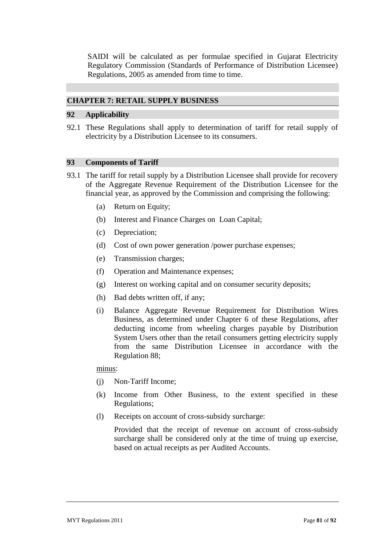SAIDI will be calculated as per formulae specified in Gujarat Electricity Regulatory Commission (Standards of Performance of Distribution Licensee) Regulations, 2005 as amended from time to time.

## **CHAPTER 7: RETAIL SUPPLY BUSINESS**

#### **92 Applicability**

92.1 These Regulations shall apply to determination of tariff for retail supply of electricity by a Distribution Licensee to its consumers.

# **93 Components of Tariff**

- 93.1 The tariff for retail supply by a Distribution Licensee shall provide for recovery of the Aggregate Revenue Requirement of the Distribution Licensee for the financial year, as approved by the Commission and comprising the following:
	- (a) Return on Equity;
	- (b) Interest and Finance Charges on Loan Capital;
	- (c) Depreciation;
	- (d) Cost of own power generation /power purchase expenses;
	- (e) Transmission charges;
	- (f) Operation and Maintenance expenses;
	- (g) Interest on working capital and on consumer security deposits;
	- (h) Bad debts written off, if any;
	- (i) Balance Aggregate Revenue Requirement for Distribution Wires Business, as determined under Chapter 6 of these Regulations, after deducting income from wheeling charges payable by Distribution System Users other than the retail consumers getting electricity supply from the same Distribution Licensee in accordance with the Regulation 88;

minus:

- (j) Non-Tariff Income;
- (k) Income from Other Business, to the extent specified in these Regulations;
- (l) Receipts on account of cross-subsidy surcharge:

Provided that the receipt of revenue on account of cross-subsidy surcharge shall be considered only at the time of truing up exercise, based on actual receipts as per Audited Accounts.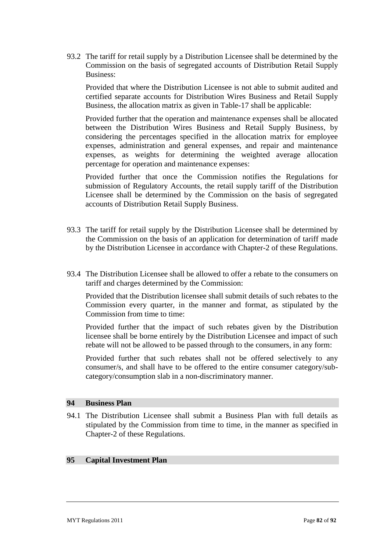93.2 The tariff for retail supply by a Distribution Licensee shall be determined by the Commission on the basis of segregated accounts of Distribution Retail Supply Business:

Provided that where the Distribution Licensee is not able to submit audited and certified separate accounts for Distribution Wires Business and Retail Supply Business, the allocation matrix as given in Table-17 shall be applicable:

Provided further that the operation and maintenance expenses shall be allocated between the Distribution Wires Business and Retail Supply Business, by considering the percentages specified in the allocation matrix for employee expenses, administration and general expenses, and repair and maintenance expenses, as weights for determining the weighted average allocation percentage for operation and maintenance expenses:

Provided further that once the Commission notifies the Regulations for submission of Regulatory Accounts, the retail supply tariff of the Distribution Licensee shall be determined by the Commission on the basis of segregated accounts of Distribution Retail Supply Business.

- 93.3 The tariff for retail supply by the Distribution Licensee shall be determined by the Commission on the basis of an application for determination of tariff made by the Distribution Licensee in accordance with Chapter-2 of these Regulations.
- 93.4 The Distribution Licensee shall be allowed to offer a rebate to the consumers on tariff and charges determined by the Commission:

Provided that the Distribution licensee shall submit details of such rebates to the Commission every quarter, in the manner and format, as stipulated by the Commission from time to time:

Provided further that the impact of such rebates given by the Distribution licensee shall be borne entirely by the Distribution Licensee and impact of such rebate will not be allowed to be passed through to the consumers, in any form:

Provided further that such rebates shall not be offered selectively to any consumer/s, and shall have to be offered to the entire consumer category/subcategory/consumption slab in a non-discriminatory manner.

#### **94 Business Plan**

94.1 The Distribution Licensee shall submit a Business Plan with full details as stipulated by the Commission from time to time, in the manner as specified in Chapter-2 of these Regulations.

## **95 Capital Investment Plan**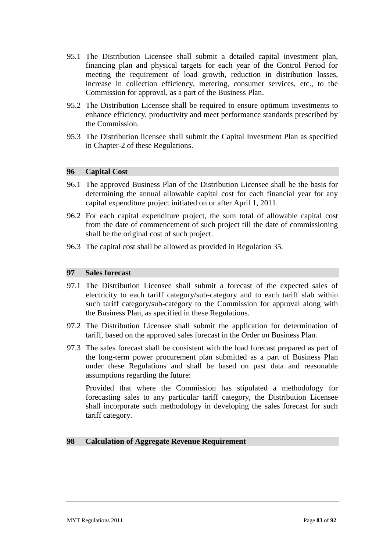- 95.1 The Distribution Licensee shall submit a detailed capital investment plan, financing plan and physical targets for each year of the Control Period for meeting the requirement of load growth, reduction in distribution losses, increase in collection efficiency, metering, consumer services, etc., to the Commission for approval, as a part of the Business Plan.
- 95.2 The Distribution Licensee shall be required to ensure optimum investments to enhance efficiency, productivity and meet performance standards prescribed by the Commission.
- 95.3 The Distribution licensee shall submit the Capital Investment Plan as specified in Chapter-2 of these Regulations.

## **96 Capital Cost**

- 96.1 The approved Business Plan of the Distribution Licensee shall be the basis for determining the annual allowable capital cost for each financial year for any capital expenditure project initiated on or after April 1, 2011.
- 96.2 For each capital expenditure project, the sum total of allowable capital cost from the date of commencement of such project till the date of commissioning shall be the original cost of such project.
- 96.3 The capital cost shall be allowed as provided in Regulation 35.

# **97 Sales forecast**

- 97.1 The Distribution Licensee shall submit a forecast of the expected sales of electricity to each tariff category/sub-category and to each tariff slab within such tariff category/sub-category to the Commission for approval along with the Business Plan, as specified in these Regulations.
- 97.2 The Distribution Licensee shall submit the application for determination of tariff, based on the approved sales forecast in the Order on Business Plan.
- 97.3 The sales forecast shall be consistent with the load forecast prepared as part of the long-term power procurement plan submitted as a part of Business Plan under these Regulations and shall be based on past data and reasonable assumptions regarding the future:

Provided that where the Commission has stipulated a methodology for forecasting sales to any particular tariff category, the Distribution Licensee shall incorporate such methodology in developing the sales forecast for such tariff category.

#### **98 Calculation of Aggregate Revenue Requirement**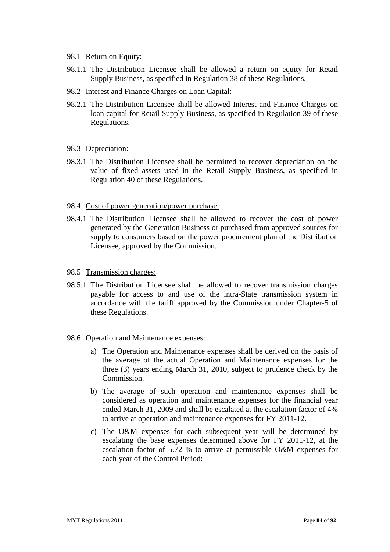- 98.1 Return on Equity:
- 98.1.1 The Distribution Licensee shall be allowed a return on equity for Retail Supply Business, as specified in Regulation 38 of these Regulations.
- 98.2 Interest and Finance Charges on Loan Capital:
- 98.2.1 The Distribution Licensee shall be allowed Interest and Finance Charges on loan capital for Retail Supply Business, as specified in Regulation 39 of these Regulations.
- 98.3 Depreciation:
- 98.3.1 The Distribution Licensee shall be permitted to recover depreciation on the value of fixed assets used in the Retail Supply Business, as specified in Regulation 40 of these Regulations.
- 98.4 Cost of power generation/power purchase:
- 98.4.1 The Distribution Licensee shall be allowed to recover the cost of power generated by the Generation Business or purchased from approved sources for supply to consumers based on the power procurement plan of the Distribution Licensee, approved by the Commission.
- 98.5 Transmission charges:
- 98.5.1 The Distribution Licensee shall be allowed to recover transmission charges payable for access to and use of the intra-State transmission system in accordance with the tariff approved by the Commission under Chapter-5 of these Regulations.
- 98.6 Operation and Maintenance expenses:
	- a) The Operation and Maintenance expenses shall be derived on the basis of the average of the actual Operation and Maintenance expenses for the three (3) years ending March 31, 2010, subject to prudence check by the Commission.
	- b) The average of such operation and maintenance expenses shall be considered as operation and maintenance expenses for the financial year ended March 31, 2009 and shall be escalated at the escalation factor of 4% to arrive at operation and maintenance expenses for FY 2011-12.
	- c) The O&M expenses for each subsequent year will be determined by escalating the base expenses determined above for FY 2011-12, at the escalation factor of 5.72 % to arrive at permissible O&M expenses for each year of the Control Period: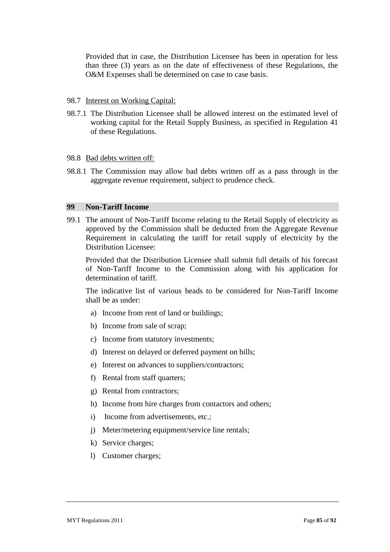Provided that in case, the Distribution Licensee has been in operation for less than three (3) years as on the date of effectiveness of these Regulations, the O&M Expenses shall be determined on case to case basis.

- 98.7 Interest on Working Capital:
- 98.7.1 The Distribution Licensee shall be allowed interest on the estimated level of working capital for the Retail Supply Business, as specified in Regulation 41 of these Regulations.

#### 98.8 <u>Bad debts written off:</u>

98.8.1 The Commission may allow bad debts written off as a pass through in the aggregate revenue requirement, subject to prudence check.

#### **99 Non-Tariff Income**

99.1 The amount of Non-Tariff Income relating to the Retail Supply of electricity as approved by the Commission shall be deducted from the Aggregate Revenue Requirement in calculating the tariff for retail supply of electricity by the Distribution Licensee:

Provided that the Distribution Licensee shall submit full details of his forecast of Non-Tariff Income to the Commission along with his application for determination of tariff.

The indicative list of various heads to be considered for Non-Tariff Income shall be as under:

- a) Income from rent of land or buildings;
- b) Income from sale of scrap;
- c) Income from statutory investments;
- d) Interest on delayed or deferred payment on bills;
- e) Interest on advances to suppliers/contractors;
- f) Rental from staff quarters;
- g) Rental from contractors;
- h) Income from hire charges from contactors and others;
- i) Income from advertisements, etc.;
- j) Meter/metering equipment/service line rentals;
- k) Service charges;
- l) Customer charges;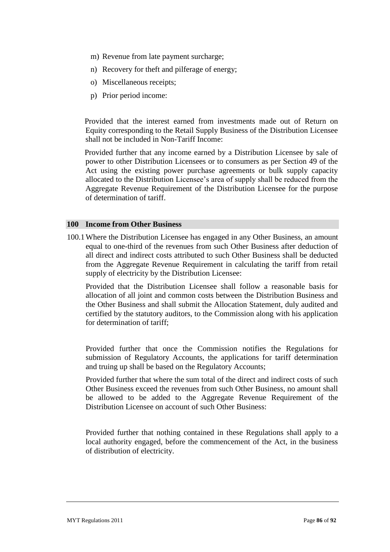- m) Revenue from late payment surcharge;
- n) Recovery for theft and pilferage of energy;
- o) Miscellaneous receipts;
- p) Prior period income:

Provided that the interest earned from investments made out of Return on Equity corresponding to the Retail Supply Business of the Distribution Licensee shall not be included in Non-Tariff Income:

Provided further that any income earned by a Distribution Licensee by sale of power to other Distribution Licensees or to consumers as per Section 49 of the Act using the existing power purchase agreements or bulk supply capacity allocated to the Distribution Licensee"s area of supply shall be reduced from the Aggregate Revenue Requirement of the Distribution Licensee for the purpose of determination of tariff.

#### **100 Income from Other Business**

100.1Where the Distribution Licensee has engaged in any Other Business, an amount equal to one-third of the revenues from such Other Business after deduction of all direct and indirect costs attributed to such Other Business shall be deducted from the Aggregate Revenue Requirement in calculating the tariff from retail supply of electricity by the Distribution Licensee:

Provided that the Distribution Licensee shall follow a reasonable basis for allocation of all joint and common costs between the Distribution Business and the Other Business and shall submit the Allocation Statement, duly audited and certified by the statutory auditors, to the Commission along with his application for determination of tariff;

Provided further that once the Commission notifies the Regulations for submission of Regulatory Accounts, the applications for tariff determination and truing up shall be based on the Regulatory Accounts;

Provided further that where the sum total of the direct and indirect costs of such Other Business exceed the revenues from such Other Business, no amount shall be allowed to be added to the Aggregate Revenue Requirement of the Distribution Licensee on account of such Other Business:

Provided further that nothing contained in these Regulations shall apply to a local authority engaged, before the commencement of the Act, in the business of distribution of electricity.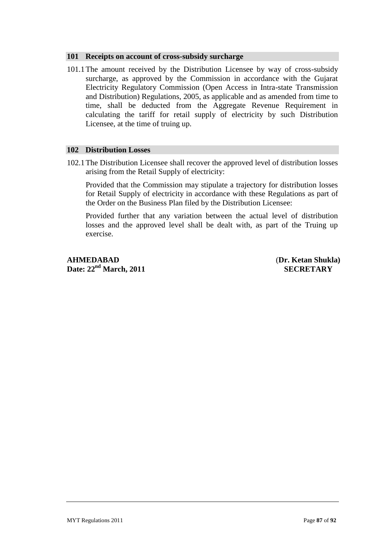## **101 Receipts on account of cross-subsidy surcharge**

101.1The amount received by the Distribution Licensee by way of cross-subsidy surcharge, as approved by the Commission in accordance with the Gujarat Electricity Regulatory Commission (Open Access in Intra-state Transmission and Distribution) Regulations, 2005, as applicable and as amended from time to time, shall be deducted from the Aggregate Revenue Requirement in calculating the tariff for retail supply of electricity by such Distribution Licensee, at the time of truing up.

## **102 Distribution Losses**

102.1The Distribution Licensee shall recover the approved level of distribution losses arising from the Retail Supply of electricity:

Provided that the Commission may stipulate a trajectory for distribution losses for Retail Supply of electricity in accordance with these Regulations as part of the Order on the Business Plan filed by the Distribution Licensee:

Provided further that any variation between the actual level of distribution losses and the approved level shall be dealt with, as part of the Truing up exercise.

**AHMEDABAD** (**Dr. Ketan Shukla) Date: 22<sup>nd</sup> March, 2011** SECRETARY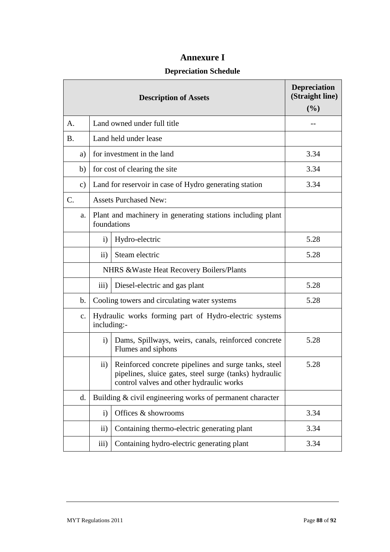# **Annexure I**

# **Depreciation Schedule**

|           |               |                                                                           | <b>Description of Assets</b>                                                                                                                               | <b>Depreciation</b><br>(Straight line)<br>(%) |  |
|-----------|---------------|---------------------------------------------------------------------------|------------------------------------------------------------------------------------------------------------------------------------------------------------|-----------------------------------------------|--|
| A.        |               |                                                                           | Land owned under full title                                                                                                                                |                                               |  |
| <b>B.</b> |               |                                                                           | Land held under lease                                                                                                                                      |                                               |  |
|           | a)            |                                                                           | for investment in the land                                                                                                                                 | 3.34                                          |  |
|           | b)            | for cost of clearing the site                                             |                                                                                                                                                            |                                               |  |
|           | c)            | Land for reservoir in case of Hydro generating station                    | 3.34                                                                                                                                                       |                                               |  |
| C.        |               | <b>Assets Purchased New:</b>                                              |                                                                                                                                                            |                                               |  |
|           | a.            | Plant and machinery in generating stations including plant<br>foundations |                                                                                                                                                            |                                               |  |
|           |               | $\mathbf{i}$                                                              | Hydro-electric                                                                                                                                             | 5.28                                          |  |
|           |               | $\rm ii)$                                                                 | Steam electric                                                                                                                                             | 5.28                                          |  |
|           |               | NHRS & Waste Heat Recovery Boilers/Plants                                 |                                                                                                                                                            |                                               |  |
|           |               | $\overline{iii}$                                                          | Diesel-electric and gas plant                                                                                                                              | 5.28                                          |  |
|           | $\mathbf b$ . | Cooling towers and circulating water systems                              | 5.28                                                                                                                                                       |                                               |  |
|           | $C_{\bullet}$ | Hydraulic works forming part of Hydro-electric systems<br>including:-     |                                                                                                                                                            |                                               |  |
|           |               | $\mathbf{i}$                                                              | Dams, Spillways, weirs, canals, reinforced concrete<br>Flumes and siphons                                                                                  | 5.28                                          |  |
|           |               | $\rm ii)$                                                                 | Reinforced concrete pipelines and surge tanks, steel<br>pipelines, sluice gates, steel surge (tanks) hydraulic<br>control valves and other hydraulic works | 5.28                                          |  |
|           | d.            | Building & civil engineering works of permanent character                 |                                                                                                                                                            |                                               |  |
|           |               | $\mathbf{i}$                                                              | Offices & showrooms                                                                                                                                        | 3.34                                          |  |
|           |               | $\rm ii)$                                                                 | Containing thermo-electric generating plant                                                                                                                | 3.34                                          |  |
|           |               | $\overline{\text{iii}}$                                                   | Containing hydro-electric generating plant                                                                                                                 | 3.34                                          |  |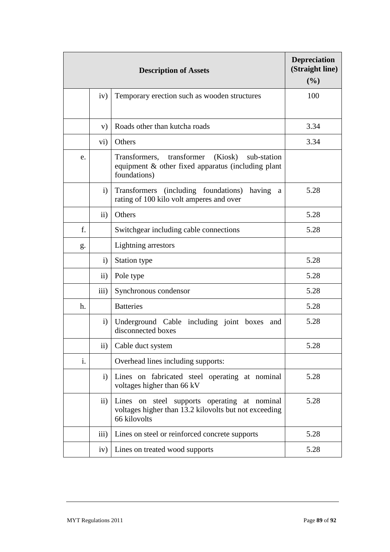|    | <b>Depreciation</b><br>(Straight line)<br>(%) |                                                                                                                        |      |
|----|-----------------------------------------------|------------------------------------------------------------------------------------------------------------------------|------|
|    | iv)                                           | Temporary erection such as wooden structures                                                                           | 100  |
|    | V)                                            | Roads other than kutcha roads                                                                                          | 3.34 |
|    | $\mathbf{v}$ i)                               | Others                                                                                                                 | 3.34 |
| e. |                                               | transformer (Kiosk) sub-station<br>Transformers,<br>equipment & other fixed apparatus (including plant<br>foundations) |      |
|    | $\mathbf{i}$                                  | Transformers (including foundations)<br>having<br>a<br>rating of 100 kilo volt amperes and over                        | 5.28 |
|    | $\mathbf{ii}$                                 | Others                                                                                                                 | 5.28 |
| f. |                                               | Switchgear including cable connections                                                                                 | 5.28 |
| g. |                                               | Lightning arrestors                                                                                                    |      |
|    | $\mathbf{i}$                                  | Station type                                                                                                           | 5.28 |
|    | $\rm ii)$                                     | Pole type                                                                                                              | 5.28 |
|    | $\overline{iii}$                              | Synchronous condensor                                                                                                  | 5.28 |
| h. |                                               | <b>Batteries</b>                                                                                                       | 5.28 |
|    | $\mathbf{i}$                                  | Underground Cable including joint boxes<br>and<br>disconnected boxes                                                   | 5.28 |
|    | $\mathbf{ii}$ )                               | Cable duct system                                                                                                      | 5.28 |
| i. |                                               | Overhead lines including supports:                                                                                     |      |
|    | $\mathbf{i}$                                  | Lines on fabricated steel operating at nominal<br>voltages higher than 66 kV                                           | 5.28 |
|    | $\rm ii)$                                     | Lines on steel supports operating at nominal<br>voltages higher than 13.2 kilovolts but not exceeding<br>66 kilovolts  | 5.28 |
|    | $\overline{iii}$                              | Lines on steel or reinforced concrete supports                                                                         | 5.28 |
|    | iv)                                           | Lines on treated wood supports                                                                                         | 5.28 |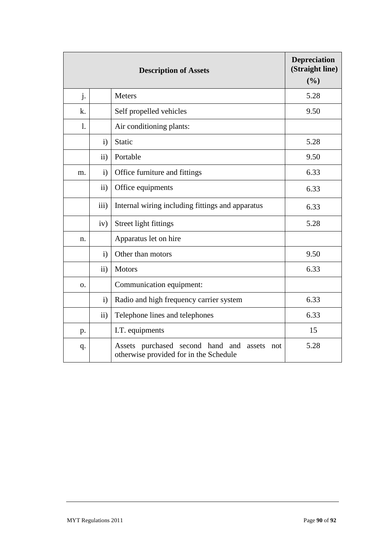|                |               | <b>Description of Assets</b>                                                                | <b>Depreciation</b><br>(Straight line)<br>(%) |
|----------------|---------------|---------------------------------------------------------------------------------------------|-----------------------------------------------|
| j.             |               | <b>Meters</b>                                                                               | 5.28                                          |
| k.             |               | Self propelled vehicles                                                                     | 9.50                                          |
| $\mathbf{l}$ . |               | Air conditioning plants:                                                                    |                                               |
|                | $\mathbf{i}$  | Static                                                                                      | 5.28                                          |
|                | $\mathbf{ii}$ | Portable                                                                                    | 9.50                                          |
| m.             | $\mathbf{i}$  | Office furniture and fittings                                                               | 6.33                                          |
|                | $\rm ii)$     | Office equipments                                                                           | 6.33                                          |
|                | iii)          | Internal wiring including fittings and apparatus                                            | 6.33                                          |
|                | iv)           | Street light fittings                                                                       | 5.28                                          |
| n.             |               | Apparatus let on hire                                                                       |                                               |
|                | $\mathbf{i}$  | Other than motors                                                                           | 9.50                                          |
|                | $\rm ii)$     | <b>Motors</b>                                                                               | 6.33                                          |
| Ο.             |               | Communication equipment:                                                                    |                                               |
|                | $\mathbf{i}$  | Radio and high frequency carrier system                                                     | 6.33                                          |
|                | $\mathbf{ii}$ | Telephone lines and telephones                                                              | 6.33                                          |
| p.             |               | I.T. equipments                                                                             | 15                                            |
| q.             |               | Assets purchased second hand and<br>assets<br>not<br>otherwise provided for in the Schedule | 5.28                                          |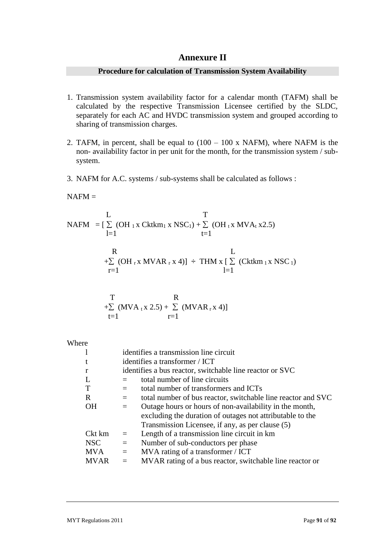# **Annexure II**

# **Procedure for calculation of Transmission System Availability**

- 1. Transmission system availability factor for a calendar month (TAFM) shall be calculated by the respective Transmission Licensee certified by the SLDC, separately for each AC and HVDC transmission system and grouped according to sharing of transmission charges.
- 2. TAFM, in percent, shall be equal to  $(100 100 \text{ x } \text{NAFM})$ , where NAFM is the non- availability factor in per unit for the month, for the transmission system / subsystem.
- 3. NAFM for A.C. systems / sub-systems shall be calculated as follows :

 $NAFM =$ 

$$
\begin{array}{ll}\n & \text{I} & \text{T} \\
\text{NAFM} & = [\sum_{l=1}^{n} (\text{OH}_1 \text{x Cktkm}_1 \text{x NSC}_1) + \sum_{t=1}^{n} (\text{OH}_1 \text{x MVA}_t \text{x2.5}) \\
 & \text{I} & \text{I} & \text{I} \\
 & \text{R} & \text{L} \\
 & \text{I} & \text{I} & \text{I} \\
 & \text{I} & \text{I} & \text{I} \\
 & \text{I} & \text{I} & \text{I} \\
 & \text{I} & \text{I} & \text{I}\n\end{array}
$$

T  
+
$$
\sum_{t=1}
$$
 (MVA<sub>t</sub>x 2.5) +  $\sum_{r=1}$  (MVAR<sub>r</sub>x 4)]

Where

|             | identifies a transmission line circuit                   |                                                              |  |
|-------------|----------------------------------------------------------|--------------------------------------------------------------|--|
|             | identifies a transformer / ICT                           |                                                              |  |
|             | identifies a bus reactor, switchable line reactor or SVC |                                                              |  |
|             |                                                          | total number of line circuits                                |  |
|             | $=$                                                      | total number of transformers and ICTs                        |  |
| R           | $=$                                                      | total number of bus reactor, switchable line reactor and SVC |  |
| <b>OH</b>   | $=$                                                      | Outage hours or hours of non-availability in the month,      |  |
|             |                                                          | excluding the duration of outages not attributable to the    |  |
|             |                                                          | Transmission Licensee, if any, as per clause (5)             |  |
| Ckt km      | $=$                                                      | Length of a transmission line circuit in km                  |  |
| <b>NSC</b>  | $=$                                                      | Number of sub-conductors per phase                           |  |
| <b>MVA</b>  | $=$                                                      | MVA rating of a transformer / ICT                            |  |
| <b>MVAR</b> | $=$                                                      | MVAR rating of a bus reactor, switchable line reactor or     |  |